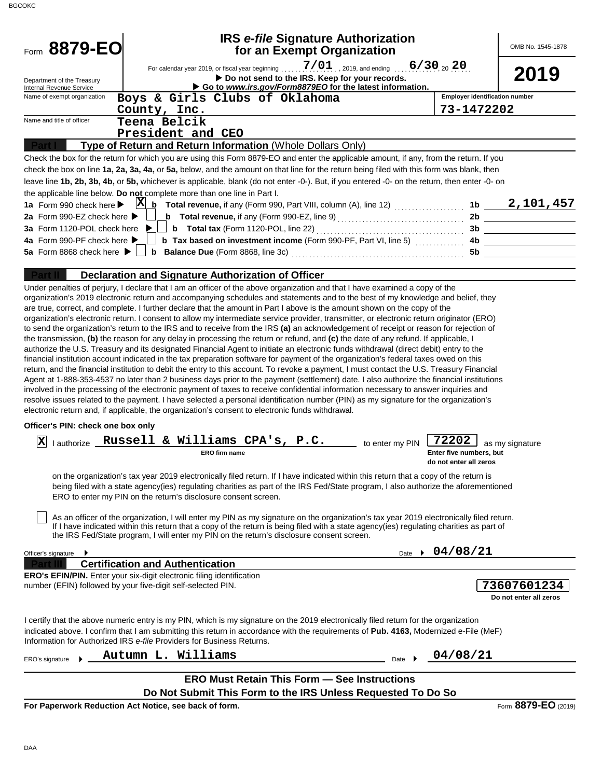| Form 8879-EO                                            |                                                                                                                                                                                                                                                                                                                                                                                                                                                                                                                                                                                                                                                                                                                                                                                                                                                                                                                                                                                                                                                                                                                                                                                                                                            | <b>IRS e-file Signature Authorization</b><br>for an Exempt Organization |                                       | OMB No. 1545-1878                             |
|---------------------------------------------------------|--------------------------------------------------------------------------------------------------------------------------------------------------------------------------------------------------------------------------------------------------------------------------------------------------------------------------------------------------------------------------------------------------------------------------------------------------------------------------------------------------------------------------------------------------------------------------------------------------------------------------------------------------------------------------------------------------------------------------------------------------------------------------------------------------------------------------------------------------------------------------------------------------------------------------------------------------------------------------------------------------------------------------------------------------------------------------------------------------------------------------------------------------------------------------------------------------------------------------------------------|-------------------------------------------------------------------------|---------------------------------------|-----------------------------------------------|
|                                                         |                                                                                                                                                                                                                                                                                                                                                                                                                                                                                                                                                                                                                                                                                                                                                                                                                                                                                                                                                                                                                                                                                                                                                                                                                                            |                                                                         |                                       |                                               |
| Department of the Treasury                              |                                                                                                                                                                                                                                                                                                                                                                                                                                                                                                                                                                                                                                                                                                                                                                                                                                                                                                                                                                                                                                                                                                                                                                                                                                            | Do not send to the IRS. Keep for your records.                          |                                       | 2019                                          |
| Internal Revenue Service<br>Name of exempt organization | Go to www.irs.gov/Form8879EO for the latest information.<br>Boys & Girls Clubs of Oklahoma                                                                                                                                                                                                                                                                                                                                                                                                                                                                                                                                                                                                                                                                                                                                                                                                                                                                                                                                                                                                                                                                                                                                                 |                                                                         | <b>Employer identification number</b> |                                               |
|                                                         | County, Inc.                                                                                                                                                                                                                                                                                                                                                                                                                                                                                                                                                                                                                                                                                                                                                                                                                                                                                                                                                                                                                                                                                                                                                                                                                               |                                                                         | 73-1472202                            |                                               |
| Name and title of officer                               | Teena Belcik                                                                                                                                                                                                                                                                                                                                                                                                                                                                                                                                                                                                                                                                                                                                                                                                                                                                                                                                                                                                                                                                                                                                                                                                                               |                                                                         |                                       |                                               |
|                                                         | President and CEO                                                                                                                                                                                                                                                                                                                                                                                                                                                                                                                                                                                                                                                                                                                                                                                                                                                                                                                                                                                                                                                                                                                                                                                                                          |                                                                         |                                       |                                               |
|                                                         | Type of Return and Return Information (Whole Dollars Only)                                                                                                                                                                                                                                                                                                                                                                                                                                                                                                                                                                                                                                                                                                                                                                                                                                                                                                                                                                                                                                                                                                                                                                                 |                                                                         |                                       |                                               |
|                                                         | Check the box for the return for which you are using this Form 8879-EO and enter the applicable amount, if any, from the return. If you                                                                                                                                                                                                                                                                                                                                                                                                                                                                                                                                                                                                                                                                                                                                                                                                                                                                                                                                                                                                                                                                                                    |                                                                         |                                       |                                               |
|                                                         | check the box on line 1a, 2a, 3a, 4a, or 5a, below, and the amount on that line for the return being filed with this form was blank, then                                                                                                                                                                                                                                                                                                                                                                                                                                                                                                                                                                                                                                                                                                                                                                                                                                                                                                                                                                                                                                                                                                  |                                                                         |                                       |                                               |
|                                                         | leave line 1b, 2b, 3b, 4b, or 5b, whichever is applicable, blank (do not enter -0-). But, if you entered -0- on the return, then enter -0- on                                                                                                                                                                                                                                                                                                                                                                                                                                                                                                                                                                                                                                                                                                                                                                                                                                                                                                                                                                                                                                                                                              |                                                                         |                                       |                                               |
|                                                         | the applicable line below. Do not complete more than one line in Part I.                                                                                                                                                                                                                                                                                                                                                                                                                                                                                                                                                                                                                                                                                                                                                                                                                                                                                                                                                                                                                                                                                                                                                                   |                                                                         |                                       |                                               |
| 2a Form 990-EZ check here ▶                             | 1a Form 990 check here $\triangleright$ $\mathbf{X}$ <b>h</b> Total revenue, if any (Form 990, Part VIII, column (A), line 12) $\ldots$                                                                                                                                                                                                                                                                                                                                                                                                                                                                                                                                                                                                                                                                                                                                                                                                                                                                                                                                                                                                                                                                                                    |                                                                         |                                       | 1b $2, 101, 457$                              |
| 3a Form 1120-POL check here $\blacktriangleright$       | <b>b</b> Total revenue, if any (Form 990-EZ, line 9) $\ldots$ $\ldots$ $\ldots$ $\ldots$ $\ldots$ $\ldots$<br><b>b</b> Total tax (Form 1120-POL, line 22) $\ldots$ $\ldots$ $\ldots$ $\ldots$ $\ldots$ $\ldots$ $\ldots$                                                                                                                                                                                                                                                                                                                                                                                                                                                                                                                                                                                                                                                                                                                                                                                                                                                                                                                                                                                                                   |                                                                         |                                       | 2b                                            |
| 4a Form 990-PF check here ▶                             | <b>b</b> Tax based on investment income (Form 990-PF, Part VI, line 5) <i></i>                                                                                                                                                                                                                                                                                                                                                                                                                                                                                                                                                                                                                                                                                                                                                                                                                                                                                                                                                                                                                                                                                                                                                             |                                                                         | 4b                                    | 3b<br><u> 1989 - Johann Barbara, martin a</u> |
| 5a Form 8868 check here $\blacktriangleright$           |                                                                                                                                                                                                                                                                                                                                                                                                                                                                                                                                                                                                                                                                                                                                                                                                                                                                                                                                                                                                                                                                                                                                                                                                                                            |                                                                         | 5b                                    |                                               |
|                                                         |                                                                                                                                                                                                                                                                                                                                                                                                                                                                                                                                                                                                                                                                                                                                                                                                                                                                                                                                                                                                                                                                                                                                                                                                                                            |                                                                         |                                       |                                               |
|                                                         | Declaration and Signature Authorization of Officer                                                                                                                                                                                                                                                                                                                                                                                                                                                                                                                                                                                                                                                                                                                                                                                                                                                                                                                                                                                                                                                                                                                                                                                         |                                                                         |                                       |                                               |
|                                                         | to send the organization's return to the IRS and to receive from the IRS (a) an acknowledgement of receipt or reason for rejection of<br>the transmission, (b) the reason for any delay in processing the return or refund, and (c) the date of any refund. If applicable, I<br>authorize the U.S. Treasury and its designated Financial Agent to initiate an electronic funds withdrawal (direct debit) entry to the<br>financial institution account indicated in the tax preparation software for payment of the organization's federal taxes owed on this<br>return, and the financial institution to debit the entry to this account. To revoke a payment, I must contact the U.S. Treasury Financial<br>Agent at 1-888-353-4537 no later than 2 business days prior to the payment (settlement) date. I also authorize the financial institutions<br>involved in the processing of the electronic payment of taxes to receive confidential information necessary to answer inquiries and<br>resolve issues related to the payment. I have selected a personal identification number (PIN) as my signature for the organization's<br>electronic return and, if applicable, the organization's consent to electronic funds withdrawal. |                                                                         |                                       |                                               |
| Officer's PIN: check one box only                       |                                                                                                                                                                                                                                                                                                                                                                                                                                                                                                                                                                                                                                                                                                                                                                                                                                                                                                                                                                                                                                                                                                                                                                                                                                            |                                                                         |                                       |                                               |
| X<br>I authorize _                                      | Russell & Williams CPA's, P.C.<br><b>ERO firm name</b>                                                                                                                                                                                                                                                                                                                                                                                                                                                                                                                                                                                                                                                                                                                                                                                                                                                                                                                                                                                                                                                                                                                                                                                     | to enter my PIN                                                         | 72202<br>Enter five numbers, but      | as my signature                               |
|                                                         |                                                                                                                                                                                                                                                                                                                                                                                                                                                                                                                                                                                                                                                                                                                                                                                                                                                                                                                                                                                                                                                                                                                                                                                                                                            |                                                                         | do not enter all zeros                |                                               |
|                                                         | on the organization's tax year 2019 electronically filed return. If I have indicated within this return that a copy of the return is<br>being filed with a state agency(ies) regulating charities as part of the IRS Fed/State program, I also authorize the aforementioned<br>ERO to enter my PIN on the return's disclosure consent screen.<br>As an officer of the organization, I will enter my PIN as my signature on the organization's tax year 2019 electronically filed return.                                                                                                                                                                                                                                                                                                                                                                                                                                                                                                                                                                                                                                                                                                                                                   |                                                                         |                                       |                                               |
|                                                         | If I have indicated within this return that a copy of the return is being filed with a state agency(ies) regulating charities as part of<br>the IRS Fed/State program, I will enter my PIN on the return's disclosure consent screen.                                                                                                                                                                                                                                                                                                                                                                                                                                                                                                                                                                                                                                                                                                                                                                                                                                                                                                                                                                                                      |                                                                         |                                       |                                               |
| Officer's signature                                     |                                                                                                                                                                                                                                                                                                                                                                                                                                                                                                                                                                                                                                                                                                                                                                                                                                                                                                                                                                                                                                                                                                                                                                                                                                            |                                                                         | Date $\rightarrow$ 04/08/21           |                                               |
|                                                         | <b>Certification and Authentication</b>                                                                                                                                                                                                                                                                                                                                                                                                                                                                                                                                                                                                                                                                                                                                                                                                                                                                                                                                                                                                                                                                                                                                                                                                    |                                                                         |                                       |                                               |
|                                                         | <b>ERO's EFIN/PIN.</b> Enter your six-digit electronic filing identification<br>number (EFIN) followed by your five-digit self-selected PIN.                                                                                                                                                                                                                                                                                                                                                                                                                                                                                                                                                                                                                                                                                                                                                                                                                                                                                                                                                                                                                                                                                               |                                                                         |                                       | 73607601234<br>Do not enter all zeros         |
|                                                         | I certify that the above numeric entry is my PIN, which is my signature on the 2019 electronically filed return for the organization<br>indicated above. I confirm that I am submitting this return in accordance with the requirements of Pub. 4163, Modernized e-File (MeF)<br>Information for Authorized IRS e-file Providers for Business Returns.                                                                                                                                                                                                                                                                                                                                                                                                                                                                                                                                                                                                                                                                                                                                                                                                                                                                                     |                                                                         |                                       |                                               |
| ERO's signature                                         | Autumn L. Williams                                                                                                                                                                                                                                                                                                                                                                                                                                                                                                                                                                                                                                                                                                                                                                                                                                                                                                                                                                                                                                                                                                                                                                                                                         | Date $\rightarrow$                                                      | 04/08/21                              |                                               |
|                                                         | <b>ERO Must Retain This Form - See Instructions</b>                                                                                                                                                                                                                                                                                                                                                                                                                                                                                                                                                                                                                                                                                                                                                                                                                                                                                                                                                                                                                                                                                                                                                                                        |                                                                         |                                       |                                               |
|                                                         | Do Not Submit This Form to the IRS Unless Requested To Do So                                                                                                                                                                                                                                                                                                                                                                                                                                                                                                                                                                                                                                                                                                                                                                                                                                                                                                                                                                                                                                                                                                                                                                               |                                                                         |                                       |                                               |
|                                                         | For Paperwork Reduction Act Notice, see back of form.                                                                                                                                                                                                                                                                                                                                                                                                                                                                                                                                                                                                                                                                                                                                                                                                                                                                                                                                                                                                                                                                                                                                                                                      |                                                                         |                                       | Form 8879-EO (2019)                           |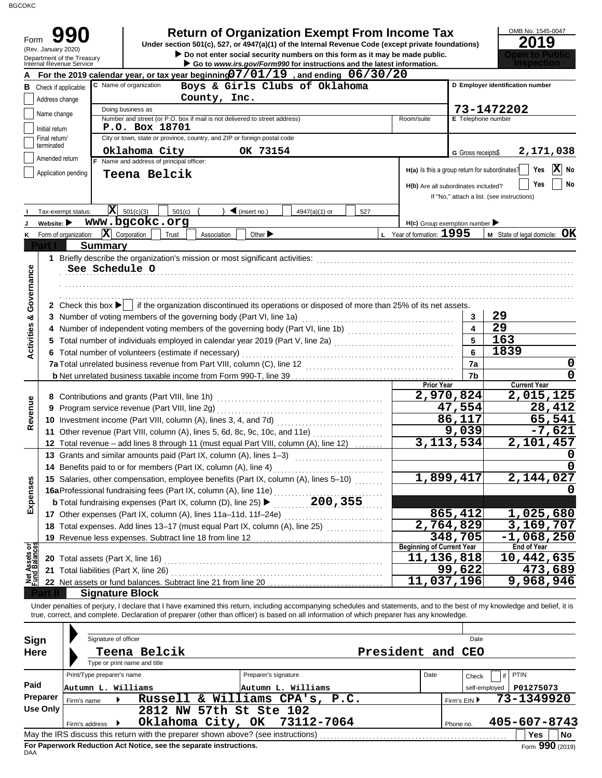BGCOKC

|                                | Form<br>Under section 501(c), 527, or 4947(a)(1) of the Internal Revenue Code (except private foundations)<br>(Rev. January 2020)<br>Do not enter social security numbers on this form as it may be made public.<br>Department of the Treasury<br>Go to www.irs.gov/Form990 for instructions and the latest information.<br><b>Internal Revenue Service</b> |                    | <b>Return of Organization Exempt From Income Tax</b> |                    | 2019                                       |  |  |  |
|--------------------------------|-------------------------------------------------------------------------------------------------------------------------------------------------------------------------------------------------------------------------------------------------------------------------------------------------------------------------------------------------------------|--------------------|------------------------------------------------------|--------------------|--------------------------------------------|--|--|--|
|                                | For the 2019 calendar year, or tax year beginning $07/01/19$ , and ending $06/30/20$                                                                                                                                                                                                                                                                        |                    |                                                      |                    |                                            |  |  |  |
|                                | C Name of organization<br>Boys & Girls Clubs of Oklahoma<br><b>B</b> Check if applicable:                                                                                                                                                                                                                                                                   |                    |                                                      |                    | D Employer identification number           |  |  |  |
|                                | County, Inc.<br>Address change                                                                                                                                                                                                                                                                                                                              |                    |                                                      |                    |                                            |  |  |  |
|                                | Doing business as<br>Name change                                                                                                                                                                                                                                                                                                                            |                    | Room/suite                                           | 73-1472202         |                                            |  |  |  |
|                                | Number and street (or P.O. box if mail is not delivered to street address)<br>P.O. Box 18701                                                                                                                                                                                                                                                                | E Telephone number |                                                      |                    |                                            |  |  |  |
|                                | Initial return<br>City or town, state or province, country, and ZIP or foreign postal code<br>Final return/                                                                                                                                                                                                                                                 |                    |                                                      |                    |                                            |  |  |  |
|                                | terminated<br>Oklahoma City<br>OK 73154                                                                                                                                                                                                                                                                                                                     |                    |                                                      | G Gross receipts\$ | 2,171,038                                  |  |  |  |
|                                | Amended return<br>F Name and address of principal officer:                                                                                                                                                                                                                                                                                                  |                    |                                                      |                    |                                            |  |  |  |
|                                | Application pending<br>Teena Belcik                                                                                                                                                                                                                                                                                                                         |                    | H(a) Is this a group return for subordinates?        |                    | X<br>Yes<br>No                             |  |  |  |
|                                |                                                                                                                                                                                                                                                                                                                                                             |                    | H(b) Are all subordinates included?                  |                    | No<br>Yes                                  |  |  |  |
|                                |                                                                                                                                                                                                                                                                                                                                                             |                    |                                                      |                    | If "No," attach a list. (see instructions) |  |  |  |
|                                | $ \mathbf{X} $ 501(c)(3)<br>501(c)<br>$\blacktriangleleft$ (insert no.)<br>Tax-exempt status:<br>4947(a)(1) or<br>527                                                                                                                                                                                                                                       |                    |                                                      |                    |                                            |  |  |  |
|                                | www.bgcokc.org<br>Website: $\blacktriangleright$                                                                                                                                                                                                                                                                                                            |                    | $H(c)$ Group exemption number                        |                    |                                            |  |  |  |
|                                | $ \mathbf{X} $ Corporation<br>Form of organization:<br>Trust<br>Other ><br>Association                                                                                                                                                                                                                                                                      |                    | L Year of formation: 1995                            |                    | $M$ State of legal domicile: $OK$          |  |  |  |
|                                | <b>Summary</b>                                                                                                                                                                                                                                                                                                                                              |                    |                                                      |                    |                                            |  |  |  |
|                                |                                                                                                                                                                                                                                                                                                                                                             |                    |                                                      |                    |                                            |  |  |  |
|                                | See Schedule O                                                                                                                                                                                                                                                                                                                                              |                    |                                                      |                    |                                            |  |  |  |
|                                |                                                                                                                                                                                                                                                                                                                                                             |                    |                                                      |                    |                                            |  |  |  |
| Governance                     |                                                                                                                                                                                                                                                                                                                                                             |                    |                                                      |                    |                                            |  |  |  |
|                                | 2 Check this box $\blacktriangleright$   if the organization discontinued its operations or disposed of more than 25% of its net assets.                                                                                                                                                                                                                    |                    |                                                      |                    |                                            |  |  |  |
| <b>Activities &amp;</b>        | 3 Number of voting members of the governing body (Part VI, line 1a)                                                                                                                                                                                                                                                                                         |                    |                                                      | 3                  | 29                                         |  |  |  |
|                                |                                                                                                                                                                                                                                                                                                                                                             |                    |                                                      | $\blacktriangle$   | 29                                         |  |  |  |
|                                | 5 Total number of individuals employed in calendar year 2019 (Part V, line 2a) [[[[[[[[[[[[[[[[[[[[[[[[[[[[[[                                                                                                                                                                                                                                               |                    |                                                      | 5                  | 163                                        |  |  |  |
|                                | 6 Total number of volunteers (estimate if necessary)                                                                                                                                                                                                                                                                                                        |                    |                                                      | 6                  | 1839                                       |  |  |  |
|                                |                                                                                                                                                                                                                                                                                                                                                             |                    |                                                      | 7a                 | 0<br>$\mathbf 0$                           |  |  |  |
|                                | b Net unrelated business taxable income from Form 990-T, line 39 [10] [20] [20] [20] [20] [20] [20] [30] [30] [                                                                                                                                                                                                                                             |                    | <b>Prior Year</b>                                    | 7b                 | <b>Current Year</b>                        |  |  |  |
|                                |                                                                                                                                                                                                                                                                                                                                                             |                    | 2,970,824                                            |                    | 2,015,125                                  |  |  |  |
| Revenue                        |                                                                                                                                                                                                                                                                                                                                                             |                    |                                                      | 47,554             | 28,412                                     |  |  |  |
|                                |                                                                                                                                                                                                                                                                                                                                                             |                    |                                                      | 86,117             | 65,541                                     |  |  |  |
|                                | 11 Other revenue (Part VIII, column (A), lines 5, 6d, 8c, 9c, 10c, and 11e)                                                                                                                                                                                                                                                                                 |                    |                                                      | 9,039              | $-7,621$                                   |  |  |  |
|                                | 12 Total revenue - add lines 8 through 11 (must equal Part VIII, column (A), line 12)                                                                                                                                                                                                                                                                       |                    |                                                      | 3, 113, 534        | 2,101,457                                  |  |  |  |
|                                | 13 Grants and similar amounts paid (Part IX, column (A), lines 1-3)                                                                                                                                                                                                                                                                                         |                    |                                                      |                    | $\mathbf 0$                                |  |  |  |
|                                | 14 Benefits paid to or for members (Part IX, column (A), line 4)                                                                                                                                                                                                                                                                                            |                    |                                                      |                    | <sup>0</sup>                               |  |  |  |
|                                | 15 Salaries, other compensation, employee benefits (Part IX, column (A), lines 5-10)                                                                                                                                                                                                                                                                        |                    | 1,899,417                                            |                    | 2,144,027                                  |  |  |  |
| Expenses                       | 16aProfessional fundraising fees (Part IX, column (A), line 11e)                                                                                                                                                                                                                                                                                            |                    |                                                      |                    |                                            |  |  |  |
|                                | 200, 355<br><b>b</b> Total fundraising expenses (Part IX, column (D), line 25) ▶                                                                                                                                                                                                                                                                            |                    |                                                      |                    |                                            |  |  |  |
|                                | 17 Other expenses (Part IX, column (A), lines 11a-11d, 11f-24e)                                                                                                                                                                                                                                                                                             |                    |                                                      | 865,412            | 1,025,680                                  |  |  |  |
|                                | 18 Total expenses. Add lines 13-17 (must equal Part IX, column (A), line 25)                                                                                                                                                                                                                                                                                |                    | 2,764,829                                            |                    | 3,169,707                                  |  |  |  |
|                                |                                                                                                                                                                                                                                                                                                                                                             |                    |                                                      | 348,705            | $-1,068,250$                               |  |  |  |
|                                |                                                                                                                                                                                                                                                                                                                                                             |                    | <b>Beginning of Current Year</b><br>11,136,818       |                    | <b>End of Year</b>                         |  |  |  |
|                                | 21 Total liabilities (Part X, line 26)                                                                                                                                                                                                                                                                                                                      |                    |                                                      | 99,622             | 10,442,635<br>473,689                      |  |  |  |
|                                |                                                                                                                                                                                                                                                                                                                                                             |                    |                                                      |                    |                                            |  |  |  |
|                                |                                                                                                                                                                                                                                                                                                                                                             |                    |                                                      |                    |                                            |  |  |  |
| Net Assets or<br>Fund Balances |                                                                                                                                                                                                                                                                                                                                                             |                    | 11,037,196                                           |                    | 9,968,946                                  |  |  |  |
|                                | <b>Signature Block</b><br>Under penalties of perjury, I declare that I have examined this return, including accompanying schedules and statements, and to the best of my knowledge and belief, it is                                                                                                                                                        |                    |                                                      |                    |                                            |  |  |  |

| Sign        |                            | Signature of officer |                                                                                   |  |                                |  |      |              | Date          |              |                                   |    |
|-------------|----------------------------|----------------------|-----------------------------------------------------------------------------------|--|--------------------------------|--|------|--------------|---------------|--------------|-----------------------------------|----|
| <b>Here</b> | Teena Belcik               | President and CEO    |                                                                                   |  |                                |  |      |              |               |              |                                   |    |
|             |                            |                      | Type or print name and title                                                      |  |                                |  |      |              |               |              |                                   |    |
|             | Print/Type preparer's name |                      |                                                                                   |  | Preparer's signature           |  | Date |              | Check         | $if$ PTIN    |                                   |    |
| Paid        | Autumn L. Williams         |                      |                                                                                   |  | Autumn L. Williams             |  |      |              | self-employed | P01275073    |                                   |    |
| Preparer    | Firm's name                |                      |                                                                                   |  | Russell & Williams CPA's, P.C. |  |      | Firm's $EIN$ |               | 73-1349920   |                                   |    |
| Use Only    |                            |                      | 2812 NW 57th St Ste 102                                                           |  |                                |  |      |              |               |              |                                   |    |
|             | Firm's address             |                      |                                                                                   |  | Oklahoma City, OK 73112-7064   |  |      | Phone no.    |               | 405-607-8743 |                                   |    |
|             |                            |                      | May the IRS discuss this return with the preparer shown above? (see instructions) |  |                                |  |      |              |               | <b>Yes</b>   |                                   | No |
|             |                            |                      | Ear Danarwark Raduation, Act Nation, can the congrate instructions.               |  |                                |  |      |              |               |              | $\overline{a}$ 000 $\overline{a}$ |    |

**For Paperwork Reduction Act Notice, see the separate instructions.**<br>DAA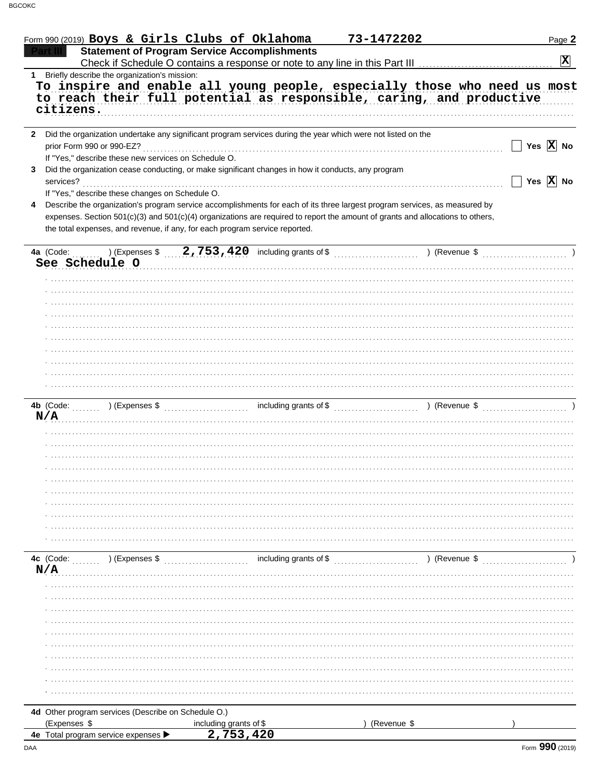|             | Form 990 (2019) Boys & Girls Clubs of Oklahoma                                                                                 |                                                     | 73-1472202  | Page 2                |
|-------------|--------------------------------------------------------------------------------------------------------------------------------|-----------------------------------------------------|-------------|-----------------------|
|             |                                                                                                                                | <b>Statement of Program Service Accomplishments</b> |             |                       |
|             |                                                                                                                                |                                                     |             | $ \mathbf{X} $        |
| $\mathbf 1$ | Briefly describe the organization's mission:                                                                                   |                                                     |             |                       |
|             | To inspire and enable all young people, especially those who need us most                                                      |                                                     |             |                       |
|             | to reach their full potential as responsible, caring, and productive                                                           |                                                     |             |                       |
|             | citizens.                                                                                                                      |                                                     |             |                       |
|             | 2 Did the organization undertake any significant program services during the year which were not listed on the                 |                                                     |             |                       |
|             | prior Form 990 or 990-EZ?                                                                                                      |                                                     |             | Yes $\overline{X}$ No |
|             | If "Yes," describe these new services on Schedule O.                                                                           |                                                     |             |                       |
| 3           | Did the organization cease conducting, or make significant changes in how it conducts, any program                             |                                                     |             |                       |
|             | services?                                                                                                                      |                                                     |             | Yes $\overline{X}$ No |
|             | If "Yes," describe these changes on Schedule O.                                                                                |                                                     |             |                       |
| 4           | Describe the organization's program service accomplishments for each of its three largest program services, as measured by     |                                                     |             |                       |
|             | expenses. Section 501(c)(3) and 501(c)(4) organizations are required to report the amount of grants and allocations to others, |                                                     |             |                       |
|             | the total expenses, and revenue, if any, for each program service reported.                                                    |                                                     |             |                       |
|             |                                                                                                                                |                                                     |             |                       |
|             |                                                                                                                                |                                                     |             |                       |
|             | See Schedule O                                                                                                                 |                                                     |             |                       |
|             |                                                                                                                                |                                                     |             |                       |
|             |                                                                                                                                |                                                     |             |                       |
|             |                                                                                                                                |                                                     |             |                       |
|             |                                                                                                                                |                                                     |             |                       |
|             |                                                                                                                                |                                                     |             |                       |
|             |                                                                                                                                |                                                     |             |                       |
|             |                                                                                                                                |                                                     |             |                       |
|             |                                                                                                                                |                                                     |             |                       |
|             |                                                                                                                                |                                                     |             |                       |
|             |                                                                                                                                |                                                     |             |                       |
|             |                                                                                                                                |                                                     |             |                       |
|             |                                                                                                                                |                                                     |             |                       |
|             | N/A                                                                                                                            |                                                     |             |                       |
|             |                                                                                                                                |                                                     |             |                       |
|             |                                                                                                                                |                                                     |             |                       |
|             |                                                                                                                                |                                                     |             |                       |
|             |                                                                                                                                |                                                     |             |                       |
|             |                                                                                                                                |                                                     |             |                       |
|             |                                                                                                                                |                                                     |             |                       |
|             |                                                                                                                                |                                                     |             |                       |
|             |                                                                                                                                |                                                     |             |                       |
|             |                                                                                                                                |                                                     |             |                       |
|             |                                                                                                                                |                                                     |             |                       |
|             | (Expenses \$<br>4c (Code:                                                                                                      | including grants of \$                              |             | ) (Revenue \$         |
|             | N/A                                                                                                                            |                                                     |             |                       |
|             |                                                                                                                                |                                                     |             |                       |
|             |                                                                                                                                |                                                     |             |                       |
|             |                                                                                                                                |                                                     |             |                       |
|             |                                                                                                                                |                                                     |             |                       |
|             |                                                                                                                                |                                                     |             |                       |
|             |                                                                                                                                |                                                     |             |                       |
|             |                                                                                                                                |                                                     |             |                       |
|             |                                                                                                                                |                                                     |             |                       |
|             |                                                                                                                                |                                                     |             |                       |
|             |                                                                                                                                |                                                     |             |                       |
|             |                                                                                                                                |                                                     |             |                       |
|             | 4d Other program services (Describe on Schedule O.)                                                                            |                                                     |             |                       |
|             | (Expenses \$                                                                                                                   | including grants of \$                              | (Revenue \$ |                       |
|             | 4e Total program service expenses                                                                                              | 2,753,420                                           |             |                       |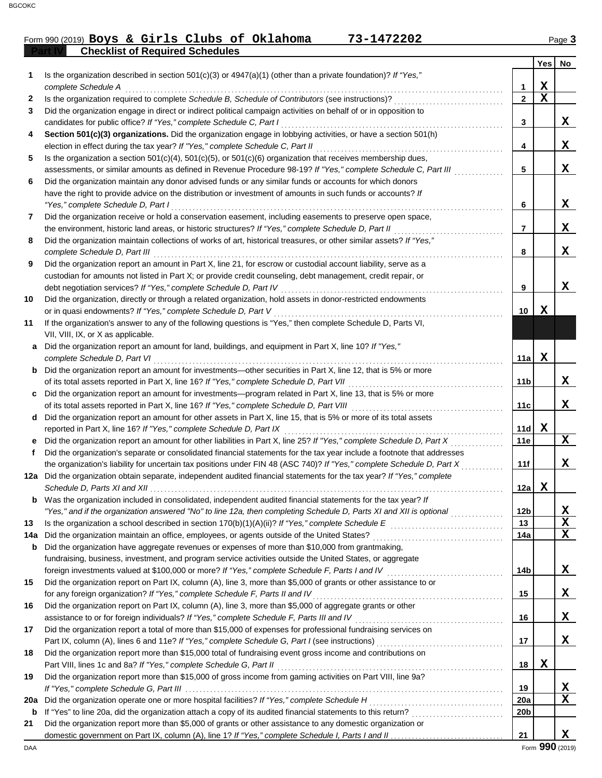### **Part IV Checklist of Required Schedules** Form 990 (2019) Page **3 Boys & Girls Clubs of Oklahoma 73-1472202**

|          |                                                                                                                                                                                   |                 | <b>Yes</b>  | No     |
|----------|-----------------------------------------------------------------------------------------------------------------------------------------------------------------------------------|-----------------|-------------|--------|
| 1        | Is the organization described in section $501(c)(3)$ or $4947(a)(1)$ (other than a private foundation)? If "Yes,"<br>complete Schedule A                                          | 1               | х           |        |
| 2        | Is the organization required to complete Schedule B, Schedule of Contributors (see instructions)?                                                                                 | $\mathbf{2}$    | $\mathbf x$ |        |
| 3        | Did the organization engage in direct or indirect political campaign activities on behalf of or in opposition to                                                                  |                 |             |        |
|          | candidates for public office? If "Yes," complete Schedule C, Part I                                                                                                               | 3               |             | X      |
| 4        | Section 501(c)(3) organizations. Did the organization engage in lobbying activities, or have a section 501(h)                                                                     |                 |             |        |
|          | election in effect during the tax year? If "Yes," complete Schedule C, Part II                                                                                                    | 4               |             | X      |
| 5        | Is the organization a section $501(c)(4)$ , $501(c)(5)$ , or $501(c)(6)$ organization that receives membership dues,                                                              |                 |             |        |
|          | assessments, or similar amounts as defined in Revenue Procedure 98-19? If "Yes," complete Schedule C, Part III                                                                    | 5               |             | X      |
| 6        | Did the organization maintain any donor advised funds or any similar funds or accounts for which donors                                                                           |                 |             |        |
|          | have the right to provide advice on the distribution or investment of amounts in such funds or accounts? If                                                                       |                 |             |        |
|          | "Yes," complete Schedule D, Part I                                                                                                                                                | 6               |             | X      |
| 7        | Did the organization receive or hold a conservation easement, including easements to preserve open space,                                                                         |                 |             |        |
|          | the environment, historic land areas, or historic structures? If "Yes," complete Schedule D, Part II                                                                              | 7               |             | X      |
| 8        | Did the organization maintain collections of works of art, historical treasures, or other similar assets? If "Yes,"                                                               |                 |             |        |
|          | complete Schedule D, Part III                                                                                                                                                     | 8               |             | X      |
| 9        | Did the organization report an amount in Part X, line 21, for escrow or custodial account liability, serve as a                                                                   |                 |             |        |
|          | custodian for amounts not listed in Part X; or provide credit counseling, debt management, credit repair, or                                                                      |                 |             | x      |
| 10       | debt negotiation services? If "Yes," complete Schedule D, Part IV<br>Did the organization, directly or through a related organization, hold assets in donor-restricted endowments | 9               |             |        |
|          | or in quasi endowments? If "Yes," complete Schedule D, Part V                                                                                                                     | 10              | x           |        |
| 11       | If the organization's answer to any of the following questions is "Yes," then complete Schedule D, Parts VI,                                                                      |                 |             |        |
|          | VII, VIII, IX, or X as applicable.                                                                                                                                                |                 |             |        |
| a        | Did the organization report an amount for land, buildings, and equipment in Part X, line 10? If "Yes,"                                                                            |                 |             |        |
|          | complete Schedule D, Part VI                                                                                                                                                      | 11a             | x           |        |
| b        | Did the organization report an amount for investments—other securities in Part X, line 12, that is 5% or more                                                                     |                 |             |        |
|          | of its total assets reported in Part X, line 16? If "Yes," complete Schedule D, Part VII                                                                                          | 11b             |             | x      |
| C        | Did the organization report an amount for investments—program related in Part X, line 13, that is 5% or more                                                                      |                 |             |        |
|          | of its total assets reported in Part X, line 16? If "Yes," complete Schedule D, Part VIII                                                                                         | 11c             |             | X      |
| d        | Did the organization report an amount for other assets in Part X, line 15, that is 5% or more of its total assets                                                                 |                 |             |        |
|          | reported in Part X, line 16? If "Yes," complete Schedule D, Part IX                                                                                                               | 11d             | X           |        |
| е        | Did the organization report an amount for other liabilities in Part X, line 25? If "Yes," complete Schedule D, Part X                                                             | 11e             |             | X      |
| f        | Did the organization's separate or consolidated financial statements for the tax year include a footnote that addresses                                                           |                 |             |        |
|          | the organization's liability for uncertain tax positions under FIN 48 (ASC 740)? If "Yes," complete Schedule D, Part X                                                            | 11f             |             | X      |
|          | 12a Did the organization obtain separate, independent audited financial statements for the tax year? If "Yes," complete                                                           |                 |             |        |
|          | <b>b</b> Was the organization included in consolidated, independent audited financial statements for the tax year? If                                                             | 12a             | x           |        |
|          | "Yes," and if the organization answered "No" to line 12a, then completing Schedule D, Parts XI and XII is optional                                                                | 12 <sub>b</sub> |             | X      |
| 13       |                                                                                                                                                                                   | 13              |             | X      |
| 14a      | Did the organization maintain an office, employees, or agents outside of the United States?                                                                                       | 14a             |             | X      |
| b        | Did the organization have aggregate revenues or expenses of more than \$10,000 from grantmaking,                                                                                  |                 |             |        |
|          | fundraising, business, investment, and program service activities outside the United States, or aggregate                                                                         |                 |             |        |
|          | foreign investments valued at \$100,000 or more? If "Yes," complete Schedule F, Parts I and IV [[[[[[[[[[[[[[[[                                                                   | 14b             |             | X      |
| 15       | Did the organization report on Part IX, column (A), line 3, more than \$5,000 of grants or other assistance to or                                                                 |                 |             |        |
|          | for any foreign organization? If "Yes," complete Schedule F, Parts II and IV                                                                                                      | 15              |             | X      |
| 16       | Did the organization report on Part IX, column (A), line 3, more than \$5,000 of aggregate grants or other                                                                        |                 |             |        |
|          | assistance to or for foreign individuals? If "Yes," complete Schedule F, Parts III and IV                                                                                         | 16              |             | X      |
| 17       | Did the organization report a total of more than \$15,000 of expenses for professional fundraising services on                                                                    |                 |             |        |
|          |                                                                                                                                                                                   | 17              |             | X      |
| 18       | Did the organization report more than \$15,000 total of fundraising event gross income and contributions on                                                                       |                 |             |        |
|          | Part VIII, lines 1c and 8a? If "Yes," complete Schedule G, Part II                                                                                                                | 18              | X           |        |
| 19       | Did the organization report more than \$15,000 of gross income from gaming activities on Part VIII, line 9a?                                                                      |                 |             |        |
|          |                                                                                                                                                                                   | 19<br>20a       |             | X<br>X |
| 20a<br>b |                                                                                                                                                                                   | 20b             |             |        |
| 21       | Did the organization report more than \$5,000 of grants or other assistance to any domestic organization or                                                                       |                 |             |        |
|          |                                                                                                                                                                                   | 21              |             | x      |
|          |                                                                                                                                                                                   |                 |             |        |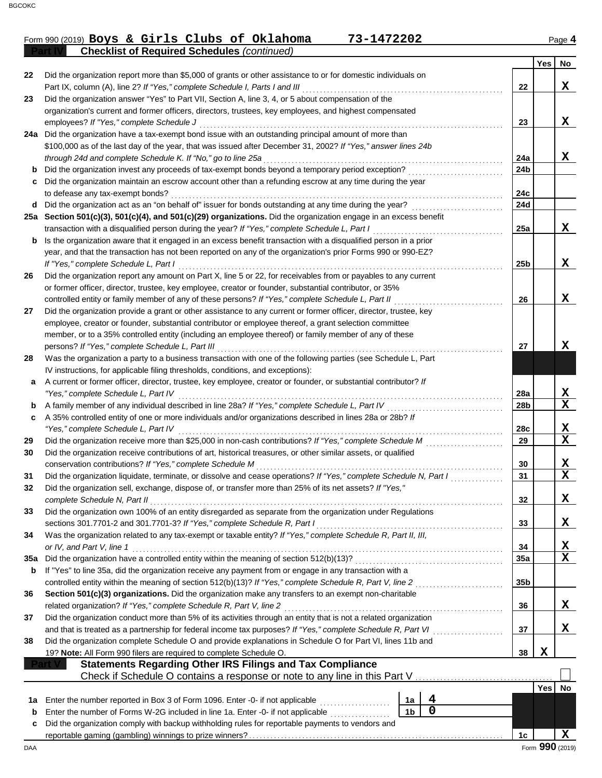#### Form 990 (2019) Page **4 Boys & Girls Clubs of Oklahoma 73-1472202**

|     | <b>Checklist of Required Schedules (continued)</b>                                                                                                                                                  |                 |        |             |
|-----|-----------------------------------------------------------------------------------------------------------------------------------------------------------------------------------------------------|-----------------|--------|-------------|
|     |                                                                                                                                                                                                     |                 | Yes    | No          |
| 22  | Did the organization report more than \$5,000 of grants or other assistance to or for domestic individuals on                                                                                       |                 |        |             |
|     | Part IX, column (A), line 2? If "Yes," complete Schedule I, Parts I and III                                                                                                                         | 22              |        | X           |
| 23  | Did the organization answer "Yes" to Part VII, Section A, line 3, 4, or 5 about compensation of the                                                                                                 |                 |        |             |
|     | organization's current and former officers, directors, trustees, key employees, and highest compensated                                                                                             |                 |        |             |
|     | employees? If "Yes," complete Schedule J                                                                                                                                                            | 23              |        | X           |
|     | 24a Did the organization have a tax-exempt bond issue with an outstanding principal amount of more than                                                                                             |                 |        |             |
|     | \$100,000 as of the last day of the year, that was issued after December 31, 2002? If "Yes," answer lines 24b                                                                                       |                 |        |             |
|     | through 24d and complete Schedule K. If "No," go to line 25a                                                                                                                                        | 24a             |        | x           |
| b   | Did the organization invest any proceeds of tax-exempt bonds beyond a temporary period exception?                                                                                                   | 24b             |        |             |
|     | Did the organization maintain an escrow account other than a refunding escrow at any time during the year                                                                                           |                 |        |             |
|     | to defease any tax-exempt bonds?                                                                                                                                                                    | 24c             |        |             |
| d   | Did the organization act as an "on behalf of" issuer for bonds outstanding at any time during the year?                                                                                             | 24d             |        |             |
|     | 25a Section 501(c)(3), 501(c)(4), and 501(c)(29) organizations. Did the organization engage in an excess benefit                                                                                    |                 |        |             |
|     | transaction with a disqualified person during the year? If "Yes," complete Schedule L, Part I                                                                                                       | 25a             |        | x           |
| b   | Is the organization aware that it engaged in an excess benefit transaction with a disqualified person in a prior                                                                                    |                 |        |             |
|     | year, and that the transaction has not been reported on any of the organization's prior Forms 990 or 990-EZ?                                                                                        |                 |        |             |
|     | If "Yes," complete Schedule L, Part I                                                                                                                                                               | 25 <sub>b</sub> |        | X           |
| 26  | Did the organization report any amount on Part X, line 5 or 22, for receivables from or payables to any current                                                                                     |                 |        |             |
|     | or former officer, director, trustee, key employee, creator or founder, substantial contributor, or 35%                                                                                             |                 |        | X           |
|     | controlled entity or family member of any of these persons? If "Yes," complete Schedule L, Part II                                                                                                  | 26              |        |             |
| 27  | Did the organization provide a grant or other assistance to any current or former officer, director, trustee, key                                                                                   |                 |        |             |
|     | employee, creator or founder, substantial contributor or employee thereof, a grant selection committee                                                                                              |                 |        |             |
|     | member, or to a 35% controlled entity (including an employee thereof) or family member of any of these                                                                                              | 27              |        | x           |
|     | persons? If "Yes," complete Schedule L, Part III                                                                                                                                                    |                 |        |             |
| 28  | Was the organization a party to a business transaction with one of the following parties (see Schedule L, Part                                                                                      |                 |        |             |
|     | IV instructions, for applicable filing thresholds, conditions, and exceptions):<br>A current or former officer, director, trustee, key employee, creator or founder, or substantial contributor? If |                 |        |             |
| a   | "Yes," complete Schedule L, Part IV                                                                                                                                                                 | 28a             |        | X           |
| b   | A family member of any individual described in line 28a? If "Yes," complete Schedule L, Part IV                                                                                                     | 28b             |        | X           |
| c   | A 35% controlled entity of one or more individuals and/or organizations described in lines 28a or 28b? If                                                                                           |                 |        |             |
|     | "Yes," complete Schedule L, Part IV                                                                                                                                                                 | 28c             |        | X           |
| 29  | Did the organization receive more than \$25,000 in non-cash contributions? If "Yes," complete Schedule M                                                                                            | 29              |        | X           |
| 30  | Did the organization receive contributions of art, historical treasures, or other similar assets, or qualified                                                                                      |                 |        |             |
|     | conservation contributions? If "Yes," complete Schedule M                                                                                                                                           | 30              |        | X           |
| 31  | Did the organization liquidate, terminate, or dissolve and cease operations? If "Yes," complete Schedule N, Part I                                                                                  | 31              |        | $\mathbf x$ |
|     | Did the organization sell, exchange, dispose of, or transfer more than 25% of its net assets? If "Yes,"                                                                                             |                 |        |             |
|     | complete Schedule N, Part II                                                                                                                                                                        | 32              |        | X           |
| 33  | Did the organization own 100% of an entity disregarded as separate from the organization under Regulations                                                                                          |                 |        |             |
|     | sections 301.7701-2 and 301.7701-3? If "Yes," complete Schedule R, Part I                                                                                                                           | 33              |        | x           |
| 34  | Was the organization related to any tax-exempt or taxable entity? If "Yes," complete Schedule R, Part II, III,                                                                                      |                 |        |             |
|     | or IV, and Part V, line 1                                                                                                                                                                           | 34              |        | Х           |
| 35a | Did the organization have a controlled entity within the meaning of section 512(b)(13)?                                                                                                             | 35a             |        | X           |
| b   | If "Yes" to line 35a, did the organization receive any payment from or engage in any transaction with a                                                                                             |                 |        |             |
|     | controlled entity within the meaning of section 512(b)(13)? If "Yes," complete Schedule R, Part V, line 2                                                                                           | 35b             |        |             |
| 36  | Section 501(c)(3) organizations. Did the organization make any transfers to an exempt non-charitable                                                                                                |                 |        |             |
|     | related organization? If "Yes," complete Schedule R, Part V, line 2                                                                                                                                 | 36              |        | X           |
| 37  | Did the organization conduct more than 5% of its activities through an entity that is not a related organization                                                                                    |                 |        |             |
|     | and that is treated as a partnership for federal income tax purposes? If "Yes," complete Schedule R, Part VI                                                                                        | 37              |        | X           |
| 38  | Did the organization complete Schedule O and provide explanations in Schedule O for Part VI, lines 11b and                                                                                          |                 |        |             |
|     | 19? Note: All Form 990 filers are required to complete Schedule O.                                                                                                                                  | 38              | X      |             |
|     | <b>Statements Regarding Other IRS Filings and Tax Compliance</b>                                                                                                                                    |                 |        |             |
|     | Check if Schedule O contains a response or note to any line in this Part V.                                                                                                                         |                 |        |             |
|     |                                                                                                                                                                                                     |                 | Yes No |             |
| 1a  | 4<br>Enter the number reported in Box 3 of Form 1096. Enter -0- if not applicable<br>1a                                                                                                             |                 |        |             |
| b   | 0<br>1 <sub>b</sub><br>Enter the number of Forms W-2G included in line 1a. Enter -0- if not applicable                                                                                              |                 |        |             |
| c   | Did the organization comply with backup withholding rules for reportable payments to vendors and                                                                                                    |                 |        |             |
|     |                                                                                                                                                                                                     | 1c              |        | X           |

DAA Form **990** (2019) Form **990** (2019)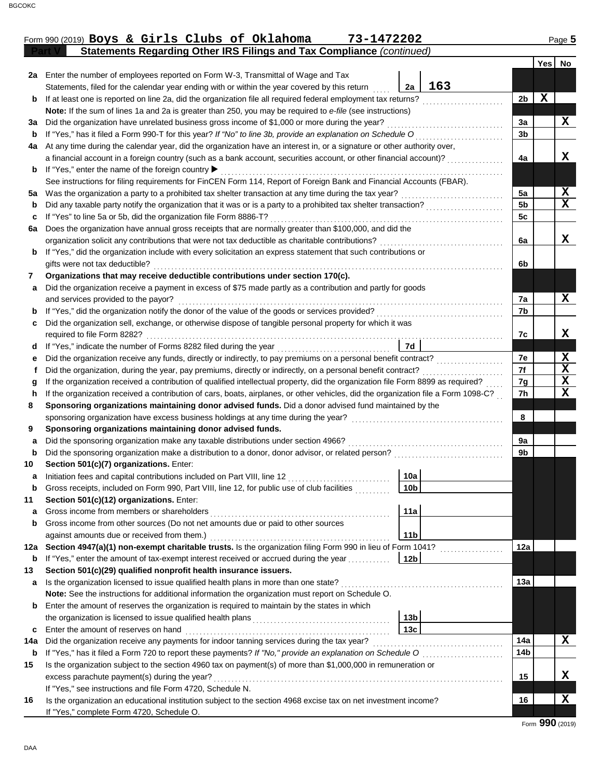|     | 2a Enter the number of employees reported on Form W-3, Transmittal of Wage and Tax                                                 |                 |     |                     |                         |  |  |  |  |  |
|-----|------------------------------------------------------------------------------------------------------------------------------------|-----------------|-----|---------------------|-------------------------|--|--|--|--|--|
|     | Statements, filed for the calendar year ending with or within the year covered by this return                                      | 2a              | 163 |                     |                         |  |  |  |  |  |
| b   | If at least one is reported on line 2a, did the organization file all required federal employment tax returns?                     |                 |     | X<br>2 <sub>b</sub> |                         |  |  |  |  |  |
|     | Note: If the sum of lines 1a and 2a is greater than 250, you may be required to e-file (see instructions)                          |                 |     |                     |                         |  |  |  |  |  |
| За  | Did the organization have unrelated business gross income of \$1,000 or more during the year?                                      |                 |     | 3a                  | X                       |  |  |  |  |  |
| b   | If "Yes," has it filed a Form 990-T for this year? If "No" to line 3b, provide an explanation on Schedule O                        |                 |     |                     |                         |  |  |  |  |  |
| 4a  | At any time during the calendar year, did the organization have an interest in, or a signature or other authority over,            |                 |     |                     |                         |  |  |  |  |  |
|     | a financial account in a foreign country (such as a bank account, securities account, or other financial account)?                 |                 |     | 4a                  | X                       |  |  |  |  |  |
| b   | If "Yes," enter the name of the foreign country ▶                                                                                  |                 |     |                     |                         |  |  |  |  |  |
|     | See instructions for filing requirements for FinCEN Form 114, Report of Foreign Bank and Financial Accounts (FBAR).                |                 |     |                     |                         |  |  |  |  |  |
| 5а  | Was the organization a party to a prohibited tax shelter transaction at any time during the tax year?                              |                 |     | 5a                  | X                       |  |  |  |  |  |
| b   | Did any taxable party notify the organization that it was or is a party to a prohibited tax shelter transaction?                   |                 |     | 5 <sub>b</sub>      | $\overline{\mathbf{x}}$ |  |  |  |  |  |
| c   | If "Yes" to line 5a or 5b, did the organization file Form 8886-T?                                                                  |                 |     | 5c                  |                         |  |  |  |  |  |
| 6a  | Does the organization have annual gross receipts that are normally greater than \$100,000, and did the                             |                 |     |                     |                         |  |  |  |  |  |
|     | organization solicit any contributions that were not tax deductible as charitable contributions?                                   |                 |     | 6a                  | X                       |  |  |  |  |  |
| b   | If "Yes," did the organization include with every solicitation an express statement that such contributions or                     |                 |     |                     |                         |  |  |  |  |  |
|     | gifts were not tax deductible?                                                                                                     |                 |     | 6b                  |                         |  |  |  |  |  |
| 7   | Organizations that may receive deductible contributions under section 170(c).                                                      |                 |     |                     |                         |  |  |  |  |  |
| a   | Did the organization receive a payment in excess of \$75 made partly as a contribution and partly for goods                        |                 |     |                     |                         |  |  |  |  |  |
|     | and services provided to the payor?                                                                                                |                 |     | 7a                  | X                       |  |  |  |  |  |
| b   | If "Yes," did the organization notify the donor of the value of the goods or services provided?                                    |                 |     | 7b                  |                         |  |  |  |  |  |
| с   | Did the organization sell, exchange, or otherwise dispose of tangible personal property for which it was                           |                 |     |                     |                         |  |  |  |  |  |
|     | required to file Form 8282?                                                                                                        |                 |     | 7c                  | X                       |  |  |  |  |  |
| d   |                                                                                                                                    | 7d              |     |                     |                         |  |  |  |  |  |
| е   | Did the organization receive any funds, directly or indirectly, to pay premiums on a personal benefit contract?                    |                 |     | 7e                  | X                       |  |  |  |  |  |
| t   | Did the organization, during the year, pay premiums, directly or indirectly, on a personal benefit contract?                       |                 |     | 7f                  | $\overline{\mathbf{X}}$ |  |  |  |  |  |
| g   | If the organization received a contribution of qualified intellectual property, did the organization file Form 8899 as required?   |                 |     | 7g                  | X                       |  |  |  |  |  |
| h   | If the organization received a contribution of cars, boats, airplanes, or other vehicles, did the organization file a Form 1098-C? |                 |     | 7h                  | $\mathbf x$             |  |  |  |  |  |
| 8   | Sponsoring organizations maintaining donor advised funds. Did a donor advised fund maintained by the                               |                 |     |                     |                         |  |  |  |  |  |
|     | sponsoring organization have excess business holdings at any time during the year?                                                 |                 |     | 8                   |                         |  |  |  |  |  |
| 9   | Sponsoring organizations maintaining donor advised funds.                                                                          |                 |     |                     |                         |  |  |  |  |  |
| a   | Did the sponsoring organization make any taxable distributions under section 4966?                                                 |                 |     | 9a                  |                         |  |  |  |  |  |
| b   | Did the sponsoring organization make a distribution to a donor, donor advisor, or related person?                                  |                 |     | 9b                  |                         |  |  |  |  |  |
| 10  | Section 501(c)(7) organizations. Enter:                                                                                            |                 |     |                     |                         |  |  |  |  |  |
| а   | Initiation fees and capital contributions included on Part VIII, line 12                                                           | 10a             |     |                     |                         |  |  |  |  |  |
| b   | Gross receipts, included on Form 990, Part VIII, line 12, for public use of club facilities                                        | 10 <sub>b</sub> |     |                     |                         |  |  |  |  |  |
| 11  | Section 501(c)(12) organizations. Enter:                                                                                           |                 |     |                     |                         |  |  |  |  |  |
|     | Gross income from members or shareholders                                                                                          | 11a             |     |                     |                         |  |  |  |  |  |
| b   | Gross income from other sources (Do not net amounts due or paid to other sources                                                   |                 |     |                     |                         |  |  |  |  |  |
|     | against amounts due or received from them.)                                                                                        | 11 <sub>b</sub> |     |                     |                         |  |  |  |  |  |
| 12a | Section 4947(a)(1) non-exempt charitable trusts. Is the organization filing Form 990 in lieu of Form 1041?                         |                 |     | 12a                 |                         |  |  |  |  |  |
| b   | If "Yes," enter the amount of tax-exempt interest received or accrued during the year                                              | 12b             |     |                     |                         |  |  |  |  |  |
| 13  | Section 501(c)(29) qualified nonprofit health insurance issuers.                                                                   |                 |     |                     |                         |  |  |  |  |  |
| a   | Is the organization licensed to issue qualified health plans in more than one state?                                               |                 |     | 13a                 |                         |  |  |  |  |  |
|     | Note: See the instructions for additional information the organization must report on Schedule O.                                  |                 |     |                     |                         |  |  |  |  |  |
| b   | Enter the amount of reserves the organization is required to maintain by the states in which                                       |                 |     |                     |                         |  |  |  |  |  |
|     |                                                                                                                                    | 13 <sub>b</sub> |     |                     |                         |  |  |  |  |  |
| c   | Enter the amount of reserves on hand                                                                                               | 13 <sub>c</sub> |     |                     |                         |  |  |  |  |  |
| 14a | Did the organization receive any payments for indoor tanning services during the tax year?                                         |                 |     | 14a                 | X                       |  |  |  |  |  |
| b   | If "Yes," has it filed a Form 720 to report these payments? If "No," provide an explanation on Schedule O                          |                 |     | 14b                 |                         |  |  |  |  |  |
| 15  | Is the organization subject to the section 4960 tax on payment(s) of more than \$1,000,000 in remuneration or                      |                 |     |                     |                         |  |  |  |  |  |
|     | excess parachute payment(s) during the year?                                                                                       |                 |     | 15                  | X                       |  |  |  |  |  |
|     | If "Yes," see instructions and file Form 4720, Schedule N.                                                                         |                 |     |                     |                         |  |  |  |  |  |
| 16  | Is the organization an educational institution subject to the section 4968 excise tax on net investment income?                    |                 |     | 16                  | X                       |  |  |  |  |  |
|     | If "Yes," complete Form 4720, Schedule O.                                                                                          |                 |     |                     |                         |  |  |  |  |  |

**Part V Statements Regarding Other IRS Filings and Tax Compliance** *(continued)*

**Yes No**

Form 990 (2019) Page **5 Boys & Girls Clubs of Oklahoma 73-1472202**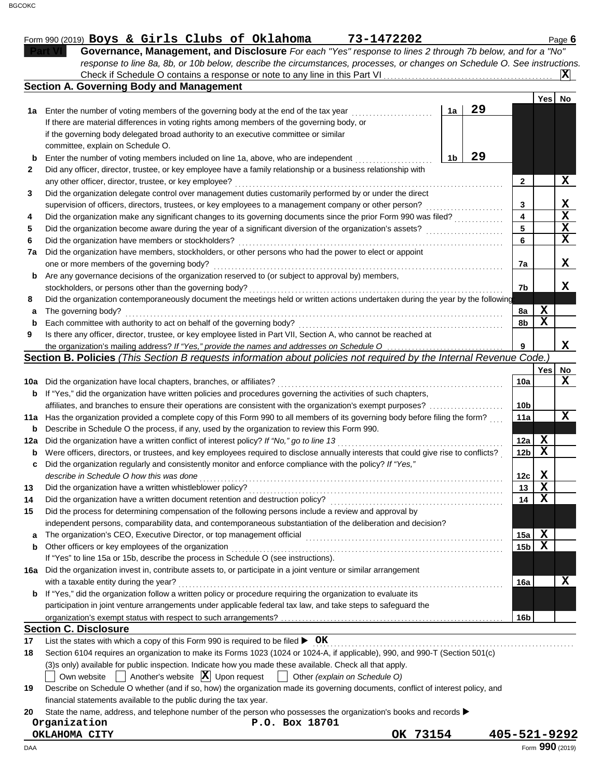|     | response to line 8a, 8b, or 10b below, describe the circumstances, processes, or changes on Schedule O. See instructions.           |                 |             |                 |
|-----|-------------------------------------------------------------------------------------------------------------------------------------|-----------------|-------------|-----------------|
|     | Check if Schedule O contains a response or note to any line in this Part VI.                                                        |                 |             |                 |
|     | <b>Section A. Governing Body and Management</b>                                                                                     |                 |             |                 |
|     |                                                                                                                                     |                 | Yes No      |                 |
|     | 29<br>1a Enter the number of voting members of the governing body at the end of the tax year<br>1a                                  |                 |             |                 |
|     | If there are material differences in voting rights among members of the governing body, or                                          |                 |             |                 |
|     | if the governing body delegated broad authority to an executive committee or similar                                                |                 |             |                 |
|     | committee, explain on Schedule O.                                                                                                   |                 |             |                 |
|     | 29<br>1b<br>Enter the number of voting members included on line 1a, above, who are independent                                      |                 |             |                 |
| 2   | Did any officer, director, trustee, or key employee have a family relationship or a business relationship with                      |                 |             |                 |
|     | any other officer, director, trustee, or key employee?                                                                              | $\mathbf{2}$    |             | X               |
| 3   | Did the organization delegate control over management duties customarily performed by or under the direct                           |                 |             |                 |
|     | supervision of officers, directors, trustees, or key employees to a management company or other person?                             | 3               |             | X               |
| 4   | Did the organization make any significant changes to its governing documents since the prior Form 990 was filed?                    | 4               |             | $\mathbf x$     |
| 5   | Did the organization become aware during the year of a significant diversion of the organization's assets?                          | 5               |             | X               |
| 6   | Did the organization have members or stockholders?                                                                                  | 6               |             | X               |
| 7a  | Did the organization have members, stockholders, or other persons who had the power to elect or appoint                             |                 |             |                 |
|     | one or more members of the governing body?                                                                                          | 7a              |             | X               |
| b   | Are any governance decisions of the organization reserved to (or subject to approval by) members,                                   |                 |             |                 |
|     | stockholders, or persons other than the governing body?                                                                             | 7b              |             | x               |
| 8   | Did the organization contemporaneously document the meetings held or written actions undertaken during the year by the following    |                 |             |                 |
| а   | The governing body?                                                                                                                 | 8a              | X           |                 |
|     | Each committee with authority to act on behalf of the governing body?                                                               | 8b              | $\mathbf x$ |                 |
| 9   | Is there any officer, director, trustee, or key employee listed in Part VII, Section A, who cannot be reached at                    |                 |             |                 |
|     | the organization's mailing address? If "Yes," provide the names and addresses on Schedule O                                         | 9               |             | X               |
|     | Section B. Policies (This Section B requests information about policies not required by the Internal Revenue Code.)                 |                 |             |                 |
|     |                                                                                                                                     |                 | Yes         | No              |
| 10a | Did the organization have local chapters, branches, or affiliates?                                                                  | 10a             |             | X               |
| b   | If "Yes," did the organization have written policies and procedures governing the activities of such chapters,                      |                 |             |                 |
|     | affiliates, and branches to ensure their operations are consistent with the organization's exempt purposes?                         | 10 <sub>b</sub> |             |                 |
| 11a | Has the organization provided a complete copy of this Form 990 to all members of its governing body before filing the form?         | 11a             |             | x               |
| b   | Describe in Schedule O the process, if any, used by the organization to review this Form 990.                                       |                 |             |                 |
| 12a | Did the organization have a written conflict of interest policy? If "No," go to line 13                                             | 12a             | X           |                 |
| b   | Were officers, directors, or trustees, and key employees required to disclose annually interests that could give rise to conflicts? | 12 <sub>b</sub> | $\mathbf X$ |                 |
|     | Did the organization regularly and consistently monitor and enforce compliance with the policy? If "Yes,"                           |                 |             |                 |
|     | describe in Schedule O how this was done                                                                                            | 12c             | X           |                 |
| 13  | Did the organization have a written whistleblower policy?                                                                           | 13              | X           |                 |
| 14  | Did the organization have a written document retention and destruction policy?                                                      | 14              | $\mathbf x$ |                 |
| 15  | Did the process for determining compensation of the following persons include a review and approval by                              |                 |             |                 |
|     | independent persons, comparability data, and contemporaneous substantiation of the deliberation and decision?                       |                 |             |                 |
| а   | The organization's CEO, Executive Director, or top management official                                                              | 15a             | X           |                 |
| b   | Other officers or key employees of the organization                                                                                 | 15 <sub>b</sub> | X           |                 |
|     | If "Yes" to line 15a or 15b, describe the process in Schedule O (see instructions).                                                 |                 |             |                 |
| 16a | Did the organization invest in, contribute assets to, or participate in a joint venture or similar arrangement                      |                 |             |                 |
|     | with a taxable entity during the year?                                                                                              | 16a             |             | X               |
| b   | If "Yes," did the organization follow a written policy or procedure requiring the organization to evaluate its                      |                 |             |                 |
|     |                                                                                                                                     |                 |             |                 |
|     | participation in joint venture arrangements under applicable federal tax law, and take steps to safeguard the                       |                 |             |                 |
|     | <b>Section C. Disclosure</b>                                                                                                        | 16 <sub>b</sub> |             |                 |
|     |                                                                                                                                     |                 |             |                 |
| 17  | List the states with which a copy of this Form 990 is required to be filed $\triangleright$ OK                                      |                 |             |                 |
| 18  | Section 6104 requires an organization to make its Forms 1023 (1024 or 1024-A, if applicable), 990, and 990-T (Section 501(c)        |                 |             |                 |
|     | (3)s only) available for public inspection. Indicate how you made these available. Check all that apply.                            |                 |             |                 |
|     | Another's website $ \mathbf{X} $ Upon request<br>Own website<br>Other (explain on Schedule O)                                       |                 |             |                 |
| 19  | Describe on Schedule O whether (and if so, how) the organization made its governing documents, conflict of interest policy, and     |                 |             |                 |
|     | financial statements available to the public during the tax year.                                                                   |                 |             |                 |
| 20  | State the name, address, and telephone number of the person who possesses the organization's books and records                      |                 |             |                 |
|     | Organization<br>P.O. Box 18701                                                                                                      |                 |             |                 |
|     | OK 73154<br>OKLAHOMA CITY                                                                                                           | 405-521-9292    |             |                 |
| DAA |                                                                                                                                     |                 |             | Form 990 (2019) |

**Part VI Governance, Management, and Disclosure** *For each "Yes" response to lines 2 through 7b below, and for a "No"*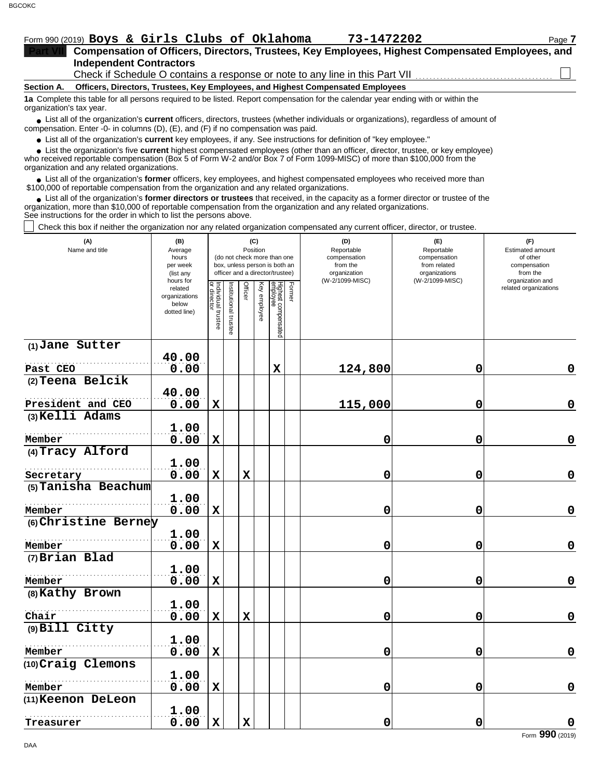|                          | Form 990 (2019) Boys & Girls Clubs of Oklahoma                                                                                                | 73-1472202 | Page 7 |  |  |  |  |  |  |  |
|--------------------------|-----------------------------------------------------------------------------------------------------------------------------------------------|------------|--------|--|--|--|--|--|--|--|
|                          | Compensation of Officers, Directors, Trustees, Key Employees, Highest Compensated Employees, and                                              |            |        |  |  |  |  |  |  |  |
|                          | <b>Independent Contractors</b>                                                                                                                |            |        |  |  |  |  |  |  |  |
|                          | Check if Schedule O contains a response or note to any line in this Part VII                                                                  |            |        |  |  |  |  |  |  |  |
| <b>Section A.</b>        | Officers, Directors, Trustees, Key Employees, and Highest Compensated Employees                                                               |            |        |  |  |  |  |  |  |  |
| organization's tax year. | 1a Complete this table for all persons required to be listed. Report compensation for the calendar year ending with or within the             |            |        |  |  |  |  |  |  |  |
|                          | • List all of the organization's <b>current</b> officers, directors, trustees (whether individuals or organizations), regardless of amount of |            |        |  |  |  |  |  |  |  |

● List all of the organization's **current** officers, directors, trustees (whether ind compensation. Enter -0- in columns (D), (E), and (F) if no compensation was paid.

● List all of the organization's **current** key employees, if any. See instructions for definition of "key employee."

who received reportable compensation (Box 5 of Form W-2 and/or Box 7 of Form 1099-MISC) of more than \$100,000 from the ■ List the organization's five **current** highest compensated employees (other than an officer, director, trustee, or key employee)<br> **•** Preceived reportable compensation (Box 5 of Form W-2 and/or Box 7 of Form 1000 MISC)

organization and any related organizations.

● List all of the organization's **former** officers, key employees, and highest compensated employees who received more than<br>00,000 of reportable compensation from the erganization and any related erganizations. \$100,000 of reportable compensation from the organization and any related organizations.

List all of the organization's **former directors or trustees** that received, in the capacity as a former director or trustee of the • List all of the organization's **former directors or trustees** that received, in the capacity as a former director organization, more than \$10,000 of reportable compensation from the organization and any related organizat See instructions for the order in which to list the persons above.

Check this box if neither the organization nor any related organization compensated any current officer, director, or trustee.

| (A)<br>Name and title | (B)<br>Average<br>hours<br>per week<br>(list any<br>hours for |                                   | (C)<br>Position<br>(do not check more than one<br>box, unless person is both an<br>officer and a director/trustee) |             |              |                                 |        | (D)<br>Reportable<br>compensation<br>from the<br>organization<br>(W-2/1099-MISC) | (E)<br>Reportable<br>compensation<br>from related<br>organizations<br>(W-2/1099-MISC) | (F)<br><b>Estimated amount</b><br>of other<br>compensation<br>from the<br>organization and |  |
|-----------------------|---------------------------------------------------------------|-----------------------------------|--------------------------------------------------------------------------------------------------------------------|-------------|--------------|---------------------------------|--------|----------------------------------------------------------------------------------|---------------------------------------------------------------------------------------|--------------------------------------------------------------------------------------------|--|
|                       | related<br>organizations<br>below<br>dotted line)             | Individual trustee<br>or director | nstitutional trustee                                                                                               | Officer     | Key employee | Highest compensated<br>employee | Former |                                                                                  |                                                                                       | related organizations                                                                      |  |
| (1) Jane Sutter       |                                                               |                                   |                                                                                                                    |             |              |                                 |        |                                                                                  |                                                                                       |                                                                                            |  |
| Past CEO              | 40.00<br>0.00                                                 |                                   |                                                                                                                    |             |              | $\mathbf x$                     |        | 124,800                                                                          | $\mathbf 0$                                                                           | 0                                                                                          |  |
| (2) Teena Belcik      |                                                               |                                   |                                                                                                                    |             |              |                                 |        |                                                                                  |                                                                                       |                                                                                            |  |
|                       | 40.00                                                         |                                   |                                                                                                                    |             |              |                                 |        |                                                                                  |                                                                                       |                                                                                            |  |
| President and CEO     | 0.00                                                          | $\mathbf x$                       |                                                                                                                    |             |              |                                 |        | 115,000                                                                          | 0                                                                                     | $\mathbf 0$                                                                                |  |
| (3) Kelli Adams       |                                                               |                                   |                                                                                                                    |             |              |                                 |        |                                                                                  |                                                                                       |                                                                                            |  |
|                       | 1.00                                                          |                                   |                                                                                                                    |             |              |                                 |        |                                                                                  |                                                                                       |                                                                                            |  |
| Member                | 0.00                                                          | $\mathbf x$                       |                                                                                                                    |             |              |                                 |        | 0                                                                                | 0                                                                                     | $\mathbf 0$                                                                                |  |
| (4) Tracy Alford      | 1.00                                                          |                                   |                                                                                                                    |             |              |                                 |        |                                                                                  |                                                                                       |                                                                                            |  |
| Secretary             | 0.00                                                          | $\mathbf x$                       |                                                                                                                    | $\mathbf x$ |              |                                 |        | 0                                                                                | $\mathbf 0$                                                                           | $\mathbf 0$                                                                                |  |
| (5) Tanisha Beachum   |                                                               |                                   |                                                                                                                    |             |              |                                 |        |                                                                                  |                                                                                       |                                                                                            |  |
|                       | 1.00                                                          |                                   |                                                                                                                    |             |              |                                 |        |                                                                                  |                                                                                       |                                                                                            |  |
| Member                | 0.00                                                          | $\mathbf x$                       |                                                                                                                    |             |              |                                 |        | 0                                                                                | 0                                                                                     | $\mathbf 0$                                                                                |  |
| (6) Christine Berney  |                                                               |                                   |                                                                                                                    |             |              |                                 |        |                                                                                  |                                                                                       |                                                                                            |  |
| Member                | 1.00<br>0.00                                                  | $\mathbf x$                       |                                                                                                                    |             |              |                                 |        | 0                                                                                | 0                                                                                     | $\pmb{0}$                                                                                  |  |
| (7) Brian Blad        |                                                               |                                   |                                                                                                                    |             |              |                                 |        |                                                                                  |                                                                                       |                                                                                            |  |
|                       | 1.00                                                          |                                   |                                                                                                                    |             |              |                                 |        |                                                                                  |                                                                                       |                                                                                            |  |
| Member                | 0.00                                                          | $\mathbf x$                       |                                                                                                                    |             |              |                                 |        | 0                                                                                | 0                                                                                     | $\mathbf 0$                                                                                |  |
| (8) Kathy Brown       |                                                               |                                   |                                                                                                                    |             |              |                                 |        |                                                                                  |                                                                                       |                                                                                            |  |
|                       | 1.00                                                          |                                   |                                                                                                                    |             |              |                                 |        |                                                                                  |                                                                                       |                                                                                            |  |
| Chair                 | 0.00                                                          | $\mathbf x$                       |                                                                                                                    | $\mathbf x$ |              |                                 |        | 0                                                                                | 0                                                                                     | $\mathbf 0$                                                                                |  |
| (9) Bill Citty        | 1.00                                                          |                                   |                                                                                                                    |             |              |                                 |        |                                                                                  |                                                                                       |                                                                                            |  |
| Member                | 0.00                                                          | $\mathbf x$                       |                                                                                                                    |             |              |                                 |        | 0                                                                                | $\mathbf 0$                                                                           | $\pmb{0}$                                                                                  |  |
| (10) Craig Clemons    |                                                               |                                   |                                                                                                                    |             |              |                                 |        |                                                                                  |                                                                                       |                                                                                            |  |
|                       | 1.00                                                          |                                   |                                                                                                                    |             |              |                                 |        |                                                                                  |                                                                                       |                                                                                            |  |
| Member                | 0.00                                                          | $\mathbf x$                       |                                                                                                                    |             |              |                                 |        | 0                                                                                | 0                                                                                     | $\mathbf 0$                                                                                |  |
| (11) Keenon DeLeon    |                                                               |                                   |                                                                                                                    |             |              |                                 |        |                                                                                  |                                                                                       |                                                                                            |  |
|                       | 1.00                                                          |                                   |                                                                                                                    |             |              |                                 |        |                                                                                  |                                                                                       |                                                                                            |  |
| Treasurer             | 0.00                                                          | $\mathbf x$                       |                                                                                                                    | $\mathbf x$ |              |                                 |        | 0                                                                                | $\mathbf 0$                                                                           | $\mathbf 0$                                                                                |  |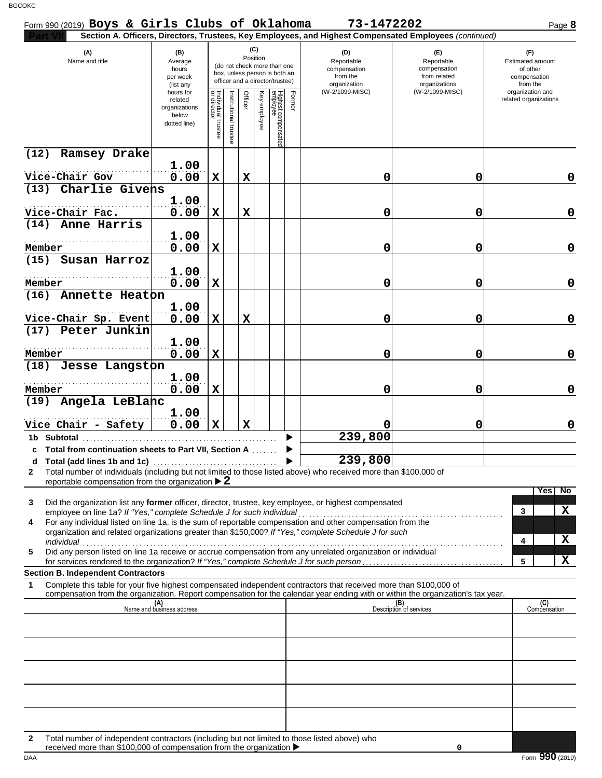| Form 990 (2019) Boys & Girls Clubs of Oklahoma                                                                                                                                                                                          |                                                                |                                      |                         |             |                 |                                                                                                 |        | 73-1472202                                                                                             |                                                                    | Page 8                                                                 |
|-----------------------------------------------------------------------------------------------------------------------------------------------------------------------------------------------------------------------------------------|----------------------------------------------------------------|--------------------------------------|-------------------------|-------------|-----------------|-------------------------------------------------------------------------------------------------|--------|--------------------------------------------------------------------------------------------------------|--------------------------------------------------------------------|------------------------------------------------------------------------|
|                                                                                                                                                                                                                                         |                                                                |                                      |                         |             |                 |                                                                                                 |        | Section A. Officers, Directors, Trustees, Key Employees, and Highest Compensated Employees (continued) |                                                                    |                                                                        |
| (A)<br>Name and title                                                                                                                                                                                                                   | (B)<br>Average<br>hours<br>per week<br>(list any               |                                      |                         |             | (C)<br>Position | (do not check more than one<br>box, unless person is both an<br>officer and a director/trustee) |        | (D)<br>Reportable<br>compensation<br>from the<br>organization                                          | (F)<br>Reportable<br>compensation<br>from related<br>organizations | (F)<br><b>Estimated amount</b><br>of other<br>compensation<br>from the |
|                                                                                                                                                                                                                                         | hours for<br>related<br>organizations<br>below<br>dotted line) | Individual<br>or director<br>trustee | nstitutional<br>trustee | Officer     | Key employee    | Highest compensated<br>employee                                                                 | Former | (W-2/1099-MISC)                                                                                        | (W-2/1099-MISC)                                                    | organization and<br>related organizations                              |
| (12)<br>Ramsey Drake                                                                                                                                                                                                                    | 1.00                                                           |                                      |                         |             |                 |                                                                                                 |        |                                                                                                        |                                                                    |                                                                        |
| Vice-Chair Gov                                                                                                                                                                                                                          | 0.00                                                           | X                                    |                         | X           |                 |                                                                                                 |        | 0                                                                                                      | 0                                                                  | 0                                                                      |
| (13) Charlie Givens                                                                                                                                                                                                                     |                                                                |                                      |                         |             |                 |                                                                                                 |        |                                                                                                        |                                                                    |                                                                        |
|                                                                                                                                                                                                                                         | 1.00                                                           |                                      |                         |             |                 |                                                                                                 |        |                                                                                                        |                                                                    |                                                                        |
| Vice-Chair Fac.<br>(14) Anne Harris                                                                                                                                                                                                     | 0.00                                                           | X                                    |                         | X           |                 |                                                                                                 |        | 0                                                                                                      | 0                                                                  | $\mathbf 0$                                                            |
|                                                                                                                                                                                                                                         | 1.00                                                           |                                      |                         |             |                 |                                                                                                 |        |                                                                                                        |                                                                    |                                                                        |
| Member                                                                                                                                                                                                                                  | 0.00                                                           | X                                    |                         |             |                 |                                                                                                 |        | 0                                                                                                      | 0                                                                  | 0                                                                      |
| Susan Harroz<br>(15)                                                                                                                                                                                                                    |                                                                |                                      |                         |             |                 |                                                                                                 |        |                                                                                                        |                                                                    |                                                                        |
|                                                                                                                                                                                                                                         | 1.00                                                           |                                      |                         |             |                 |                                                                                                 |        |                                                                                                        |                                                                    |                                                                        |
| Member                                                                                                                                                                                                                                  | 0.00                                                           | X                                    |                         |             |                 |                                                                                                 |        | 0                                                                                                      | 0                                                                  | 0                                                                      |
| Annette Heaton<br>(16)                                                                                                                                                                                                                  | 1.00                                                           |                                      |                         |             |                 |                                                                                                 |        |                                                                                                        |                                                                    |                                                                        |
| Vice-Chair Sp. Event                                                                                                                                                                                                                    | 0.00                                                           | X                                    |                         | X           |                 |                                                                                                 |        | 0                                                                                                      | 0                                                                  | 0                                                                      |
| (17) Peter Junkin                                                                                                                                                                                                                       |                                                                |                                      |                         |             |                 |                                                                                                 |        |                                                                                                        |                                                                    |                                                                        |
| Member                                                                                                                                                                                                                                  | 1.00<br>0.00                                                   | X                                    |                         |             |                 |                                                                                                 |        | 0                                                                                                      | 0                                                                  | 0                                                                      |
| (18) Jesse Langston                                                                                                                                                                                                                     |                                                                |                                      |                         |             |                 |                                                                                                 |        |                                                                                                        |                                                                    |                                                                        |
| Member                                                                                                                                                                                                                                  | 1.00<br>0.00                                                   | X                                    |                         |             |                 |                                                                                                 |        | 0                                                                                                      | 0                                                                  | 0                                                                      |
| (19) Angela LeBlanc                                                                                                                                                                                                                     |                                                                |                                      |                         |             |                 |                                                                                                 |        |                                                                                                        |                                                                    |                                                                        |
| Vice Chair - Safety                                                                                                                                                                                                                     | 1.00                                                           | $\mathbf x$                          |                         | $\mathbf x$ |                 |                                                                                                 |        |                                                                                                        | 0                                                                  |                                                                        |
| 1b Subtotal                                                                                                                                                                                                                             | 0.00                                                           |                                      |                         |             |                 |                                                                                                 |        | 239,800                                                                                                |                                                                    | 0                                                                      |
| c Total from continuation sheets to Part VII, Section A                                                                                                                                                                                 |                                                                |                                      |                         |             |                 |                                                                                                 |        |                                                                                                        |                                                                    |                                                                        |
|                                                                                                                                                                                                                                         |                                                                |                                      |                         |             |                 |                                                                                                 |        | 239,800                                                                                                |                                                                    |                                                                        |
| Total number of individuals (including but not limited to those listed above) who received more than \$100,000 of<br>$\mathbf{2}$<br>reportable compensation from the organization $\triangleright$ 2                                   |                                                                |                                      |                         |             |                 |                                                                                                 |        |                                                                                                        |                                                                    |                                                                        |
| Did the organization list any former officer, director, trustee, key employee, or highest compensated<br>3<br>employee on line 1a? If "Yes," complete Schedule J for such individual                                                    |                                                                |                                      |                         |             |                 |                                                                                                 |        |                                                                                                        |                                                                    | Yes No<br>X<br>3                                                       |
| For any individual listed on line 1a, is the sum of reportable compensation and other compensation from the<br>4<br>organization and related organizations greater than \$150,000? If "Yes," complete Schedule J for such<br>individual |                                                                |                                      |                         |             |                 |                                                                                                 |        |                                                                                                        |                                                                    | X<br>4                                                                 |
| marviauar<br>Did any person listed on line 1a receive or accrue compensation from any unrelated organization or individual<br>5                                                                                                         |                                                                |                                      |                         |             |                 |                                                                                                 |        |                                                                                                        |                                                                    |                                                                        |
| for services rendered to the organization? If "Yes," complete Schedule J for such person                                                                                                                                                |                                                                |                                      |                         |             |                 |                                                                                                 |        |                                                                                                        |                                                                    | X<br>5                                                                 |
| <b>Section B. Independent Contractors</b><br>Complete this table for your five highest compensated independent contractors that received more than \$100,000 of<br>1                                                                    |                                                                |                                      |                         |             |                 |                                                                                                 |        |                                                                                                        |                                                                    |                                                                        |
| compensation from the organization. Report compensation for the calendar year ending with or within the organization's tax year.                                                                                                        |                                                                |                                      |                         |             |                 |                                                                                                 |        |                                                                                                        |                                                                    |                                                                        |
|                                                                                                                                                                                                                                         | (A)<br>Name and business address                               |                                      |                         |             |                 |                                                                                                 |        |                                                                                                        | (B)<br>Description of services                                     | (C)<br>Compensation                                                    |
|                                                                                                                                                                                                                                         |                                                                |                                      |                         |             |                 |                                                                                                 |        |                                                                                                        |                                                                    |                                                                        |
|                                                                                                                                                                                                                                         |                                                                |                                      |                         |             |                 |                                                                                                 |        |                                                                                                        |                                                                    |                                                                        |
|                                                                                                                                                                                                                                         |                                                                |                                      |                         |             |                 |                                                                                                 |        |                                                                                                        |                                                                    |                                                                        |
|                                                                                                                                                                                                                                         |                                                                |                                      |                         |             |                 |                                                                                                 |        |                                                                                                        |                                                                    |                                                                        |
|                                                                                                                                                                                                                                         |                                                                |                                      |                         |             |                 |                                                                                                 |        |                                                                                                        |                                                                    |                                                                        |
| Total number of independent contractors (including but not limited to those listed above) who<br>$\mathbf{2}$                                                                                                                           |                                                                |                                      |                         |             |                 |                                                                                                 |        |                                                                                                        |                                                                    |                                                                        |
| received more than \$100,000 of compensation from the organization ▶                                                                                                                                                                    |                                                                |                                      |                         |             |                 |                                                                                                 |        |                                                                                                        | 0                                                                  |                                                                        |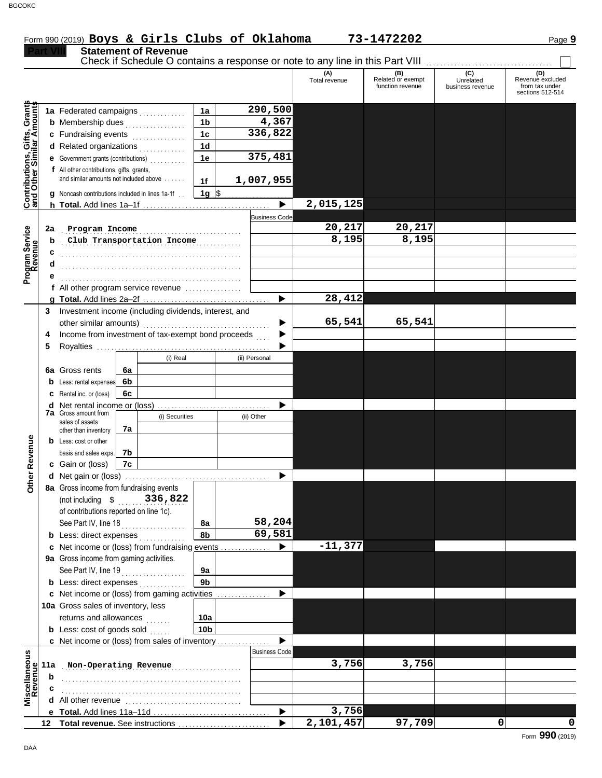**Statement of Revenue** 

#### Check if Schedule O contains a response or note to any line in this Part VIII. **(A) (B) (C) (D)** Total revenue Related or exempt Unrelated Revenue excluded<br>
function revenue business revenue from tax under business revenue sections 512-514 **ontributions, Gifts, Grants** ants **mounts 290,500 1a 1a** Federated campaigns **. . . . . . . . . . 4,367 1b b** Membership dues . . . . . . . . . . . . . . **336,822 1c c** Fundraising events **.............**... **and Other Similar A 1d d** Related organizations <sub>.</sub> . . . . . . . . . . **375,481 1e e** Government grants (contributions) . . . . . . . . . . **f** All other contributions, gifts, grants, and similar amounts not included above  $\dots$ ... **1,007,955 1f 1g g** Noncash contributions included in lines 1a-1f . .  $\frac{1}{2}$ **2,015,125**  $\blacktriangleright$ **h Total.** Add lines 1a–1f . . . . . . . . . . . . . . . . . . . . . . . . . . . . . . . . . . . . **C** Business Code . . . . . . . . . . . . . . . . . . . . . . . . . . . . . . . . . . . . . . . . . . . . . . . . . . . **Program Income 20,217 20,217 2a Program Service club Transportation Income 1.195 8,195 8,195 b Revenue c** . . . . . . . . . . . . . . . . . . . . . . . . . . . . . . . . . . . . . . . . . . . . . . . . . . . **d** . . . . . . . . . . . . . . . . . . . . . . . . . . . . . . . . . . . . . . . . . . . . . . . . . . . **e** . . . . . . . . . . . . . . . . . . . . . . . . . . . . . . . . . . . . . . . . . . . . . . . . . . . **f** All other program service revenue . . . . . . . . . . . . . . . . **28,412 g Total.** Add lines 2a–2f . . . . . . . . . . . . . . . . . . . . . . . . . . . . . . . . . . . . **3** Investment income (including dividends, interest, and ь **65,541 65,541** other similar amounts) . . . . . . . . . . . . . . . . . . . . . . . . . . . . . . . . . . . . Income from investment of tax-exempt bond proceeds **4** ▶ **5** Royalties ..... ▶ (i) Real (ii) Personal **6a** Gross rents **6a 6b b** Less: rental expenses **6c c** Rental inc. or (loss) **d** Net rental income or (loss) . . . . . . . . . . . . . . . . . . . . . . . . . . . . . . . . ▶ **7a** Gross amount from (i) Securities (ii) Other sales of assets **7a** other than inventory Revenue **Other Revenue b** Less: cost or other **7b** basis and sales exps. **c** Gain or (loss) **7c** Other I **d** Net gain or (loss) . . . . . . . . . . . . . . . . . . . . . . . . . . . . . . . . . . . . . . . . . **8a** Gross income from fundraising events (not including \$ . . . . . . . . . . . . . . . . . . . **336,822** of contributions reported on line 1c). See Part IV, line 18 . . . . . . . . . . . . . . . . . . **58,204 8a 8b 69,581 b** Less: direct expenses <sub>.</sub> . . . . . . . . . . **-11,377 c** Net income or (loss) from fundraising events . . . . . . . . . . . . ▶ **9a** Gross income from gaming activities. See Part IV, line 19 . . . . . . . . . . . . . . . . . . **9a 9b b** Less: direct expenses  $\ldots$ ▶ **c** Net income or (loss) from gaming activities .............. 10a Gross sales of inventory, less returns and allowances **10a 10b b** Less:  $\cosh$  of goods  $\sinh$ ▶ Net income or (loss) from sales of inventory . . . . . . . . . . . . . . . **c** Business Code **Viscellaneous**<br>Revenue **Miscellaneous** . . . . . . . . . . . . . . . . . . . . . . . . . . . . . . . . . . . . . . . . . . . . . . . . . . . **Non-Operating Revenue 3,756 3,756 11a b** . . . . . . . . . . . . . . . . . . . . . . . . . . . . . . . . . . . . . . . . . . . . . . . . . . . **c** . . . . . . . . . . . . . . . . . . . . . . . . . . . . . . . . . . . . . . . . . . . . . . . . . . . **d** All other revenue . . . . . . . . . . . . . . . . . . . . . . . . . . . . . . . . . **3,756** Total. Add lines 11a-11d ь **e 2,101,457 97,709 0 0 Total revenue.** See instructions  $\blacktriangleright$ **12**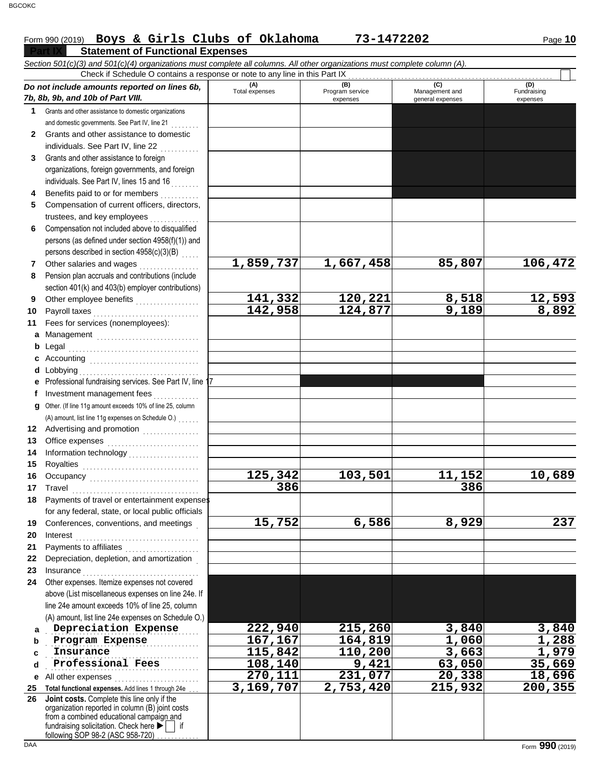# Form 990 (2019) Page **10 Boys & Girls Clubs of Oklahoma 73-1472202**

|              | <b>Statement of Functional Expenses</b>                                                                                    |                       |                                    |                                           |                                |
|--------------|----------------------------------------------------------------------------------------------------------------------------|-----------------------|------------------------------------|-------------------------------------------|--------------------------------|
|              | Section 501(c)(3) and 501(c)(4) organizations must complete all columns. All other organizations must complete column (A). |                       |                                    |                                           |                                |
|              | Check if Schedule O contains a response or note to any line in this Part IX                                                |                       |                                    |                                           |                                |
|              | Do not include amounts reported on lines 6b,<br>7b, 8b, 9b, and 10b of Part VIII.                                          | (A)<br>Total expenses | (B)<br>Program service<br>expenses | (C)<br>Management and<br>general expenses | (D)<br>Fundraising<br>expenses |
| 1.           | Grants and other assistance to domestic organizations                                                                      |                       |                                    |                                           |                                |
|              | and domestic governments. See Part IV, line 21                                                                             |                       |                                    |                                           |                                |
| $\mathbf{2}$ | Grants and other assistance to domestic                                                                                    |                       |                                    |                                           |                                |
|              | individuals. See Part IV, line 22                                                                                          |                       |                                    |                                           |                                |
| 3            | Grants and other assistance to foreign                                                                                     |                       |                                    |                                           |                                |
|              | organizations, foreign governments, and foreign                                                                            |                       |                                    |                                           |                                |
|              | individuals. See Part IV, lines 15 and 16                                                                                  |                       |                                    |                                           |                                |
| 4            | Benefits paid to or for members                                                                                            |                       |                                    |                                           |                                |
| 5            | Compensation of current officers, directors,                                                                               |                       |                                    |                                           |                                |
|              | trustees, and key employees                                                                                                |                       |                                    |                                           |                                |
| 6            | Compensation not included above to disqualified                                                                            |                       |                                    |                                           |                                |
|              | persons (as defined under section 4958(f)(1)) and                                                                          |                       |                                    |                                           |                                |
|              | persons described in section 4958(c)(3)(B)                                                                                 |                       |                                    |                                           |                                |
| 7            | Other salaries and wages                                                                                                   | 1,859,737             | 1,667,458                          | 85,807                                    | 106,472                        |
| 8            | Pension plan accruals and contributions (include                                                                           |                       |                                    |                                           |                                |
|              | section 401(k) and 403(b) employer contributions)                                                                          |                       |                                    |                                           |                                |
| 9            | Other employee benefits                                                                                                    | 141, 332              | 120,221                            | 8,518                                     | 12,593                         |
| 10           | Payroll taxes                                                                                                              | 142,958               | 124,877                            | 9,189                                     | 8,892                          |
| 11           | Fees for services (nonemployees):                                                                                          |                       |                                    |                                           |                                |
|              | a Management                                                                                                               |                       |                                    |                                           |                                |
| b            | Legal                                                                                                                      |                       |                                    |                                           |                                |
| c            |                                                                                                                            |                       |                                    |                                           |                                |
| d            | Lobbying                                                                                                                   |                       |                                    |                                           |                                |
|              | e Professional fundraising services. See Part IV, line 1                                                                   |                       |                                    |                                           |                                |
|              | Investment management fees                                                                                                 |                       |                                    |                                           |                                |
| g            | Other. (If line 11g amount exceeds 10% of line 25, column                                                                  |                       |                                    |                                           |                                |
|              | (A) amount, list line 11g expenses on Schedule O.)                                                                         |                       |                                    |                                           |                                |
| 12           |                                                                                                                            |                       |                                    |                                           |                                |
| 13           |                                                                                                                            |                       |                                    |                                           |                                |
| 14           | Information technology<br>                                                                                                 |                       |                                    |                                           |                                |
| 15           |                                                                                                                            |                       |                                    |                                           |                                |
| 16           | Occupancy                                                                                                                  | 125,342               | 103,501                            | 11,152                                    | 10,689                         |
|              | 17 Travel                                                                                                                  | 386                   |                                    | $\overline{386}$                          |                                |
| 18           | Payments of travel or entertainment expenses                                                                               |                       |                                    |                                           |                                |
|              | for any federal, state, or local public officials                                                                          |                       |                                    |                                           |                                |
| 19           | Conferences, conventions, and meetings                                                                                     | 15,752                | 6,586                              | 8,929                                     | 237                            |
| 20           |                                                                                                                            |                       |                                    |                                           |                                |
| 21           |                                                                                                                            |                       |                                    |                                           |                                |
| 22           | Depreciation, depletion, and amortization                                                                                  |                       |                                    |                                           |                                |
| 23           | Insurance <b>continuous</b>                                                                                                |                       |                                    |                                           |                                |
| 24           | Other expenses. Itemize expenses not covered                                                                               |                       |                                    |                                           |                                |
|              | above (List miscellaneous expenses on line 24e. If                                                                         |                       |                                    |                                           |                                |
|              | line 24e amount exceeds 10% of line 25, column                                                                             |                       |                                    |                                           |                                |
|              | (A) amount, list line 24e expenses on Schedule O.)                                                                         |                       |                                    |                                           |                                |
| a            | Depreciation Expense                                                                                                       | 222,940               | 215,260                            | 3,840                                     | 3,840                          |
| b            | Program Expense                                                                                                            | 167,167               | 164,819                            | 1,060                                     | 1,288                          |
| c            | Insurance                                                                                                                  | 115,842               | 110,200                            | 3,663                                     | 1,979                          |
| d            | Professional Fees                                                                                                          | 108,140               | 9,421                              | 63,050                                    | 35,669                         |
| е            | All other expenses                                                                                                         | 270,111               | 231,077                            | 20,338                                    | 18,696                         |
| 25           | Total functional expenses. Add lines 1 through 24e                                                                         | 3,169,707             | 2,753,420                          | 215,932                                   | 200,355                        |
| 26           | Joint costs. Complete this line only if the                                                                                |                       |                                    |                                           |                                |
|              | organization reported in column (B) joint costs                                                                            |                       |                                    |                                           |                                |
|              | from a combined educational campaign and<br>fundraising solicitation. Check here ▶                                         |                       |                                    |                                           |                                |
|              | following SOP 98-2 (ASC 958-720) $\ldots$                                                                                  |                       |                                    |                                           |                                |
| <b>DAA</b>   |                                                                                                                            |                       |                                    |                                           | Form 990 (2019)                |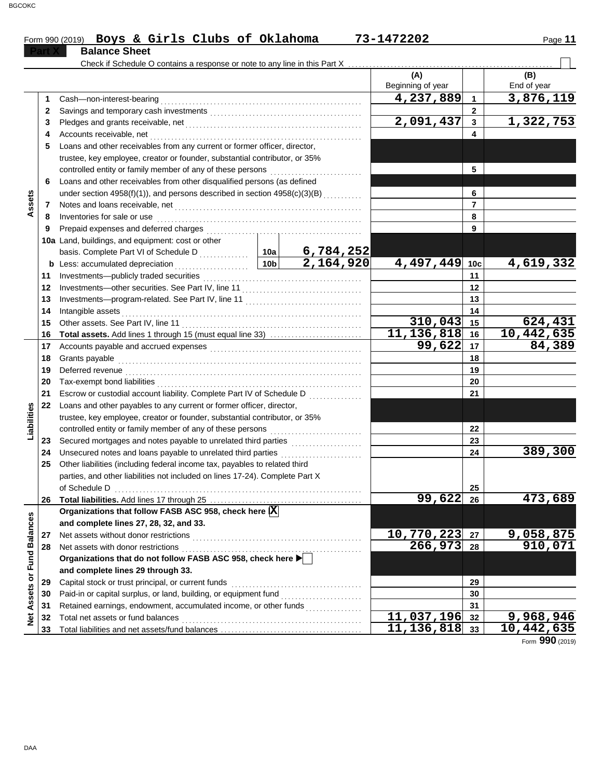|                             |    | Form 990 (2019) Boys & Girls Clubs of Oklahoma                                  |                        |                                                                                                                       | 73-1472202               |                | Page 11            |  |  |  |  |
|-----------------------------|----|---------------------------------------------------------------------------------|------------------------|-----------------------------------------------------------------------------------------------------------------------|--------------------------|----------------|--------------------|--|--|--|--|
|                             |    | <b>Balance Sheet</b>                                                            |                        |                                                                                                                       |                          |                |                    |  |  |  |  |
|                             |    | Check if Schedule O contains a response or note to any line in this Part X      |                        |                                                                                                                       |                          |                |                    |  |  |  |  |
|                             |    |                                                                                 |                        |                                                                                                                       | (A)<br>Beginning of year |                | (B)<br>End of year |  |  |  |  |
|                             | 1  | Cash-non-interest-bearing                                                       |                        |                                                                                                                       | 4,237,889                | $\mathbf{1}$   | 3,876,119          |  |  |  |  |
|                             | 2  |                                                                                 |                        |                                                                                                                       | $\overline{2}$           |                |                    |  |  |  |  |
|                             | 3  |                                                                                 |                        |                                                                                                                       | 2,091,437                | $\mathbf{3}$   | 1,322,753          |  |  |  |  |
|                             | 4  | Accounts receivable, net                                                        |                        |                                                                                                                       |                          | 4              |                    |  |  |  |  |
|                             | 5  | Loans and other receivables from any current or former officer, director,       |                        |                                                                                                                       |                          |                |                    |  |  |  |  |
|                             |    | trustee, key employee, creator or founder, substantial contributor, or 35%      |                        |                                                                                                                       |                          |                |                    |  |  |  |  |
|                             |    | controlled entity or family member of any of these persons                      |                        | 5                                                                                                                     |                          |                |                    |  |  |  |  |
|                             | 6  | Loans and other receivables from other disqualified persons (as defined         |                        |                                                                                                                       |                          |                |                    |  |  |  |  |
|                             |    | under section 4958(f)(1)), and persons described in section 4958(c)(3)(B)       |                        |                                                                                                                       |                          | 6              |                    |  |  |  |  |
| Assets                      | 7  | Notes and loans receivable, net                                                 |                        |                                                                                                                       |                          | $\overline{7}$ |                    |  |  |  |  |
|                             | 8  | Inventories for sale or use                                                     |                        |                                                                                                                       |                          | 8              |                    |  |  |  |  |
|                             | 9  | Prepaid expenses and deferred charges                                           |                        |                                                                                                                       |                          | 9              |                    |  |  |  |  |
|                             |    | 10a Land, buildings, and equipment: cost or other                               |                        |                                                                                                                       |                          |                |                    |  |  |  |  |
|                             |    |                                                                                 |                        | 6,784,252                                                                                                             |                          |                |                    |  |  |  |  |
|                             |    | <b>b</b> Less: accumulated depreciation<br>.                                    | 10 <sub>b</sub>        | 2,164,920                                                                                                             | 4,497,449 10c            |                | 4,619,332          |  |  |  |  |
|                             | 11 | Investments-publicly traded securities                                          |                        |                                                                                                                       | 11                       |                |                    |  |  |  |  |
|                             | 12 | Investments-other securities. See Part IV, line 11                              |                        | 12                                                                                                                    |                          |                |                    |  |  |  |  |
|                             | 13 |                                                                                 |                        |                                                                                                                       |                          |                |                    |  |  |  |  |
|                             | 14 | Intangible assets                                                               |                        |                                                                                                                       |                          | 14             |                    |  |  |  |  |
|                             | 15 | Other assets. See Part IV, line 11                                              |                        |                                                                                                                       | 310,043                  | 15             | 624,431            |  |  |  |  |
|                             | 16 | Total assets. Add lines 1 through 15 (must equal line 33)                       |                        |                                                                                                                       | 11, 136, 818             | 16             | 10, 442, 635       |  |  |  |  |
|                             | 17 |                                                                                 |                        |                                                                                                                       | 99,622                   | 17             | 84,389             |  |  |  |  |
|                             | 18 | Grants payable                                                                  |                        | 18                                                                                                                    |                          |                |                    |  |  |  |  |
|                             | 19 | Deferred revenue                                                                |                        |                                                                                                                       |                          | 19             |                    |  |  |  |  |
|                             | 20 |                                                                                 |                        |                                                                                                                       |                          | 20             |                    |  |  |  |  |
|                             | 21 | Escrow or custodial account liability. Complete Part IV of Schedule D           |                        |                                                                                                                       |                          | 21             |                    |  |  |  |  |
|                             | 22 | Loans and other payables to any current or former officer, director,            |                        |                                                                                                                       |                          |                |                    |  |  |  |  |
|                             |    | trustee, key employee, creator or founder, substantial contributor, or 35%      |                        |                                                                                                                       |                          |                |                    |  |  |  |  |
| Liabilities                 |    | controlled entity or family member of any of these persons                      |                        | <u> 1966 - Johann Stoff, Amerikaansk kanton en beskriuwer om de formannelse om de formannelse om de formannelse o</u> |                          | 22             |                    |  |  |  |  |
|                             | 23 | Secured mortgages and notes payable to unrelated third parties                  |                        |                                                                                                                       |                          | 23             |                    |  |  |  |  |
|                             | 24 | Unsecured notes and loans payable to unrelated third parties                    |                        |                                                                                                                       |                          | 24             | 389,300            |  |  |  |  |
|                             | 25 | Other liabilities (including federal income tax, payables to related third      |                        |                                                                                                                       |                          |                |                    |  |  |  |  |
|                             |    | parties, and other liabilities not included on lines 17-24). Complete Part X    |                        |                                                                                                                       |                          |                |                    |  |  |  |  |
|                             |    | of Schedule D                                                                   |                        |                                                                                                                       |                          | 25             |                    |  |  |  |  |
|                             | 26 |                                                                                 |                        |                                                                                                                       | 99,622                   | 26             | 473,689            |  |  |  |  |
|                             |    | Organizations that follow FASB ASC 958, check here $ \overline{\mathbf{X}} $    |                        |                                                                                                                       |                          |                |                    |  |  |  |  |
|                             |    | and complete lines 27, 28, 32, and 33.<br>Net assets without donor restrictions |                        |                                                                                                                       | 10,770,223               | 27             | 9,058,875          |  |  |  |  |
|                             | 27 | Net assets with donor restrictions                                              | $\overline{266}$ , 973 | 28                                                                                                                    | 910,071                  |                |                    |  |  |  |  |
|                             | 28 | Organizations that do not follow FASB ASC 958, check here                       |                        |                                                                                                                       |                          |                |                    |  |  |  |  |
|                             |    | and complete lines 29 through 33.                                               |                        |                                                                                                                       |                          |                |                    |  |  |  |  |
|                             | 29 | Capital stock or trust principal, or current funds                              |                        |                                                                                                                       |                          | 29             |                    |  |  |  |  |
|                             | 30 | Paid-in or capital surplus, or land, building, or equipment fund                |                        |                                                                                                                       |                          | 30             |                    |  |  |  |  |
|                             | 31 | Retained earnings, endowment, accumulated income, or other funds                |                        | <u> 1966 - Johann Stoff, Amerikaansk kanton (</u>                                                                     |                          | 31             |                    |  |  |  |  |
| Net Assets or Fund Balances | 32 | Total net assets or fund balances                                               |                        |                                                                                                                       | 11,037,196               | 32             | 9,968,946          |  |  |  |  |
|                             | 33 |                                                                                 |                        |                                                                                                                       | 11, 136, 818             | 33             | 10,442,635         |  |  |  |  |
|                             |    |                                                                                 |                        |                                                                                                                       |                          |                |                    |  |  |  |  |

Form **990** (2019)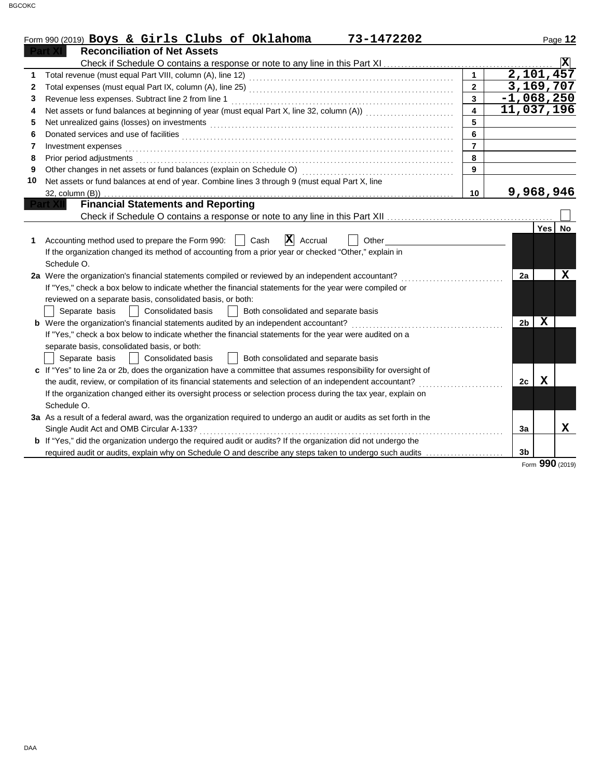|    | Form 990 (2019) Boys & Girls Clubs of Oklahoma<br>73-1472202                                                                                                                                                                   |                |                               | Page 12                  |
|----|--------------------------------------------------------------------------------------------------------------------------------------------------------------------------------------------------------------------------------|----------------|-------------------------------|--------------------------|
|    | <b>Reconciliation of Net Assets</b>                                                                                                                                                                                            |                |                               |                          |
|    |                                                                                                                                                                                                                                |                |                               | $\vert \mathbf{x} \vert$ |
| 1  | Total revenue (must equal Part VIII, column (A), line 12) [2010] [2010] [2010] [2010] [2010] [2010] [2010] [20                                                                                                                 | $\mathbf{1}$   |                               | 2,101,457                |
| 2  |                                                                                                                                                                                                                                | $\mathbf{p}$   |                               | 3,169,707                |
| 3  | Revenue less expenses. Subtract line 2 from line 1                                                                                                                                                                             | $\overline{3}$ |                               | $\overline{-1}$ ,068,250 |
| 4  | Net assets or fund balances at beginning of year (must equal Part X, line 32, column (A))                                                                                                                                      | 4              |                               | 11,037,196               |
| 5  | Net unrealized gains (losses) on investments [11] with the content of the content of the content of the content of the content of the content of the content of the content of the content of the content of the content of th | 5              |                               |                          |
| 6  |                                                                                                                                                                                                                                | 6              |                               |                          |
| 7  | Investment expenses                                                                                                                                                                                                            | $\overline{7}$ |                               |                          |
| 8  | Prior period adjustments [11, 12] and the contract of the contract of the contract of the contract of the contract of the contract of the contract of the contract of the contract of the contract of the contract of the cont | 8              |                               |                          |
| 9  |                                                                                                                                                                                                                                | 9              |                               |                          |
| 10 | Net assets or fund balances at end of year. Combine lines 3 through 9 (must equal Part X, line                                                                                                                                 |                |                               |                          |
|    | 32, column (B))                                                                                                                                                                                                                | 10             |                               | 9,968,946                |
|    | <b>Financial Statements and Reporting</b>                                                                                                                                                                                      |                |                               |                          |
|    |                                                                                                                                                                                                                                |                |                               |                          |
|    |                                                                                                                                                                                                                                |                |                               | Yes No                   |
| 1  | $ \mathbf{X} $ Accrual<br>Cash<br>Accounting method used to prepare the Form 990:<br>Other                                                                                                                                     |                |                               |                          |
|    | If the organization changed its method of accounting from a prior year or checked "Other," explain in                                                                                                                          |                |                               |                          |
|    | Schedule O.                                                                                                                                                                                                                    |                |                               |                          |
|    | 2a Were the organization's financial statements compiled or reviewed by an independent accountant?                                                                                                                             |                | 2a                            | $\mathbf x$              |
|    | If "Yes," check a box below to indicate whether the financial statements for the year were compiled or                                                                                                                         |                |                               |                          |
|    | reviewed on a separate basis, consolidated basis, or both:                                                                                                                                                                     |                |                               |                          |
|    | Separate basis     Consolidated basis<br>Both consolidated and separate basis                                                                                                                                                  |                |                               |                          |
|    | <b>b</b> Were the organization's financial statements audited by an independent accountant?                                                                                                                                    |                | $\mathbf x$<br>2 <sub>b</sub> |                          |
|    | If "Yes," check a box below to indicate whether the financial statements for the year were audited on a                                                                                                                        |                |                               |                          |
|    | separate basis, consolidated basis, or both:                                                                                                                                                                                   |                |                               |                          |
|    | Separate basis<br><b>Consolidated basis</b><br>Both consolidated and separate basis<br>$\mathbf{1}$                                                                                                                            |                |                               |                          |
|    | c If "Yes" to line 2a or 2b, does the organization have a committee that assumes responsibility for oversight of                                                                                                               |                |                               |                          |
|    | the audit, review, or compilation of its financial statements and selection of an independent accountant?                                                                                                                      |                | X<br>2c                       |                          |
|    | If the organization changed either its oversight process or selection process during the tax year, explain on                                                                                                                  |                |                               |                          |
|    | Schedule O.                                                                                                                                                                                                                    |                |                               |                          |
|    | 3a As a result of a federal award, was the organization required to undergo an audit or audits as set forth in the                                                                                                             |                |                               |                          |
|    | Single Audit Act and OMB Circular A-133?                                                                                                                                                                                       |                | 3a                            | x                        |
|    | b If "Yes," did the organization undergo the required audit or audits? If the organization did not undergo the                                                                                                                 |                |                               |                          |
|    | required audit or audits, explain why on Schedule O and describe any steps taken to undergo such audits                                                                                                                        |                | 3 <sub>b</sub>                |                          |

Form **990** (2019)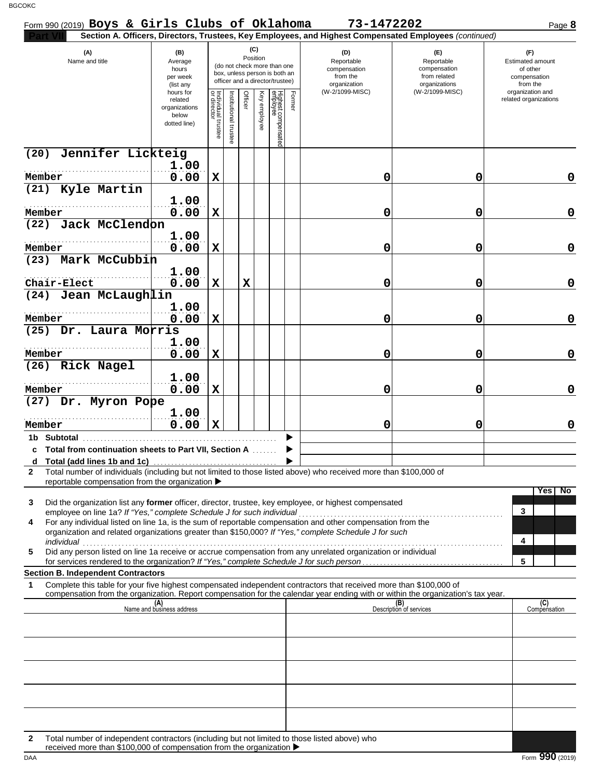| Form 990 (2019) Boys & Girls Clubs of Oklahoma                                                                                                                                             |                                                                |                                      |                         |         |                 |                                                                                                 |        | 73-1472202                                                                                             |                                                                    | Page 8                                                          |
|--------------------------------------------------------------------------------------------------------------------------------------------------------------------------------------------|----------------------------------------------------------------|--------------------------------------|-------------------------|---------|-----------------|-------------------------------------------------------------------------------------------------|--------|--------------------------------------------------------------------------------------------------------|--------------------------------------------------------------------|-----------------------------------------------------------------|
|                                                                                                                                                                                            |                                                                |                                      |                         |         |                 |                                                                                                 |        | Section A. Officers, Directors, Trustees, Key Employees, and Highest Compensated Employees (continued) |                                                                    |                                                                 |
| (A)<br>Name and title                                                                                                                                                                      | (B)<br>Average<br>hours<br>per week<br>(list any               |                                      |                         |         | (C)<br>Position | (do not check more than one<br>box, unless person is both an<br>officer and a director/trustee) |        | (D)<br>Reportable<br>compensation<br>from the<br>organization                                          | (F)<br>Reportable<br>compensation<br>from related<br>organizations | (F)<br>Estimated amount<br>of other<br>compensation<br>from the |
|                                                                                                                                                                                            | hours for<br>related<br>organizations<br>below<br>dotted line) | Individual<br>or director<br>trustee | nstitutional<br>trustee | Officer | Key employee    | Highest compensated<br>employee                                                                 | Former | (W-2/1099-MISC)                                                                                        | (W-2/1099-MISC)                                                    | organization and<br>related organizations                       |
| Jennifer Lickteig<br>(20)                                                                                                                                                                  |                                                                |                                      |                         |         |                 |                                                                                                 |        |                                                                                                        |                                                                    |                                                                 |
| Member                                                                                                                                                                                     | 1.00<br>0.00                                                   | X                                    |                         |         |                 |                                                                                                 |        | 0                                                                                                      | 0                                                                  | 0                                                               |
| (21) Kyle Martin                                                                                                                                                                           |                                                                |                                      |                         |         |                 |                                                                                                 |        |                                                                                                        |                                                                    |                                                                 |
|                                                                                                                                                                                            | 1.00                                                           |                                      |                         |         |                 |                                                                                                 |        |                                                                                                        |                                                                    |                                                                 |
| Member<br>(22) Jack McClendon                                                                                                                                                              | 0.00                                                           | $\mathbf x$                          |                         |         |                 |                                                                                                 |        | 0                                                                                                      | 0                                                                  | $\mathbf 0$                                                     |
|                                                                                                                                                                                            | 1.00                                                           |                                      |                         |         |                 |                                                                                                 |        |                                                                                                        |                                                                    |                                                                 |
| Member                                                                                                                                                                                     | 0.00                                                           | X                                    |                         |         |                 |                                                                                                 |        | 0                                                                                                      | 0                                                                  | 0                                                               |
| (23) Mark McCubbin                                                                                                                                                                         |                                                                |                                      |                         |         |                 |                                                                                                 |        |                                                                                                        |                                                                    |                                                                 |
| Chair-Elect                                                                                                                                                                                | 1.00<br>0.00                                                   | X                                    |                         | X       |                 |                                                                                                 |        | 0                                                                                                      | 0                                                                  | 0                                                               |
| (24) Jean McLaughlin                                                                                                                                                                       |                                                                |                                      |                         |         |                 |                                                                                                 |        |                                                                                                        |                                                                    |                                                                 |
|                                                                                                                                                                                            | 1.00                                                           |                                      |                         |         |                 |                                                                                                 |        |                                                                                                        |                                                                    |                                                                 |
| Member                                                                                                                                                                                     | 0.00                                                           | $\mathbf x$                          |                         |         |                 |                                                                                                 |        | 0                                                                                                      | 0                                                                  | 0                                                               |
| (25) Dr. Laura Morris                                                                                                                                                                      | 1.00                                                           |                                      |                         |         |                 |                                                                                                 |        |                                                                                                        |                                                                    |                                                                 |
| Member                                                                                                                                                                                     | 0.00                                                           | X                                    |                         |         |                 |                                                                                                 |        | 0                                                                                                      | 0                                                                  | 0                                                               |
| (26) Rick Nagel                                                                                                                                                                            |                                                                |                                      |                         |         |                 |                                                                                                 |        |                                                                                                        |                                                                    |                                                                 |
| Member                                                                                                                                                                                     | 1.00<br>0.00                                                   | X                                    |                         |         |                 |                                                                                                 |        | 0                                                                                                      | 0                                                                  | 0                                                               |
| (27) Dr. Myron Pope                                                                                                                                                                        |                                                                |                                      |                         |         |                 |                                                                                                 |        |                                                                                                        |                                                                    |                                                                 |
| Member                                                                                                                                                                                     | 1.00<br>0.00                                                   | $\mathbf x$                          |                         |         |                 |                                                                                                 |        | 0                                                                                                      | 0                                                                  | 0                                                               |
| 1b Subtotal                                                                                                                                                                                |                                                                |                                      |                         |         |                 |                                                                                                 |        |                                                                                                        |                                                                    |                                                                 |
| c Total from continuation sheets to Part VII, Section A                                                                                                                                    |                                                                |                                      |                         |         |                 |                                                                                                 |        |                                                                                                        |                                                                    |                                                                 |
| Total number of individuals (including but not limited to those listed above) who received more than \$100,000 of<br>$\mathbf{2}$<br>reportable compensation from the organization ▶       |                                                                |                                      |                         |         |                 |                                                                                                 |        |                                                                                                        |                                                                    |                                                                 |
| Did the organization list any former officer, director, trustee, key employee, or highest compensated<br>3                                                                                 |                                                                |                                      |                         |         |                 |                                                                                                 |        |                                                                                                        |                                                                    | Yes No                                                          |
| employee on line 1a? If "Yes," complete Schedule J for such individual<br>For any individual listed on line 1a, is the sum of reportable compensation and other compensation from the<br>4 |                                                                |                                      |                         |         |                 |                                                                                                 |        |                                                                                                        |                                                                    | 3                                                               |
| organization and related organizations greater than \$150,000? If "Yes," complete Schedule J for such<br>individual                                                                        |                                                                |                                      |                         |         |                 |                                                                                                 |        |                                                                                                        |                                                                    | 4                                                               |
| Did any person listed on line 1a receive or accrue compensation from any unrelated organization or individual<br>5                                                                         |                                                                |                                      |                         |         |                 |                                                                                                 |        |                                                                                                        |                                                                    |                                                                 |
| <b>Section B. Independent Contractors</b>                                                                                                                                                  |                                                                |                                      |                         |         |                 |                                                                                                 |        |                                                                                                        |                                                                    | 5                                                               |
| Complete this table for your five highest compensated independent contractors that received more than \$100,000 of<br>1                                                                    |                                                                |                                      |                         |         |                 |                                                                                                 |        |                                                                                                        |                                                                    |                                                                 |
| compensation from the organization. Report compensation for the calendar year ending with or within the organization's tax year.                                                           | (A)<br>Name and business address                               |                                      |                         |         |                 |                                                                                                 |        |                                                                                                        | (B)<br>Description of services                                     | (C)<br>Compensation                                             |
|                                                                                                                                                                                            |                                                                |                                      |                         |         |                 |                                                                                                 |        |                                                                                                        |                                                                    |                                                                 |
|                                                                                                                                                                                            |                                                                |                                      |                         |         |                 |                                                                                                 |        |                                                                                                        |                                                                    |                                                                 |
|                                                                                                                                                                                            |                                                                |                                      |                         |         |                 |                                                                                                 |        |                                                                                                        |                                                                    |                                                                 |
|                                                                                                                                                                                            |                                                                |                                      |                         |         |                 |                                                                                                 |        |                                                                                                        |                                                                    |                                                                 |
|                                                                                                                                                                                            |                                                                |                                      |                         |         |                 |                                                                                                 |        |                                                                                                        |                                                                    |                                                                 |
|                                                                                                                                                                                            |                                                                |                                      |                         |         |                 |                                                                                                 |        |                                                                                                        |                                                                    |                                                                 |
|                                                                                                                                                                                            |                                                                |                                      |                         |         |                 |                                                                                                 |        |                                                                                                        |                                                                    |                                                                 |
|                                                                                                                                                                                            |                                                                |                                      |                         |         |                 |                                                                                                 |        |                                                                                                        |                                                                    |                                                                 |
| Total number of independent contractors (including but not limited to those listed above) who<br>2                                                                                         |                                                                |                                      |                         |         |                 |                                                                                                 |        |                                                                                                        |                                                                    |                                                                 |
| received more than \$100,000 of compensation from the organization ▶                                                                                                                       |                                                                |                                      |                         |         |                 |                                                                                                 |        |                                                                                                        |                                                                    |                                                                 |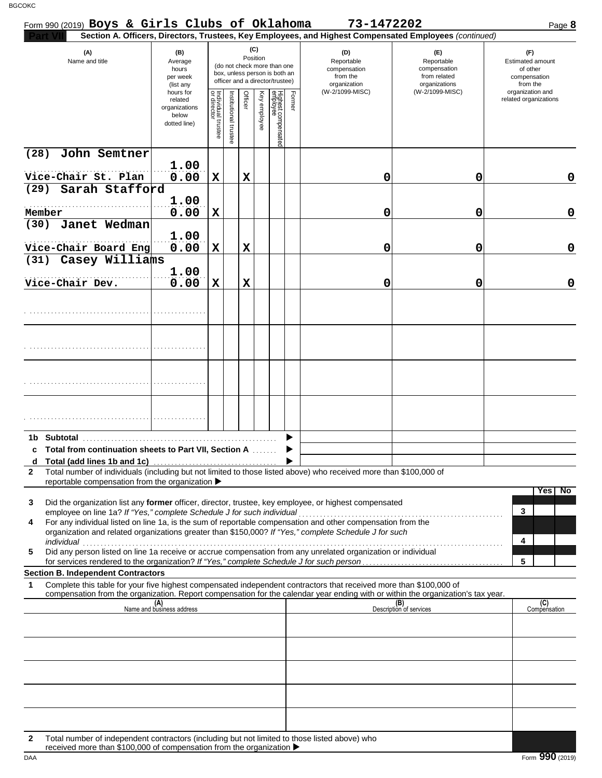| Section A. Officers, Directors, Trustees, Key Employees, and Highest Compensated Employees (continued)<br>(C)<br>(A)<br>(B)<br>(D)<br>(E)<br>(F)<br>Position<br>Name and title<br>Reportable<br>Reportable<br><b>Estimated amount</b><br>Average<br>(do not check more than one<br>hours<br>compensation<br>compensation<br>of other<br>box, unless person is both an<br>per week<br>from the<br>from related<br>compensation<br>officer and a director/trustee)<br>organization<br>organizations<br>from the<br>(list any<br>(W-2/1099-MISC)<br>(W-2/1099-MISC)<br>organization and<br>hours for<br>Highest compensated<br>employee<br>Key employee<br>Former<br>Individual trustee<br>or director<br>Officer<br>nstitutional trustee<br>related organizations<br>related<br>organizations<br>below<br>dotted line)<br>(28)<br>John Semtner<br>1.00<br>0.00<br>Vice-Chair St. Plan<br>$\mathbf x$<br>0<br>X<br>0<br>Sarah Stafford<br>(29)<br>1.00<br>0.00<br>$\mathbf X$<br>Member<br>0<br>0<br>Janet Wedman<br>(30)<br>1.00<br>Vice-Chair Board Eng<br>0.00<br>$\mathbf X$<br>0<br>0<br>X<br>Casey Williams<br>(31)<br>1.00<br>0.00<br>$\mathbf X$<br>Vice-Chair Dev.<br>$\mathbf x$<br>0<br>0<br>c Total from continuation sheets to Part VII, Section A<br>Total number of individuals (including but not limited to those listed above) who received more than \$100,000 of<br>$\mathbf{2}$<br>reportable compensation from the organization ▶<br>Did the organization list any former officer, director, trustee, key employee, or highest compensated<br>3<br>3<br>employee on line 1a? If "Yes," complete Schedule J for such individual<br>For any individual listed on line 1a, is the sum of reportable compensation and other compensation from the<br>4<br>organization and related organizations greater than \$150,000? If "Yes," complete Schedule J for such<br>4<br>individual<br>Did any person listed on line 1a receive or accrue compensation from any unrelated organization or individual<br>5<br>5<br><b>Section B. Independent Contractors</b><br>Complete this table for your five highest compensated independent contractors that received more than \$100,000 of<br>1<br>compensation from the organization. Report compensation for the calendar year ending with or within the organization's tax year.<br>(B)<br>Description of services<br>(A)<br>Name and business address | Form 990 (2019) Boys & Girls Clubs of Oklahoma |  |  |  |  | 73-1472202 | Page 8              |
|----------------------------------------------------------------------------------------------------------------------------------------------------------------------------------------------------------------------------------------------------------------------------------------------------------------------------------------------------------------------------------------------------------------------------------------------------------------------------------------------------------------------------------------------------------------------------------------------------------------------------------------------------------------------------------------------------------------------------------------------------------------------------------------------------------------------------------------------------------------------------------------------------------------------------------------------------------------------------------------------------------------------------------------------------------------------------------------------------------------------------------------------------------------------------------------------------------------------------------------------------------------------------------------------------------------------------------------------------------------------------------------------------------------------------------------------------------------------------------------------------------------------------------------------------------------------------------------------------------------------------------------------------------------------------------------------------------------------------------------------------------------------------------------------------------------------------------------------------------------------------------------------------------------------------------------------------------------------------------------------------------------------------------------------------------------------------------------------------------------------------------------------------------------------------------------------------------------------------------------------------------------------------------------------------------------------------------------------------------------------------------------------------------------|------------------------------------------------|--|--|--|--|------------|---------------------|
|                                                                                                                                                                                                                                                                                                                                                                                                                                                                                                                                                                                                                                                                                                                                                                                                                                                                                                                                                                                                                                                                                                                                                                                                                                                                                                                                                                                                                                                                                                                                                                                                                                                                                                                                                                                                                                                                                                                                                                                                                                                                                                                                                                                                                                                                                                                                                                                                                |                                                |  |  |  |  |            |                     |
|                                                                                                                                                                                                                                                                                                                                                                                                                                                                                                                                                                                                                                                                                                                                                                                                                                                                                                                                                                                                                                                                                                                                                                                                                                                                                                                                                                                                                                                                                                                                                                                                                                                                                                                                                                                                                                                                                                                                                                                                                                                                                                                                                                                                                                                                                                                                                                                                                |                                                |  |  |  |  |            |                     |
|                                                                                                                                                                                                                                                                                                                                                                                                                                                                                                                                                                                                                                                                                                                                                                                                                                                                                                                                                                                                                                                                                                                                                                                                                                                                                                                                                                                                                                                                                                                                                                                                                                                                                                                                                                                                                                                                                                                                                                                                                                                                                                                                                                                                                                                                                                                                                                                                                |                                                |  |  |  |  |            |                     |
|                                                                                                                                                                                                                                                                                                                                                                                                                                                                                                                                                                                                                                                                                                                                                                                                                                                                                                                                                                                                                                                                                                                                                                                                                                                                                                                                                                                                                                                                                                                                                                                                                                                                                                                                                                                                                                                                                                                                                                                                                                                                                                                                                                                                                                                                                                                                                                                                                |                                                |  |  |  |  |            |                     |
|                                                                                                                                                                                                                                                                                                                                                                                                                                                                                                                                                                                                                                                                                                                                                                                                                                                                                                                                                                                                                                                                                                                                                                                                                                                                                                                                                                                                                                                                                                                                                                                                                                                                                                                                                                                                                                                                                                                                                                                                                                                                                                                                                                                                                                                                                                                                                                                                                |                                                |  |  |  |  |            | 0                   |
|                                                                                                                                                                                                                                                                                                                                                                                                                                                                                                                                                                                                                                                                                                                                                                                                                                                                                                                                                                                                                                                                                                                                                                                                                                                                                                                                                                                                                                                                                                                                                                                                                                                                                                                                                                                                                                                                                                                                                                                                                                                                                                                                                                                                                                                                                                                                                                                                                |                                                |  |  |  |  |            | $\mathbf 0$         |
|                                                                                                                                                                                                                                                                                                                                                                                                                                                                                                                                                                                                                                                                                                                                                                                                                                                                                                                                                                                                                                                                                                                                                                                                                                                                                                                                                                                                                                                                                                                                                                                                                                                                                                                                                                                                                                                                                                                                                                                                                                                                                                                                                                                                                                                                                                                                                                                                                |                                                |  |  |  |  |            |                     |
|                                                                                                                                                                                                                                                                                                                                                                                                                                                                                                                                                                                                                                                                                                                                                                                                                                                                                                                                                                                                                                                                                                                                                                                                                                                                                                                                                                                                                                                                                                                                                                                                                                                                                                                                                                                                                                                                                                                                                                                                                                                                                                                                                                                                                                                                                                                                                                                                                |                                                |  |  |  |  |            | $\mathbf 0$         |
|                                                                                                                                                                                                                                                                                                                                                                                                                                                                                                                                                                                                                                                                                                                                                                                                                                                                                                                                                                                                                                                                                                                                                                                                                                                                                                                                                                                                                                                                                                                                                                                                                                                                                                                                                                                                                                                                                                                                                                                                                                                                                                                                                                                                                                                                                                                                                                                                                |                                                |  |  |  |  |            | $\mathbf 0$         |
|                                                                                                                                                                                                                                                                                                                                                                                                                                                                                                                                                                                                                                                                                                                                                                                                                                                                                                                                                                                                                                                                                                                                                                                                                                                                                                                                                                                                                                                                                                                                                                                                                                                                                                                                                                                                                                                                                                                                                                                                                                                                                                                                                                                                                                                                                                                                                                                                                |                                                |  |  |  |  |            |                     |
|                                                                                                                                                                                                                                                                                                                                                                                                                                                                                                                                                                                                                                                                                                                                                                                                                                                                                                                                                                                                                                                                                                                                                                                                                                                                                                                                                                                                                                                                                                                                                                                                                                                                                                                                                                                                                                                                                                                                                                                                                                                                                                                                                                                                                                                                                                                                                                                                                |                                                |  |  |  |  |            |                     |
|                                                                                                                                                                                                                                                                                                                                                                                                                                                                                                                                                                                                                                                                                                                                                                                                                                                                                                                                                                                                                                                                                                                                                                                                                                                                                                                                                                                                                                                                                                                                                                                                                                                                                                                                                                                                                                                                                                                                                                                                                                                                                                                                                                                                                                                                                                                                                                                                                |                                                |  |  |  |  |            |                     |
|                                                                                                                                                                                                                                                                                                                                                                                                                                                                                                                                                                                                                                                                                                                                                                                                                                                                                                                                                                                                                                                                                                                                                                                                                                                                                                                                                                                                                                                                                                                                                                                                                                                                                                                                                                                                                                                                                                                                                                                                                                                                                                                                                                                                                                                                                                                                                                                                                |                                                |  |  |  |  |            |                     |
|                                                                                                                                                                                                                                                                                                                                                                                                                                                                                                                                                                                                                                                                                                                                                                                                                                                                                                                                                                                                                                                                                                                                                                                                                                                                                                                                                                                                                                                                                                                                                                                                                                                                                                                                                                                                                                                                                                                                                                                                                                                                                                                                                                                                                                                                                                                                                                                                                |                                                |  |  |  |  |            |                     |
|                                                                                                                                                                                                                                                                                                                                                                                                                                                                                                                                                                                                                                                                                                                                                                                                                                                                                                                                                                                                                                                                                                                                                                                                                                                                                                                                                                                                                                                                                                                                                                                                                                                                                                                                                                                                                                                                                                                                                                                                                                                                                                                                                                                                                                                                                                                                                                                                                |                                                |  |  |  |  |            |                     |
|                                                                                                                                                                                                                                                                                                                                                                                                                                                                                                                                                                                                                                                                                                                                                                                                                                                                                                                                                                                                                                                                                                                                                                                                                                                                                                                                                                                                                                                                                                                                                                                                                                                                                                                                                                                                                                                                                                                                                                                                                                                                                                                                                                                                                                                                                                                                                                                                                |                                                |  |  |  |  |            | Yes No              |
|                                                                                                                                                                                                                                                                                                                                                                                                                                                                                                                                                                                                                                                                                                                                                                                                                                                                                                                                                                                                                                                                                                                                                                                                                                                                                                                                                                                                                                                                                                                                                                                                                                                                                                                                                                                                                                                                                                                                                                                                                                                                                                                                                                                                                                                                                                                                                                                                                |                                                |  |  |  |  |            |                     |
|                                                                                                                                                                                                                                                                                                                                                                                                                                                                                                                                                                                                                                                                                                                                                                                                                                                                                                                                                                                                                                                                                                                                                                                                                                                                                                                                                                                                                                                                                                                                                                                                                                                                                                                                                                                                                                                                                                                                                                                                                                                                                                                                                                                                                                                                                                                                                                                                                |                                                |  |  |  |  |            |                     |
|                                                                                                                                                                                                                                                                                                                                                                                                                                                                                                                                                                                                                                                                                                                                                                                                                                                                                                                                                                                                                                                                                                                                                                                                                                                                                                                                                                                                                                                                                                                                                                                                                                                                                                                                                                                                                                                                                                                                                                                                                                                                                                                                                                                                                                                                                                                                                                                                                |                                                |  |  |  |  |            | (C)<br>Compensation |
|                                                                                                                                                                                                                                                                                                                                                                                                                                                                                                                                                                                                                                                                                                                                                                                                                                                                                                                                                                                                                                                                                                                                                                                                                                                                                                                                                                                                                                                                                                                                                                                                                                                                                                                                                                                                                                                                                                                                                                                                                                                                                                                                                                                                                                                                                                                                                                                                                |                                                |  |  |  |  |            |                     |
|                                                                                                                                                                                                                                                                                                                                                                                                                                                                                                                                                                                                                                                                                                                                                                                                                                                                                                                                                                                                                                                                                                                                                                                                                                                                                                                                                                                                                                                                                                                                                                                                                                                                                                                                                                                                                                                                                                                                                                                                                                                                                                                                                                                                                                                                                                                                                                                                                |                                                |  |  |  |  |            |                     |
|                                                                                                                                                                                                                                                                                                                                                                                                                                                                                                                                                                                                                                                                                                                                                                                                                                                                                                                                                                                                                                                                                                                                                                                                                                                                                                                                                                                                                                                                                                                                                                                                                                                                                                                                                                                                                                                                                                                                                                                                                                                                                                                                                                                                                                                                                                                                                                                                                |                                                |  |  |  |  |            |                     |
|                                                                                                                                                                                                                                                                                                                                                                                                                                                                                                                                                                                                                                                                                                                                                                                                                                                                                                                                                                                                                                                                                                                                                                                                                                                                                                                                                                                                                                                                                                                                                                                                                                                                                                                                                                                                                                                                                                                                                                                                                                                                                                                                                                                                                                                                                                                                                                                                                |                                                |  |  |  |  |            |                     |
| Total number of independent contractors (including but not limited to those listed above) who                                                                                                                                                                                                                                                                                                                                                                                                                                                                                                                                                                                                                                                                                                                                                                                                                                                                                                                                                                                                                                                                                                                                                                                                                                                                                                                                                                                                                                                                                                                                                                                                                                                                                                                                                                                                                                                                                                                                                                                                                                                                                                                                                                                                                                                                                                                  | 2                                              |  |  |  |  |            |                     |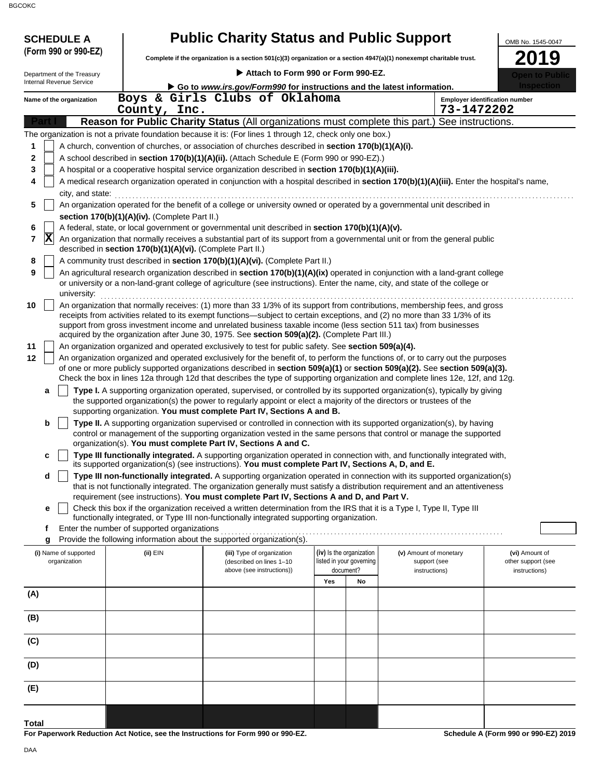| :ОКС                                                   |                                                            |                                                                                                                                                                                                                                                                                                                                                                                                                                                                                  |     |                                                      |                                        |            |                                       |
|--------------------------------------------------------|------------------------------------------------------------|----------------------------------------------------------------------------------------------------------------------------------------------------------------------------------------------------------------------------------------------------------------------------------------------------------------------------------------------------------------------------------------------------------------------------------------------------------------------------------|-----|------------------------------------------------------|----------------------------------------|------------|---------------------------------------|
| <b>SCHEDULE A</b>                                      |                                                            | <b>Public Charity Status and Public Support</b>                                                                                                                                                                                                                                                                                                                                                                                                                                  |     |                                                      |                                        |            | OMB No. 1545-0047                     |
| (Form 990 or 990-EZ)                                   |                                                            | Complete if the organization is a section 501(c)(3) organization or a section 4947(a)(1) nonexempt charitable trust.                                                                                                                                                                                                                                                                                                                                                             |     |                                                      |                                        |            | 2019                                  |
|                                                        |                                                            | Attach to Form 990 or Form 990-EZ.                                                                                                                                                                                                                                                                                                                                                                                                                                               |     |                                                      |                                        |            |                                       |
| Department of the Treasury<br>Internal Revenue Service |                                                            | Go to www.irs.gov/Form990 for instructions and the latest information.                                                                                                                                                                                                                                                                                                                                                                                                           |     |                                                      |                                        |            |                                       |
| Name of the organization                               |                                                            | Boys & Girls Clubs of Oklahoma                                                                                                                                                                                                                                                                                                                                                                                                                                                   |     |                                                      |                                        |            | <b>Employer identification number</b> |
|                                                        | County, Inc.                                               |                                                                                                                                                                                                                                                                                                                                                                                                                                                                                  |     |                                                      |                                        | 73-1472202 |                                       |
|                                                        |                                                            | Reason for Public Charity Status (All organizations must complete this part.) See instructions.                                                                                                                                                                                                                                                                                                                                                                                  |     |                                                      |                                        |            |                                       |
|                                                        |                                                            | The organization is not a private foundation because it is: (For lines 1 through 12, check only one box.)                                                                                                                                                                                                                                                                                                                                                                        |     |                                                      |                                        |            |                                       |
| 1                                                      |                                                            | A church, convention of churches, or association of churches described in section 170(b)(1)(A)(i).                                                                                                                                                                                                                                                                                                                                                                               |     |                                                      |                                        |            |                                       |
| 2                                                      |                                                            | A school described in section 170(b)(1)(A)(ii). (Attach Schedule E (Form 990 or 990-EZ).)                                                                                                                                                                                                                                                                                                                                                                                        |     |                                                      |                                        |            |                                       |
| 3                                                      |                                                            | A hospital or a cooperative hospital service organization described in section 170(b)(1)(A)(iii).                                                                                                                                                                                                                                                                                                                                                                                |     |                                                      |                                        |            |                                       |
| 4                                                      |                                                            | A medical research organization operated in conjunction with a hospital described in section 170(b)(1)(A)(iii). Enter the hospital's name,                                                                                                                                                                                                                                                                                                                                       |     |                                                      |                                        |            |                                       |
| city, and state:                                       |                                                            |                                                                                                                                                                                                                                                                                                                                                                                                                                                                                  |     |                                                      |                                        |            |                                       |
| 5                                                      |                                                            | An organization operated for the benefit of a college or university owned or operated by a governmental unit described in                                                                                                                                                                                                                                                                                                                                                        |     |                                                      |                                        |            |                                       |
| 6                                                      | section 170(b)(1)(A)(iv). (Complete Part II.)              | A federal, state, or local government or governmental unit described in section 170(b)(1)(A)(v).                                                                                                                                                                                                                                                                                                                                                                                 |     |                                                      |                                        |            |                                       |
| $ {\bf X} $<br>7                                       | described in section 170(b)(1)(A)(vi). (Complete Part II.) | An organization that normally receives a substantial part of its support from a governmental unit or from the general public                                                                                                                                                                                                                                                                                                                                                     |     |                                                      |                                        |            |                                       |
| 8                                                      |                                                            | A community trust described in section 170(b)(1)(A)(vi). (Complete Part II.)                                                                                                                                                                                                                                                                                                                                                                                                     |     |                                                      |                                        |            |                                       |
| 9<br>university:                                       |                                                            | An agricultural research organization described in section 170(b)(1)(A)(ix) operated in conjunction with a land-grant college<br>or university or a non-land-grant college of agriculture (see instructions). Enter the name, city, and state of the college or                                                                                                                                                                                                                  |     |                                                      |                                        |            |                                       |
| 10                                                     |                                                            | An organization that normally receives: (1) more than 33 1/3% of its support from contributions, membership fees, and gross<br>receipts from activities related to its exempt functions—subject to certain exceptions, and (2) no more than 33 1/3% of its<br>support from gross investment income and unrelated business taxable income (less section 511 tax) from businesses<br>acquired by the organization after June 30, 1975. See section 509(a)(2). (Complete Part III.) |     |                                                      |                                        |            |                                       |
| 11                                                     |                                                            | An organization organized and operated exclusively to test for public safety. See section 509(a)(4).                                                                                                                                                                                                                                                                                                                                                                             |     |                                                      |                                        |            |                                       |
| 12                                                     |                                                            | An organization organized and operated exclusively for the benefit of, to perform the functions of, or to carry out the purposes<br>of one or more publicly supported organizations described in section 509(a)(1) or section 509(a)(2). See section 509(a)(3).<br>Check the box in lines 12a through 12d that describes the type of supporting organization and complete lines 12e, 12f, and 12g.                                                                               |     |                                                      |                                        |            |                                       |
| a                                                      |                                                            | Type I. A supporting organization operated, supervised, or controlled by its supported organization(s), typically by giving<br>the supported organization(s) the power to regularly appoint or elect a majority of the directors or trustees of the<br>supporting organization. You must complete Part IV, Sections A and B.                                                                                                                                                     |     |                                                      |                                        |            |                                       |
| b                                                      |                                                            | Type II. A supporting organization supervised or controlled in connection with its supported organization(s), by having<br>control or management of the supporting organization vested in the same persons that control or manage the supported<br>organization(s). You must complete Part IV, Sections A and C.                                                                                                                                                                 |     |                                                      |                                        |            |                                       |
| с                                                      |                                                            | Type III functionally integrated. A supporting organization operated in connection with, and functionally integrated with,                                                                                                                                                                                                                                                                                                                                                       |     |                                                      |                                        |            |                                       |
|                                                        |                                                            | its supported organization(s) (see instructions). You must complete Part IV, Sections A, D, and E.                                                                                                                                                                                                                                                                                                                                                                               |     |                                                      |                                        |            |                                       |
| d                                                      |                                                            | Type III non-functionally integrated. A supporting organization operated in connection with its supported organization(s)<br>that is not functionally integrated. The organization generally must satisfy a distribution requirement and an attentiveness<br>requirement (see instructions). You must complete Part IV, Sections A and D, and Part V.                                                                                                                            |     |                                                      |                                        |            |                                       |
| е                                                      |                                                            | Check this box if the organization received a written determination from the IRS that it is a Type I, Type II, Type III<br>functionally integrated, or Type III non-functionally integrated supporting organization.                                                                                                                                                                                                                                                             |     |                                                      |                                        |            |                                       |
| f                                                      | Enter the number of supported organizations                |                                                                                                                                                                                                                                                                                                                                                                                                                                                                                  |     |                                                      |                                        |            |                                       |
| g                                                      |                                                            | Provide the following information about the supported organization(s).                                                                                                                                                                                                                                                                                                                                                                                                           |     |                                                      |                                        |            |                                       |
| (i) Name of supported<br>organization                  | (ii) EIN                                                   | (iii) Type of organization<br>(described on lines 1-10                                                                                                                                                                                                                                                                                                                                                                                                                           |     | (iv) Is the organization<br>listed in your governing | (v) Amount of monetary<br>support (see |            | (vi) Amount of<br>other support (see  |
|                                                        |                                                            | above (see instructions))                                                                                                                                                                                                                                                                                                                                                                                                                                                        | Yes | document?<br>No                                      | instructions)                          |            | instructions)                         |
| (A)                                                    |                                                            |                                                                                                                                                                                                                                                                                                                                                                                                                                                                                  |     |                                                      |                                        |            |                                       |
| (B)                                                    |                                                            |                                                                                                                                                                                                                                                                                                                                                                                                                                                                                  |     |                                                      |                                        |            |                                       |

**Schedule A (Form 990 or 990-EZ) 2019**

**Total**

**(E)**

**(D)**

**(C)**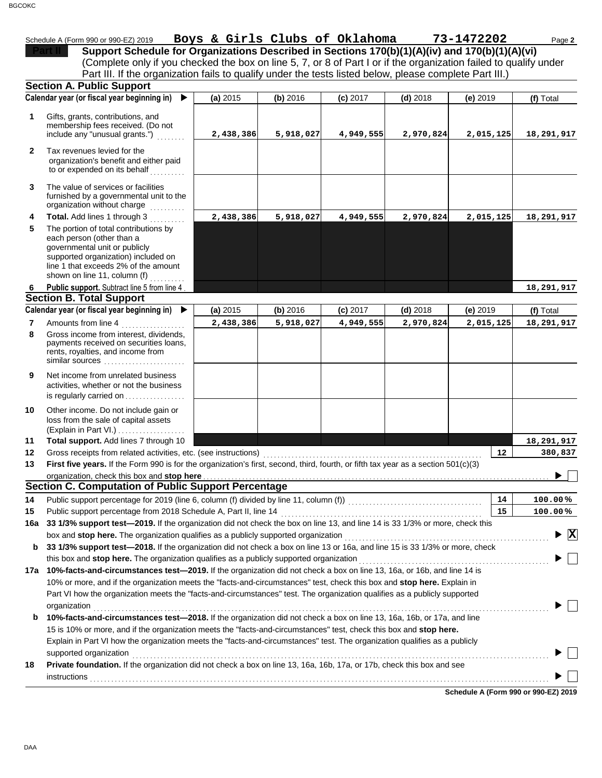| 2202 | D. |
|------|----|

|              | Schedule A (Form 990 or 990-EZ) 2019                                                                                                  | Boys & Girls Clubs of Oklahoma |           |            |            | 73-1472202 | Page 2                          |
|--------------|---------------------------------------------------------------------------------------------------------------------------------------|--------------------------------|-----------|------------|------------|------------|---------------------------------|
|              | Support Schedule for Organizations Described in Sections 170(b)(1)(A)(iv) and 170(b)(1)(A)(vi)                                        |                                |           |            |            |            |                                 |
|              | (Complete only if you checked the box on line 5, 7, or 8 of Part I or if the organization failed to qualify under                     |                                |           |            |            |            |                                 |
|              | Part III. If the organization fails to qualify under the tests listed below, please complete Part III.)                               |                                |           |            |            |            |                                 |
|              | <b>Section A. Public Support</b>                                                                                                      |                                |           |            |            |            |                                 |
|              | Calendar year (or fiscal year beginning in)<br>$\blacktriangleright$                                                                  | (a) 2015                       | (b) 2016  | $(c)$ 2017 | $(d)$ 2018 | (e) 2019   | (f) Total                       |
| 1            | Gifts, grants, contributions, and                                                                                                     |                                |           |            |            |            |                                 |
|              | membership fees received. (Do not                                                                                                     |                                |           |            |            |            |                                 |
|              | include any "unusual grants.")                                                                                                        | 2,438,386                      | 5,918,027 | 4,949,555  | 2,970,824  | 2,015,125  | 18,291,917                      |
| $\mathbf{2}$ | Tax revenues levied for the                                                                                                           |                                |           |            |            |            |                                 |
|              | organization's benefit and either paid                                                                                                |                                |           |            |            |            |                                 |
|              | to or expended on its behalf                                                                                                          |                                |           |            |            |            |                                 |
| 3            | The value of services or facilities                                                                                                   |                                |           |            |            |            |                                 |
|              | furnished by a governmental unit to the                                                                                               |                                |           |            |            |            |                                 |
|              | organization without charge                                                                                                           |                                |           |            |            |            |                                 |
| 4            | Total. Add lines 1 through 3                                                                                                          | 2,438,386                      | 5,918,027 | 4,949,555  | 2,970,824  | 2,015,125  | 18,291,917                      |
| 5            | The portion of total contributions by<br>each person (other than a                                                                    |                                |           |            |            |            |                                 |
|              | governmental unit or publicly                                                                                                         |                                |           |            |            |            |                                 |
|              | supported organization) included on                                                                                                   |                                |           |            |            |            |                                 |
|              | line 1 that exceeds 2% of the amount<br>shown on line 11, column (f)                                                                  |                                |           |            |            |            |                                 |
| 6            | Public support. Subtract line 5 from line 4                                                                                           |                                |           |            |            |            | 18,291,917                      |
|              | <b>Section B. Total Support</b>                                                                                                       |                                |           |            |            |            |                                 |
|              | Calendar year (or fiscal year beginning in)                                                                                           | (a) 2015                       | (b) 2016  | $(c)$ 2017 | $(d)$ 2018 | (e) 2019   | (f) Total                       |
| 7            | Amounts from line 4                                                                                                                   | 2,438,386                      | 5,918,027 | 4,949,555  | 2,970,824  | 2,015,125  | 18,291,917                      |
| 8            | Gross income from interest, dividends,                                                                                                |                                |           |            |            |            |                                 |
|              | payments received on securities loans,                                                                                                |                                |           |            |            |            |                                 |
|              | rents, royalties, and income from<br>similar sources                                                                                  |                                |           |            |            |            |                                 |
|              |                                                                                                                                       |                                |           |            |            |            |                                 |
| 9            | Net income from unrelated business<br>activities, whether or not the business                                                         |                                |           |            |            |            |                                 |
|              | is regularly carried on                                                                                                               |                                |           |            |            |            |                                 |
| 10           |                                                                                                                                       |                                |           |            |            |            |                                 |
|              | Other income. Do not include gain or<br>loss from the sale of capital assets                                                          |                                |           |            |            |            |                                 |
|              | (Explain in Part VI.)                                                                                                                 |                                |           |            |            |            |                                 |
| 11           | Total support. Add lines 7 through 10                                                                                                 |                                |           |            |            |            | 18,291,917                      |
| 12           | Gross receipts from related activities, etc. (see instructions)                                                                       |                                |           |            |            | $12 \,$    | 380,837                         |
| 13           | First five years. If the Form 990 is for the organization's first, second, third, fourth, or fifth tax year as a section 501(c)(3)    |                                |           |            |            |            |                                 |
|              | organization, check this box and stop here <b>construction and an intervention of the construction</b> of the state of                |                                |           |            |            |            |                                 |
|              | <b>Section C. Computation of Public Support Percentage</b>                                                                            |                                |           |            |            |            |                                 |
| 14           | Public support percentage for 2019 (line 6, column (f) divided by line 11, column (f)) [[[[[[[[[[[[[[[[[[[[[[                         |                                |           |            |            | 14         | 100.00%                         |
| 15           | Public support percentage from 2018 Schedule A, Part II, line 14                                                                      |                                |           |            |            | 15         | 100.00%                         |
| 16a          | 33 1/3% support test-2019. If the organization did not check the box on line 13, and line 14 is 33 1/3% or more, check this           |                                |           |            |            |            |                                 |
|              | box and stop here. The organization qualifies as a publicly supported organization                                                    |                                |           |            |            |            | $\blacktriangleright$ $\vert$ X |
| b            | 33 1/3% support test-2018. If the organization did not check a box on line 13 or 16a, and line 15 is 33 1/3% or more, check           |                                |           |            |            |            |                                 |
|              | this box and stop here. The organization qualifies as a publicly supported organization                                               |                                |           |            |            |            |                                 |
|              | 17a 10%-facts-and-circumstances test-2019. If the organization did not check a box on line 13, 16a, or 16b, and line 14 is            |                                |           |            |            |            |                                 |
|              | 10% or more, and if the organization meets the "facts-and-circumstances" test, check this box and stop here. Explain in               |                                |           |            |            |            |                                 |
|              | Part VI how the organization meets the "facts-and-circumstances" test. The organization qualifies as a publicly supported             |                                |           |            |            |            |                                 |
| b            | organization<br>10%-facts-and-circumstances test-2018. If the organization did not check a box on line 13, 16a, 16b, or 17a, and line |                                |           |            |            |            |                                 |
|              | 15 is 10% or more, and if the organization meets the "facts-and-circumstances" test, check this box and stop here.                    |                                |           |            |            |            |                                 |
|              | Explain in Part VI how the organization meets the "facts-and-circumstances" test. The organization qualifies as a publicly            |                                |           |            |            |            |                                 |
|              | supported organization                                                                                                                |                                |           |            |            |            |                                 |
| 18           | Private foundation. If the organization did not check a box on line 13, 16a, 16b, 17a, or 17b, check this box and see                 |                                |           |            |            |            |                                 |
|              | instructions                                                                                                                          |                                |           |            |            |            |                                 |
|              |                                                                                                                                       |                                |           |            |            |            |                                 |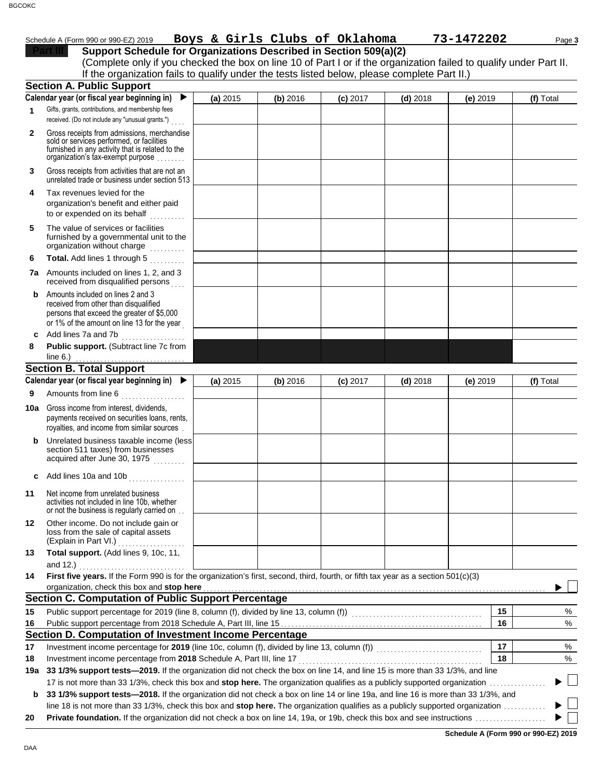| Boys & Girls Clubs of Oklahoma<br>73-1472202<br>Schedule A (Form 990 or 990-EZ) 2019 | Page 3 |
|--------------------------------------------------------------------------------------|--------|
|--------------------------------------------------------------------------------------|--------|

| 90-EZ) 2019 |  |  |  |  | Boys & Girls Clubs of Oklahoma | 73-147 |
|-------------|--|--|--|--|--------------------------------|--------|
|             |  |  |  |  |                                |        |

| Support Schedule for Organizations Described in Section 509(a)(2)                                                  |
|--------------------------------------------------------------------------------------------------------------------|
| (Complete only if you checked the box on line 10 of Part I or if the organization failed to qualify under Part II. |
| If the organization fails to qualify under the tests listed below, please complete Part II.)                       |

|              | If the organization rans to quality under the tests nated below, picase complete Fart in.<br><b>Section A. Public Support</b>                                                                    |          |          |            |            |            |    |                          |
|--------------|--------------------------------------------------------------------------------------------------------------------------------------------------------------------------------------------------|----------|----------|------------|------------|------------|----|--------------------------|
|              | Calendar year (or fiscal year beginning in)<br>$\blacktriangleright$                                                                                                                             | (a) 2015 | (b) 2016 | $(c)$ 2017 | $(d)$ 2018 | $(e)$ 2019 |    | (f) Total                |
| 1.           | Gifts, grants, contributions, and membership fees                                                                                                                                                |          |          |            |            |            |    |                          |
| $\mathbf{2}$ | received. (Do not include any "unusual grants.")<br>Gross receipts from admissions, merchandise<br>sold or services performed, or facilities<br>furnished in any activity that is related to the |          |          |            |            |            |    |                          |
| 3            | organization's tax-exempt purpose<br>Gross receipts from activities that are not an                                                                                                              |          |          |            |            |            |    |                          |
|              | unrelated trade or business under section 513                                                                                                                                                    |          |          |            |            |            |    |                          |
| 4            | Tax revenues levied for the<br>organization's benefit and either paid<br>to or expended on its behalf                                                                                            |          |          |            |            |            |    |                          |
| 5            | The value of services or facilities<br>furnished by a governmental unit to the<br>organization without charge                                                                                    |          |          |            |            |            |    |                          |
| 6            | Total. Add lines 1 through 5<br>in album di                                                                                                                                                      |          |          |            |            |            |    |                          |
|              | 7a Amounts included on lines 1, 2, and 3<br>received from disqualified persons                                                                                                                   |          |          |            |            |            |    |                          |
| b            | Amounts included on lines 2 and 3<br>received from other than disqualified<br>persons that exceed the greater of \$5,000<br>or 1% of the amount on line 13 for the year                          |          |          |            |            |            |    |                          |
| c            | Add lines 7a and 7b<br>.                                                                                                                                                                         |          |          |            |            |            |    |                          |
| 8            | Public support. (Subtract line 7c from                                                                                                                                                           |          |          |            |            |            |    |                          |
|              | Section B. Total Support                                                                                                                                                                         |          |          |            |            |            |    |                          |
|              | Calendar year (or fiscal year beginning in)                                                                                                                                                      | (a) 2015 | (b) 2016 | $(c)$ 2017 | $(d)$ 2018 | $(e)$ 2019 |    | (f) Total                |
| 9            | Amounts from line 6                                                                                                                                                                              |          |          |            |            |            |    |                          |
|              | and a straightful and a straightful and a straightful and a straightful and a straightful and a straightful and a                                                                                |          |          |            |            |            |    |                          |
|              | <b>10a</b> Gross income from interest, dividends,<br>payments received on securities loans, rents,<br>royalties, and income from similar sources.                                                |          |          |            |            |            |    |                          |
| b            | Unrelated business taxable income (less<br>section 511 taxes) from businesses<br>acquired after June 30, 1975                                                                                    |          |          |            |            |            |    |                          |
| c            | Add lines 10a and 10b                                                                                                                                                                            |          |          |            |            |            |    |                          |
| 11           | Net income from unrelated business<br>activities not included in line 10b, whether<br>or not the business is regularly carried on                                                                |          |          |            |            |            |    |                          |
| 12           | Other income. Do not include gain or<br>loss from the sale of capital assets<br>(Explain in Part VI.)                                                                                            |          |          |            |            |            |    |                          |
| 13           | Total support. (Add lines 9, 10c, 11,<br>and 12.)                                                                                                                                                |          |          |            |            |            |    |                          |
| 14           | First five years. If the Form 990 is for the organization's first, second, third, fourth, or fifth tax year as a section 501(c)(3)                                                               |          |          |            |            |            |    |                          |
|              | organization, check this box and stop here                                                                                                                                                       |          |          |            |            |            |    |                          |
|              | <b>Section C. Computation of Public Support Percentage</b>                                                                                                                                       |          |          |            |            |            |    |                          |
| 15           |                                                                                                                                                                                                  |          |          |            |            |            | 15 | %                        |
| 16           |                                                                                                                                                                                                  |          |          |            |            |            | 16 | $\%$                     |
|              | Section D. Computation of Investment Income Percentage                                                                                                                                           |          |          |            |            |            |    |                          |
| 17           |                                                                                                                                                                                                  |          |          |            |            |            | 17 | %                        |
| 18           | Investment income percentage from 2018 Schedule A, Part III, line 17                                                                                                                             |          |          |            |            |            | 18 | %                        |
| 19а          | 33 1/3% support tests-2019. If the organization did not check the box on line 14, and line 15 is more than 33 1/3%, and line                                                                     |          |          |            |            |            |    |                          |
|              |                                                                                                                                                                                                  |          |          |            |            |            |    | $\mathbb{Z}$             |
| b            | 33 1/3% support tests-2018. If the organization did not check a box on line 14 or line 19a, and line 16 is more than 33 1/3%, and                                                                |          |          |            |            |            |    | $\overline{\phantom{0}}$ |
|              | line 18 is not more than 33 1/3%, check this box and stop here. The organization qualifies as a publicly supported organization                                                                  |          |          |            |            |            |    |                          |
| 20           |                                                                                                                                                                                                  |          |          |            |            |            |    |                          |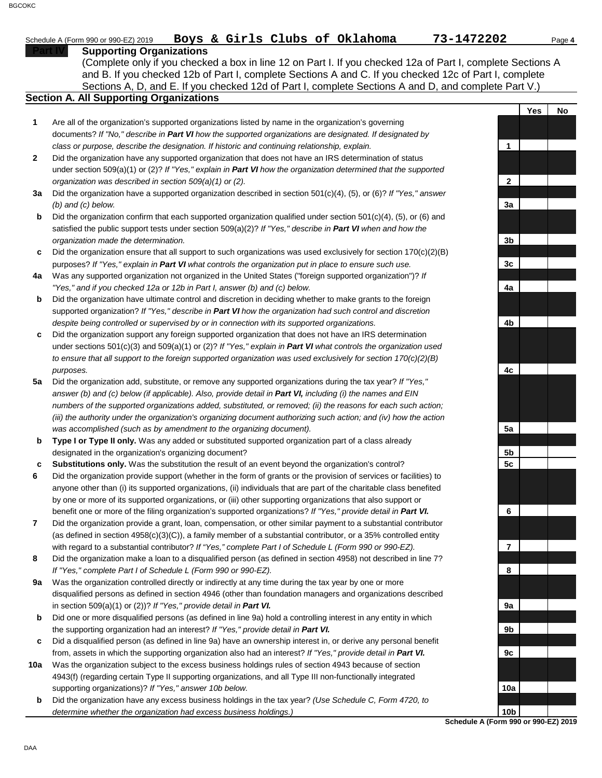## Schedule A (Form 990 or 990-EZ) 2019 Page **4 Boys & Girls Clubs of Oklahoma 73-1472202**

#### **Supporting Organizations**

Sections A, D, and E. If you checked 12d of Part I, complete Sections A and D, and complete Part V.) (Complete only if you checked a box in line 12 on Part I. If you checked 12a of Part I, complete Sections A and B. If you checked 12b of Part I, complete Sections A and C. If you checked 12c of Part I, complete

## **Section A. All Supporting Organizations**

- Are all of the organization's supported organizations listed by name in the organization's governing documents? *If "No," describe in Part VI how the supported organizations are designated. If designated by class or purpose, describe the designation. If historic and continuing relationship, explain.* **1**
- Did the organization have any supported organization that does not have an IRS determination of status under section 509(a)(1) or (2)? *If "Yes," explain in Part VI how the organization determined that the supported organization was described in section 509(a)(1) or (2).* **2**
- **3a** Did the organization have a supported organization described in section 501(c)(4), (5), or (6)? *If "Yes," answer (b) and (c) below.*
- **b** Did the organization confirm that each supported organization qualified under section 501(c)(4), (5), or (6) and satisfied the public support tests under section 509(a)(2)? *If "Yes," describe in Part VI when and how the organization made the determination.*
- **c** Did the organization ensure that all support to such organizations was used exclusively for section 170(c)(2)(B) purposes? *If "Yes," explain in Part VI what controls the organization put in place to ensure such use.*
- **4a** Was any supported organization not organized in the United States ("foreign supported organization")? *If "Yes," and if you checked 12a or 12b in Part I, answer (b) and (c) below.*
- **b** Did the organization have ultimate control and discretion in deciding whether to make grants to the foreign supported organization? *If "Yes," describe in Part VI how the organization had such control and discretion despite being controlled or supervised by or in connection with its supported organizations.*
- **c** Did the organization support any foreign supported organization that does not have an IRS determination under sections 501(c)(3) and 509(a)(1) or (2)? *If "Yes," explain in Part VI what controls the organization used to ensure that all support to the foreign supported organization was used exclusively for section 170(c)(2)(B) purposes.*
- **5a** Did the organization add, substitute, or remove any supported organizations during the tax year? *If "Yes," answer (b) and (c) below (if applicable). Also, provide detail in Part VI, including (i) the names and EIN numbers of the supported organizations added, substituted, or removed; (ii) the reasons for each such action; (iii) the authority under the organization's organizing document authorizing such action; and (iv) how the action was accomplished (such as by amendment to the organizing document).*
- **b Type I or Type II only.** Was any added or substituted supported organization part of a class already designated in the organization's organizing document?
- **c Substitutions only.** Was the substitution the result of an event beyond the organization's control?
- **6** Did the organization provide support (whether in the form of grants or the provision of services or facilities) to anyone other than (i) its supported organizations, (ii) individuals that are part of the charitable class benefited by one or more of its supported organizations, or (iii) other supporting organizations that also support or benefit one or more of the filing organization's supported organizations? *If "Yes," provide detail in Part VI.*
- **7** Did the organization provide a grant, loan, compensation, or other similar payment to a substantial contributor (as defined in section 4958(c)(3)(C)), a family member of a substantial contributor, or a 35% controlled entity with regard to a substantial contributor? *If "Yes," complete Part I of Schedule L (Form 990 or 990-EZ).*
- **8** Did the organization make a loan to a disqualified person (as defined in section 4958) not described in line 7? *If "Yes," complete Part I of Schedule L (Form 990 or 990-EZ).*
- **9a** Was the organization controlled directly or indirectly at any time during the tax year by one or more disqualified persons as defined in section 4946 (other than foundation managers and organizations described in section 509(a)(1) or (2))? *If "Yes," provide detail in Part VI.*
- **b** Did one or more disqualified persons (as defined in line 9a) hold a controlling interest in any entity in which the supporting organization had an interest? *If "Yes," provide detail in Part VI.*
- **c** Did a disqualified person (as defined in line 9a) have an ownership interest in, or derive any personal benefit from, assets in which the supporting organization also had an interest? *If "Yes," provide detail in Part VI.*
- **10a** Was the organization subject to the excess business holdings rules of section 4943 because of section 4943(f) (regarding certain Type II supporting organizations, and all Type III non-functionally integrated supporting organizations)? *If "Yes," answer 10b below.*
- **b** Did the organization have any excess business holdings in the tax year? *(Use Schedule C, Form 4720, to determine whether the organization had excess business holdings.)*



**Yes No**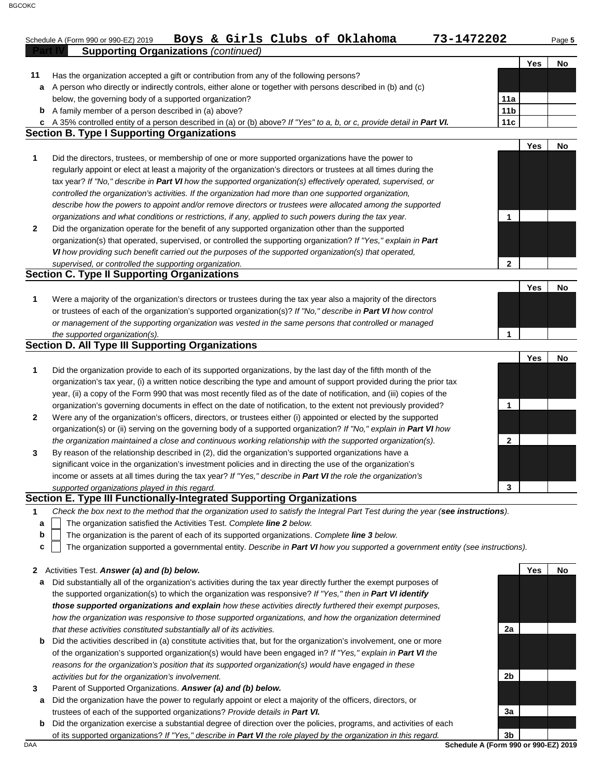|              | Boys & Girls Clubs of Oklahoma<br>73-1472202<br>Schedule A (Form 990 or 990-EZ) 2019                                   |                 |            | Page 5 |
|--------------|------------------------------------------------------------------------------------------------------------------------|-----------------|------------|--------|
|              | <b>Supporting Organizations (continued)</b>                                                                            |                 |            |        |
|              |                                                                                                                        |                 | Yes        | No     |
| 11           | Has the organization accepted a gift or contribution from any of the following persons?                                |                 |            |        |
| a            | A person who directly or indirectly controls, either alone or together with persons described in (b) and (c)           |                 |            |        |
|              | below, the governing body of a supported organization?                                                                 | 11a             |            |        |
| b            | A family member of a person described in (a) above?                                                                    | 11 <sub>b</sub> |            |        |
| c            | A 35% controlled entity of a person described in (a) or (b) above? If "Yes" to a, b, or c, provide detail in Part VI.  | 11c             |            |        |
|              | <b>Section B. Type I Supporting Organizations</b>                                                                      |                 |            |        |
|              |                                                                                                                        |                 | Yes        | No     |
| 1            | Did the directors, trustees, or membership of one or more supported organizations have the power to                    |                 |            |        |
|              | regularly appoint or elect at least a majority of the organization's directors or trustees at all times during the     |                 |            |        |
|              | tax year? If "No," describe in Part VI how the supported organization(s) effectively operated, supervised, or          |                 |            |        |
|              | controlled the organization's activities. If the organization had more than one supported organization,                |                 |            |        |
|              | describe how the powers to appoint and/or remove directors or trustees were allocated among the supported              |                 |            |        |
|              | organizations and what conditions or restrictions, if any, applied to such powers during the tax year.                 | $\mathbf{1}$    |            |        |
| $\mathbf{2}$ | Did the organization operate for the benefit of any supported organization other than the supported                    |                 |            |        |
|              | organization(s) that operated, supervised, or controlled the supporting organization? If "Yes," explain in Part        |                 |            |        |
|              | VI how providing such benefit carried out the purposes of the supported organization(s) that operated,                 |                 |            |        |
|              | supervised, or controlled the supporting organization.                                                                 | $\mathbf{2}$    |            |        |
|              | <b>Section C. Type II Supporting Organizations</b>                                                                     |                 |            |        |
|              |                                                                                                                        |                 | Yes        | No     |
| 1            | Were a majority of the organization's directors or trustees during the tax year also a majority of the directors       |                 |            |        |
|              | or trustees of each of the organization's supported organization(s)? If "No," describe in Part VI how control          |                 |            |        |
|              | or management of the supporting organization was vested in the same persons that controlled or managed                 |                 |            |        |
|              | the supported organization(s).                                                                                         | 1               |            |        |
|              | <b>Section D. All Type III Supporting Organizations</b>                                                                |                 |            |        |
|              |                                                                                                                        |                 | <b>Yes</b> | No     |
| 1            | Did the organization provide to each of its supported organizations, by the last day of the fifth month of the         |                 |            |        |
|              | organization's tax year, (i) a written notice describing the type and amount of support provided during the prior tax  |                 |            |        |
|              | year, (ii) a copy of the Form 990 that was most recently filed as of the date of notification, and (iii) copies of the |                 |            |        |
|              | organization's governing documents in effect on the date of notification, to the extent not previously provided?       | $\mathbf{1}$    |            |        |
| $\mathbf{2}$ | Were any of the organization's officers, directors, or trustees either (i) appointed or elected by the supported       |                 |            |        |
|              | organization(s) or (ii) serving on the governing body of a supported organization? If "No," explain in Part VI how     |                 |            |        |
|              | the organization maintained a close and continuous working relationship with the supported organization(s).            | $\mathbf{2}$    |            |        |
| 3            | By reason of the relationship described in (2), did the organization's supported organizations have a                  |                 |            |        |
|              | significant voice in the organization's investment policies and in directing the use of the organization's             |                 |            |        |
|              | income or assets at all times during the tax year? If "Yes," describe in Part VI the role the organization's           |                 |            |        |
|              | supported organizations played in this regard.                                                                         | 3               |            |        |
|              | Section E. Type III Functionally-Integrated Supporting Organizations                                                   |                 |            |        |

#### **1** *Check the box next to the method that the organization used to satisfy the Integral Part Test during the year (see instructions).*

- The organization satisfied the Activities Test. *Complete line 2 below.* **a**
- The organization is the parent of each of its supported organizations. *Complete line 3 below.* **b**
- The organization supported a governmental entity. *Describe in Part VI how you supported a government entity (see instructions).* **c**

#### **2** Activities Test. *Answer (a) and (b) below.*

- **a** Did substantially all of the organization's activities during the tax year directly further the exempt purposes of the supported organization(s) to which the organization was responsive? *If "Yes," then in Part VI identify those supported organizations and explain how these activities directly furthered their exempt purposes,*  how the organization was responsive to those supported organizations, and how the organization determined *that these activities constituted substantially all of its activities.*
- **b** Did the activities described in (a) constitute activities that, but for the organization's involvement, one or more of the organization's supported organization(s) would have been engaged in? *If "Yes," explain in Part VI the reasons for the organization's position that its supported organization(s) would have engaged in these activities but for the organization's involvement.*
- **3** Parent of Supported Organizations. *Answer (a) and (b) below.*
- **a** Did the organization have the power to regularly appoint or elect a majority of the officers, directors, or trustees of each of the supported organizations? *Provide details in Part VI.*
- **b** Did the organization exercise a substantial degree of direction over the policies, programs, and activities of each of its supported organizations? *If "Yes," describe in Part VI the role played by the organization in this regard.*

**Yes No 2a 2b 3a 3b**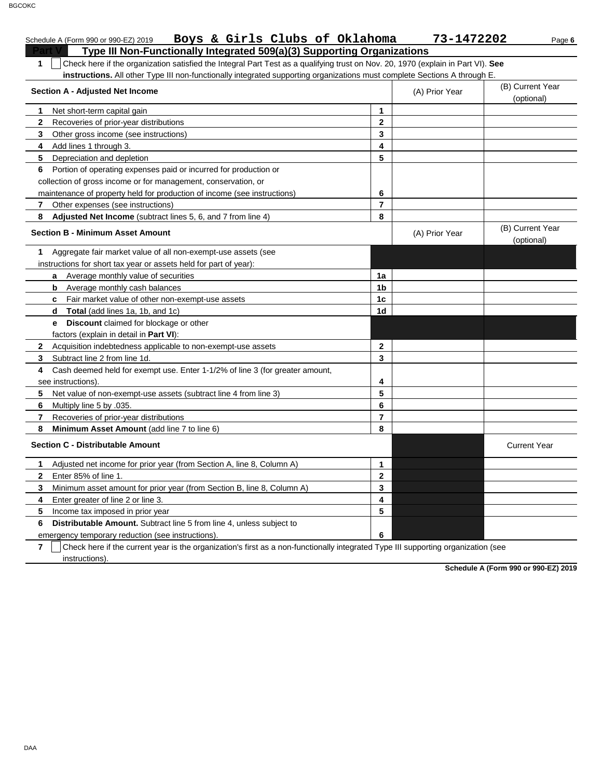|                | Boys & Girls Clubs of Oklahoma<br>Schedule A (Form 990 or 990-EZ) 2019                                                           |                | 73-1472202     | Page 6                         |
|----------------|----------------------------------------------------------------------------------------------------------------------------------|----------------|----------------|--------------------------------|
|                | Type III Non-Functionally Integrated 509(a)(3) Supporting Organizations                                                          |                |                |                                |
| $\mathbf{1}$   | Check here if the organization satisfied the Integral Part Test as a qualifying trust on Nov. 20, 1970 (explain in Part VI). See |                |                |                                |
|                | instructions. All other Type III non-functionally integrated supporting organizations must complete Sections A through E.        |                |                |                                |
|                | <b>Section A - Adjusted Net Income</b>                                                                                           |                | (A) Prior Year | (B) Current Year               |
|                |                                                                                                                                  |                |                | (optional)                     |
| 1.             | Net short-term capital gain                                                                                                      | 1              |                |                                |
| $\mathbf{2}$   | Recoveries of prior-year distributions                                                                                           | $\mathbf{2}$   |                |                                |
| 3              | Other gross income (see instructions)                                                                                            | 3              |                |                                |
| 4              | Add lines 1 through 3.                                                                                                           | 4              |                |                                |
| 5              | Depreciation and depletion                                                                                                       | 5              |                |                                |
| 6              | Portion of operating expenses paid or incurred for production or                                                                 |                |                |                                |
|                | collection of gross income or for management, conservation, or                                                                   |                |                |                                |
|                | maintenance of property held for production of income (see instructions)                                                         | 6              |                |                                |
| $\mathbf{7}$   | Other expenses (see instructions)                                                                                                | $\overline{7}$ |                |                                |
| 8              | Adjusted Net Income (subtract lines 5, 6, and 7 from line 4)                                                                     | 8              |                |                                |
|                | <b>Section B - Minimum Asset Amount</b>                                                                                          |                | (A) Prior Year | (B) Current Year<br>(optional) |
| 1              | Aggregate fair market value of all non-exempt-use assets (see                                                                    |                |                |                                |
|                | instructions for short tax year or assets held for part of year):                                                                |                |                |                                |
|                | Average monthly value of securities<br>a                                                                                         | 1a             |                |                                |
|                | Average monthly cash balances<br>b                                                                                               | 1b             |                |                                |
|                | c Fair market value of other non-exempt-use assets                                                                               | 1 <sub>c</sub> |                |                                |
|                | d Total (add lines 1a, 1b, and 1c)                                                                                               | 1d             |                |                                |
|                | <b>Discount</b> claimed for blockage or other<br>e.                                                                              |                |                |                                |
|                | factors (explain in detail in Part VI):                                                                                          |                |                |                                |
|                | 2 Acquisition indebtedness applicable to non-exempt-use assets                                                                   | $\mathbf{2}$   |                |                                |
| 3              | Subtract line 2 from line 1d.                                                                                                    | 3              |                |                                |
| 4              | Cash deemed held for exempt use. Enter 1-1/2% of line 3 (for greater amount,                                                     |                |                |                                |
|                | see instructions).                                                                                                               | 4              |                |                                |
| 5              | Net value of non-exempt-use assets (subtract line 4 from line 3)                                                                 | 5              |                |                                |
| 6              | Multiply line 5 by .035.                                                                                                         | 6              |                |                                |
| $\overline{7}$ | Recoveries of prior-year distributions                                                                                           | $\overline{7}$ |                |                                |
| 8              | Minimum Asset Amount (add line 7 to line 6)                                                                                      | 8              |                |                                |
|                | <b>Section C - Distributable Amount</b>                                                                                          |                |                | <b>Current Year</b>            |
| 1.             | Adjusted net income for prior year (from Section A, line 8, Column A)                                                            | 1              |                |                                |
| $\mathbf{2}$   | Enter 85% of line 1.                                                                                                             | $\mathbf{2}$   |                |                                |
| 3              | Minimum asset amount for prior year (from Section B, line 8, Column A)                                                           | 3              |                |                                |
| 4              | Enter greater of line 2 or line 3.                                                                                               | 4              |                |                                |
| 5              | Income tax imposed in prior year                                                                                                 | 5              |                |                                |
| 6              | <b>Distributable Amount.</b> Subtract line 5 from line 4, unless subject to                                                      |                |                |                                |
|                | emergency temporary reduction (see instructions).                                                                                | 6              |                |                                |

**7**  $\,$   $\,$   $\,$   $\,$   $\,$   $\,$  Check here if the current year is the organization's first as a non-functionally integrated Type III supporting organization (see instructions).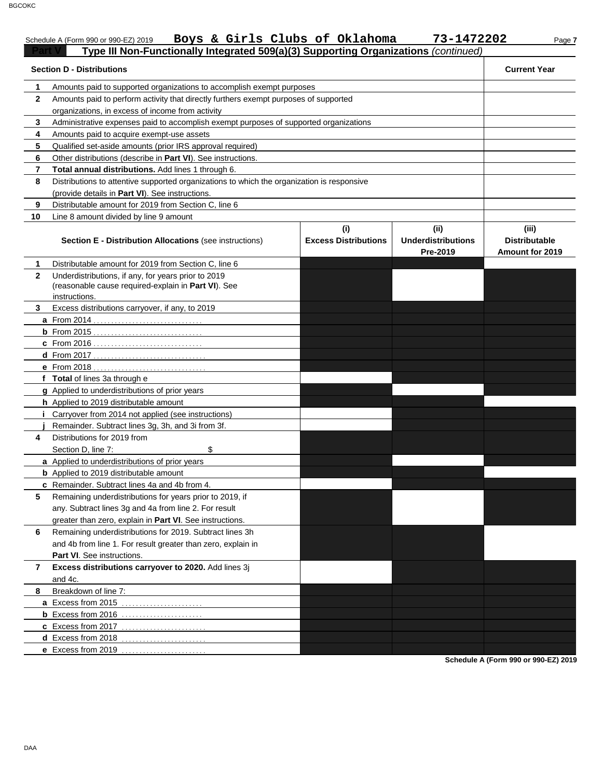# Schedule A (Form 990 or 990-EZ) 2019 Page **7 Boys & Girls Clubs of Oklahoma 73-1472202 Part V Type III Non-Functionally Integrated 509(a)(3) Supporting Organizations** *(continued)*

|                | <b>Section D - Distributions</b>                                                           |                             |                           | <b>Current Year</b>    |
|----------------|--------------------------------------------------------------------------------------------|-----------------------------|---------------------------|------------------------|
| 1              | Amounts paid to supported organizations to accomplish exempt purposes                      |                             |                           |                        |
| $\mathbf{2}$   | Amounts paid to perform activity that directly furthers exempt purposes of supported       |                             |                           |                        |
|                | organizations, in excess of income from activity                                           |                             |                           |                        |
| 3              | Administrative expenses paid to accomplish exempt purposes of supported organizations      |                             |                           |                        |
| 4              | Amounts paid to acquire exempt-use assets                                                  |                             |                           |                        |
| 5              | Qualified set-aside amounts (prior IRS approval required)                                  |                             |                           |                        |
| 6              | Other distributions (describe in Part VI). See instructions.                               |                             |                           |                        |
| $\overline{7}$ | Total annual distributions. Add lines 1 through 6.                                         |                             |                           |                        |
| 8              | Distributions to attentive supported organizations to which the organization is responsive |                             |                           |                        |
|                | (provide details in Part VI). See instructions.                                            |                             |                           |                        |
| 9              | Distributable amount for 2019 from Section C, line 6                                       |                             |                           |                        |
| 10             | Line 8 amount divided by line 9 amount                                                     |                             |                           |                        |
|                |                                                                                            | (i)                         | (iii)                     | (iii)                  |
|                | <b>Section E - Distribution Allocations (see instructions)</b>                             | <b>Excess Distributions</b> | <b>Underdistributions</b> | <b>Distributable</b>   |
|                |                                                                                            |                             | Pre-2019                  | <b>Amount for 2019</b> |
| 1              | Distributable amount for 2019 from Section C, line 6                                       |                             |                           |                        |
| $\mathbf{2}$   | Underdistributions, if any, for years prior to 2019                                        |                             |                           |                        |
|                | (reasonable cause required-explain in Part VI). See                                        |                             |                           |                        |
|                | instructions.                                                                              |                             |                           |                        |
| 3.             | Excess distributions carryover, if any, to 2019                                            |                             |                           |                        |
|                | <b>a</b> From 2014                                                                         |                             |                           |                        |
|                |                                                                                            |                             |                           |                        |
|                |                                                                                            |                             |                           |                        |
|                |                                                                                            |                             |                           |                        |
|                | e From 2018                                                                                |                             |                           |                        |
|                | f Total of lines 3a through e                                                              |                             |                           |                        |
|                | g Applied to underdistributions of prior years                                             |                             |                           |                        |
|                | <b>h</b> Applied to 2019 distributable amount                                              |                             |                           |                        |
|                | Carryover from 2014 not applied (see instructions)                                         |                             |                           |                        |
|                | Remainder. Subtract lines 3g, 3h, and 3i from 3f.                                          |                             |                           |                        |
| 4              | Distributions for 2019 from                                                                |                             |                           |                        |
|                | \$<br>Section D, line 7:                                                                   |                             |                           |                        |
|                | a Applied to underdistributions of prior years                                             |                             |                           |                        |
|                | <b>b</b> Applied to 2019 distributable amount                                              |                             |                           |                        |
|                | c Remainder. Subtract lines 4a and 4b from 4.                                              |                             |                           |                        |
| 5              | Remaining underdistributions for years prior to 2019, if                                   |                             |                           |                        |
|                | any. Subtract lines 3g and 4a from line 2. For result                                      |                             |                           |                        |
|                | greater than zero, explain in Part VI. See instructions.                                   |                             |                           |                        |
| 6              | Remaining underdistributions for 2019. Subtract lines 3h                                   |                             |                           |                        |
|                |                                                                                            |                             |                           |                        |
|                | and 4b from line 1. For result greater than zero, explain in                               |                             |                           |                        |
|                | Part VI. See instructions.                                                                 |                             |                           |                        |
| 7              | Excess distributions carryover to 2020. Add lines 3j                                       |                             |                           |                        |
|                | and 4c.                                                                                    |                             |                           |                        |
| 8              | Breakdown of line 7:                                                                       |                             |                           |                        |
|                | a Excess from 2015                                                                         |                             |                           |                        |
|                | <b>b</b> Excess from 2016 $\ldots$                                                         |                             |                           |                        |
|                | c Excess from 2017                                                                         |                             |                           |                        |
|                | d Excess from 2018                                                                         |                             |                           |                        |
|                | e Excess from 2019                                                                         |                             |                           |                        |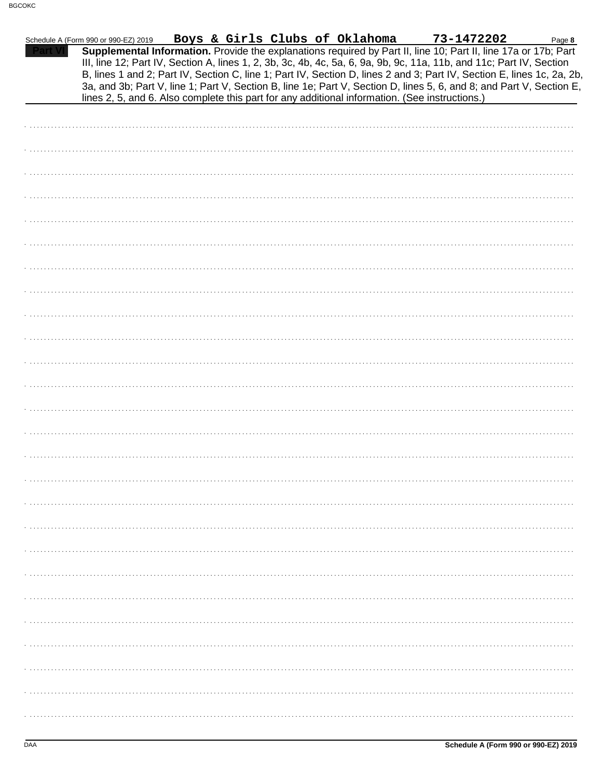| Schedule A (Form 990 or 990-EZ) 2019 |  | Boys & Girls Clubs of Oklahoma | 73-1472202                                                                                                                                                                                                                                                                                                                                                                                                                                                                                | Page 8 |
|--------------------------------------|--|--------------------------------|-------------------------------------------------------------------------------------------------------------------------------------------------------------------------------------------------------------------------------------------------------------------------------------------------------------------------------------------------------------------------------------------------------------------------------------------------------------------------------------------|--------|
|                                      |  |                                | Supplemental Information. Provide the explanations required by Part II, line 10; Part II, line 17a or 17b; Part<br>III, line 12; Part IV, Section A, lines 1, 2, 3b, 3c, 4b, 4c, 5a, 6, 9a, 9b, 9c, 11a, 11b, and 11c; Part IV, Section<br>B, lines 1 and 2; Part IV, Section C, line 1; Part IV, Section D, lines 2 and 3; Part IV, Section E, lines 1c, 2a, 2b,<br>3a, and 3b; Part V, line 1; Part V, Section B, line 1e; Part V, Section D, lines 5, 6, and 8; and Part V, Section E, |        |
|                                      |  |                                | lines 2, 5, and 6. Also complete this part for any additional information. (See instructions.)                                                                                                                                                                                                                                                                                                                                                                                            |        |
|                                      |  |                                |                                                                                                                                                                                                                                                                                                                                                                                                                                                                                           |        |
|                                      |  |                                |                                                                                                                                                                                                                                                                                                                                                                                                                                                                                           |        |
|                                      |  |                                |                                                                                                                                                                                                                                                                                                                                                                                                                                                                                           |        |
|                                      |  |                                |                                                                                                                                                                                                                                                                                                                                                                                                                                                                                           |        |
|                                      |  |                                |                                                                                                                                                                                                                                                                                                                                                                                                                                                                                           |        |
|                                      |  |                                |                                                                                                                                                                                                                                                                                                                                                                                                                                                                                           |        |
|                                      |  |                                |                                                                                                                                                                                                                                                                                                                                                                                                                                                                                           |        |
|                                      |  |                                |                                                                                                                                                                                                                                                                                                                                                                                                                                                                                           |        |
|                                      |  |                                |                                                                                                                                                                                                                                                                                                                                                                                                                                                                                           |        |
|                                      |  |                                |                                                                                                                                                                                                                                                                                                                                                                                                                                                                                           |        |
|                                      |  |                                |                                                                                                                                                                                                                                                                                                                                                                                                                                                                                           |        |
|                                      |  |                                |                                                                                                                                                                                                                                                                                                                                                                                                                                                                                           |        |
|                                      |  |                                |                                                                                                                                                                                                                                                                                                                                                                                                                                                                                           |        |
|                                      |  |                                |                                                                                                                                                                                                                                                                                                                                                                                                                                                                                           |        |
|                                      |  |                                |                                                                                                                                                                                                                                                                                                                                                                                                                                                                                           |        |
|                                      |  |                                |                                                                                                                                                                                                                                                                                                                                                                                                                                                                                           |        |
|                                      |  |                                |                                                                                                                                                                                                                                                                                                                                                                                                                                                                                           |        |
|                                      |  |                                |                                                                                                                                                                                                                                                                                                                                                                                                                                                                                           |        |
|                                      |  |                                |                                                                                                                                                                                                                                                                                                                                                                                                                                                                                           |        |
|                                      |  |                                |                                                                                                                                                                                                                                                                                                                                                                                                                                                                                           |        |
|                                      |  |                                |                                                                                                                                                                                                                                                                                                                                                                                                                                                                                           |        |
|                                      |  |                                |                                                                                                                                                                                                                                                                                                                                                                                                                                                                                           |        |
|                                      |  |                                |                                                                                                                                                                                                                                                                                                                                                                                                                                                                                           |        |
|                                      |  |                                |                                                                                                                                                                                                                                                                                                                                                                                                                                                                                           |        |
|                                      |  |                                |                                                                                                                                                                                                                                                                                                                                                                                                                                                                                           |        |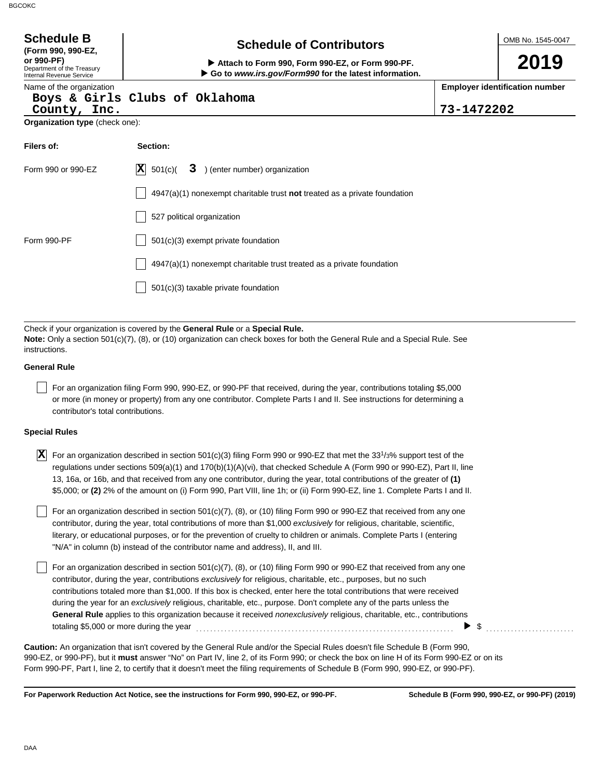| <b>Schedule B</b>                                                                                 | <b>Schedule of Contributors</b>                                                                                                                                                                                                                                                                                                                                                                                                                                                                                     |            | OMB No. 1545-0047                     |
|---------------------------------------------------------------------------------------------------|---------------------------------------------------------------------------------------------------------------------------------------------------------------------------------------------------------------------------------------------------------------------------------------------------------------------------------------------------------------------------------------------------------------------------------------------------------------------------------------------------------------------|------------|---------------------------------------|
| (Form 990, 990-EZ,<br>or 990-PF)<br>Department of the Treasury<br><b>Internal Revenue Service</b> | Attach to Form 990, Form 990-EZ, or Form 990-PF.<br>Go to www.irs.gov/Form990 for the latest information.                                                                                                                                                                                                                                                                                                                                                                                                           |            | 2019                                  |
| Name of the organization<br>County, Inc.                                                          | Boys & Girls Clubs of Oklahoma                                                                                                                                                                                                                                                                                                                                                                                                                                                                                      | 73-1472202 | <b>Employer identification number</b> |
| Organization type (check one):                                                                    |                                                                                                                                                                                                                                                                                                                                                                                                                                                                                                                     |            |                                       |
| Filers of:                                                                                        | Section:                                                                                                                                                                                                                                                                                                                                                                                                                                                                                                            |            |                                       |
| Form 990 or 990-EZ                                                                                | 3 ) (enter number) organization<br>$ \mathbf{X} $ 501(c)(                                                                                                                                                                                                                                                                                                                                                                                                                                                           |            |                                       |
|                                                                                                   | $4947(a)(1)$ nonexempt charitable trust not treated as a private foundation                                                                                                                                                                                                                                                                                                                                                                                                                                         |            |                                       |
|                                                                                                   | 527 political organization                                                                                                                                                                                                                                                                                                                                                                                                                                                                                          |            |                                       |
| Form 990-PF                                                                                       | 501(c)(3) exempt private foundation                                                                                                                                                                                                                                                                                                                                                                                                                                                                                 |            |                                       |
|                                                                                                   | 4947(a)(1) nonexempt charitable trust treated as a private foundation                                                                                                                                                                                                                                                                                                                                                                                                                                               |            |                                       |
|                                                                                                   | 501(c)(3) taxable private foundation                                                                                                                                                                                                                                                                                                                                                                                                                                                                                |            |                                       |
|                                                                                                   |                                                                                                                                                                                                                                                                                                                                                                                                                                                                                                                     |            |                                       |
| instructions.                                                                                     | Check if your organization is covered by the General Rule or a Special Rule.<br>Note: Only a section 501(c)(7), (8), or (10) organization can check boxes for both the General Rule and a Special Rule. See                                                                                                                                                                                                                                                                                                         |            |                                       |
| <b>General Rule</b>                                                                               |                                                                                                                                                                                                                                                                                                                                                                                                                                                                                                                     |            |                                       |
| contributor's total contributions.                                                                | For an organization filing Form 990, 990-EZ, or 990-PF that received, during the year, contributions totaling \$5,000<br>or more (in money or property) from any one contributor. Complete Parts I and II. See instructions for determining a                                                                                                                                                                                                                                                                       |            |                                       |
| <b>Special Rules</b>                                                                              |                                                                                                                                                                                                                                                                                                                                                                                                                                                                                                                     |            |                                       |
| ΙXΙ                                                                                               | For an organization described in section 501(c)(3) filing Form 990 or 990-EZ that met the $33^{1/3\%}$ support test of the<br>regulations under sections $509(a)(1)$ and $170(b)(1)(A)(vi)$ , that checked Schedule A (Form 990 or 990-EZ), Part II, line<br>13, 16a, or 16b, and that received from any one contributor, during the year, total contributions of the greater of (1)<br>\$5,000; or (2) 2% of the amount on (i) Form 990, Part VIII, line 1h; or (ii) Form 990-EZ, line 1. Complete Parts I and II. |            |                                       |
|                                                                                                   | For an organization described in section 501(c)(7), (8), or (10) filing Form 990 or 990-EZ that received from any one<br>contributor, during the year, total contributions of more than \$1,000 exclusively for religious, charitable, scientific,<br>literary, or educational purposes, or for the prevention of cruelty to children or animals. Complete Parts I (entering                                                                                                                                        |            |                                       |

literary, or educational purposes, or for the prevention of cruelty to children or animals. Complete Parts I (entering "N/A" in column (b) instead of the contributor name and address), II, and III.

For an organization described in section 501(c)(7), (8), or (10) filing Form 990 or 990-EZ that received from any one contributor, during the year, contributions *exclusively* for religious, charitable, etc., purposes, but no such contributions totaled more than \$1,000. If this box is checked, enter here the total contributions that were received during the year for an *exclusively* religious, charitable, etc., purpose. Don't complete any of the parts unless the **General Rule** applies to this organization because it received *nonexclusively* religious, charitable, etc., contributions totaling \$5,000 or more during the year . . . . . . . . . . . . . . . . . . . . . . . . . . . . . . . . . . . . . . . . . . . . . . . . . . . . . . . . . . . . . . . . . . . . . . . . .  $\triangleright$  \$

990-EZ, or 990-PF), but it **must** answer "No" on Part IV, line 2, of its Form 990; or check the box on line H of its Form 990-EZ or on its Form 990-PF, Part I, line 2, to certify that it doesn't meet the filing requirements of Schedule B (Form 990, 990-EZ, or 990-PF). **Caution:** An organization that isn't covered by the General Rule and/or the Special Rules doesn't file Schedule B (Form 990,

**For Paperwork Reduction Act Notice, see the instructions for Form 990, 990-EZ, or 990-PF.**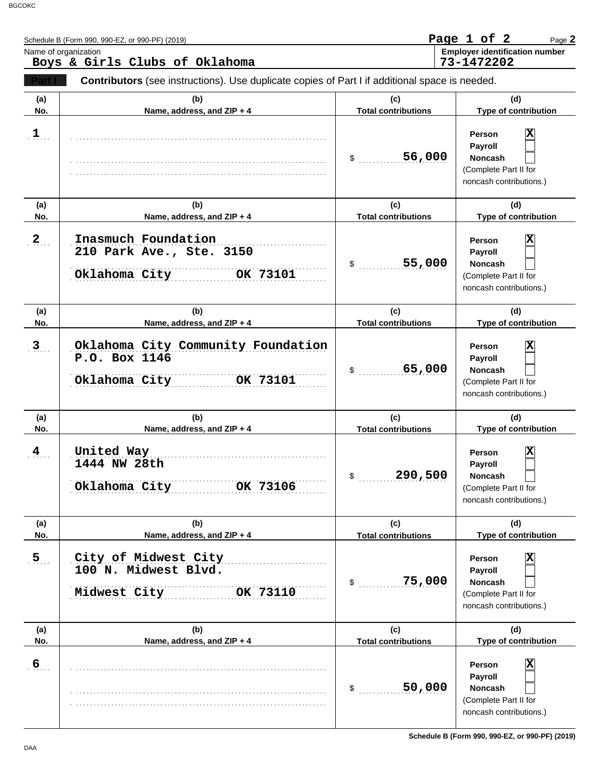|                       | Schedule B (Form 990, 990-EZ, or 990-PF) (2019)<br>Name of organization<br>Boys & Girls Clubs of Oklahoma |                                                       | Page 1 of 2<br>Page 2<br><b>Employer identification number</b><br>73-1472202                                                |
|-----------------------|-----------------------------------------------------------------------------------------------------------|-------------------------------------------------------|-----------------------------------------------------------------------------------------------------------------------------|
|                       | Contributors (see instructions). Use duplicate copies of Part I if additional space is needed.            |                                                       |                                                                                                                             |
| (a)<br>No.            | (b)<br>Name, address, and ZIP + 4                                                                         | (c)<br><b>Total contributions</b>                     | (d)<br>Type of contribution                                                                                                 |
| 1                     |                                                                                                           | 56,000<br>$\frac{1}{2}$                               | х<br><b>Person</b><br>Payroll<br>Noncash<br>(Complete Part II for<br>noncash contributions.)                                |
| (a)<br>No.            | (b)<br>Name, address, and ZIP + 4                                                                         | (c)<br><b>Total contributions</b>                     | (d)<br>Type of contribution                                                                                                 |
| $\mathbf{2}$          | Inasmuch Foundation<br>210 Park Ave., Ste. 3150<br>Oklahoma City<br>OK 73101                              | 55,000<br>\$                                          | X<br><b>Person</b><br>Payroll<br>Noncash<br>(Complete Part II for<br>noncash contributions.)                                |
| (a)<br>No.            | (b)<br>Name, address, and ZIP + 4                                                                         | (c)<br><b>Total contributions</b>                     | (d)<br>Type of contribution                                                                                                 |
| 3 <sub>1</sub>        | Oklahoma City Community Foundation<br>P.O. Box 1146<br>Oklahoma City<br>OK 73101                          | 65,000<br>\$                                          | X<br><b>Person</b><br>Payroll<br><b>Noncash</b><br>(Complete Part II for<br>noncash contributions.)                         |
| (a)<br>No.            | (b)<br>Name, address, and ZIP + 4                                                                         | (c)<br><b>Total contributions</b>                     | (d)<br>Type of contribution                                                                                                 |
| 4                     | United Way<br>1444 NW 28th<br>Oklahoma City<br>OK 73106                                                   | \$<br>290,500                                         | X<br>Person<br>Payroll<br>Noncash<br>(Complete Part II for<br>noncash contributions.)                                       |
| (a)                   | (b)                                                                                                       | (c)                                                   | (d)                                                                                                                         |
| No.<br>5 <sub>1</sub> | Name, address, and ZIP + 4<br>City of Midwest City<br>100 N. Midwest Blvd.<br>Midwest City<br>OK 73110    | <b>Total contributions</b><br>75,000<br>$\mathsf{\$}$ | <b>Type of contribution</b><br>x<br>Person<br>Payroll<br><b>Noncash</b><br>(Complete Part II for<br>noncash contributions.) |
| (a)<br>No.            | (b)<br>Name, address, and ZIP + 4                                                                         | (c)<br><b>Total contributions</b>                     | (d)<br>Type of contribution                                                                                                 |
| $6 \overline{6}$      |                                                                                                           | 50,000<br>$\mathsf{\$}$                               | x<br>Person<br>Payroll<br><b>Noncash</b><br>(Complete Part II for<br>noncash contributions.)                                |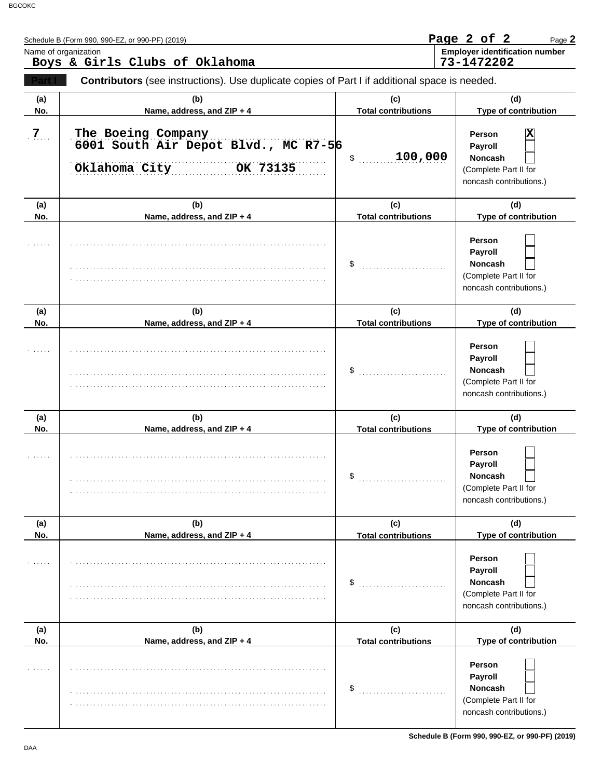|                | Schedule B (Form 990, 990-EZ, or 990-PF) (2019)                                                |                                   | Page 2 of 2<br>Page 2                                                                   |
|----------------|------------------------------------------------------------------------------------------------|-----------------------------------|-----------------------------------------------------------------------------------------|
|                | Name of organization<br>Boys & Girls Clubs of Oklahoma                                         |                                   | <b>Employer identification number</b><br>73-1472202                                     |
|                | Contributors (see instructions). Use duplicate copies of Part I if additional space is needed. |                                   |                                                                                         |
| (a)<br>No.     | (b)<br>Name, address, and ZIP + 4                                                              | (c)<br><b>Total contributions</b> | (d)<br>Type of contribution                                                             |
| 7 <sub>1</sub> | The Boeing Company<br>6001 South Air Depot Blvd., MC R7-56<br>Oklahoma City<br>OK 73135        | 100,000<br>\$                     | X<br>Person<br>Payroll<br>Noncash<br>(Complete Part II for<br>noncash contributions.)   |
| (a)            | (b)                                                                                            | (c)                               | (d)                                                                                     |
| No.            | Name, address, and ZIP + 4                                                                     | <b>Total contributions</b>        | Type of contribution                                                                    |
|                |                                                                                                | \$                                | Person<br>Payroll<br>Noncash<br>(Complete Part II for<br>noncash contributions.)        |
| (a)            | (b)                                                                                            | (c)                               | (d)                                                                                     |
| No.            | Name, address, and ZIP + 4                                                                     | <b>Total contributions</b>        | Type of contribution                                                                    |
| (a)            | (b)                                                                                            | \$<br>(c)                         | Person<br>Payroll<br>Noncash<br>(Complete Part II for<br>noncash contributions.)<br>(d) |
| No.            | Name, address, and ZIP + 4                                                                     | <b>Total contributions</b>        | Type of contribution                                                                    |
|                |                                                                                                | \$                                | Person<br><b>Payroll</b><br>Noncash<br>(Complete Part II for<br>noncash contributions.) |
| (a)            | (b)                                                                                            | (c)                               | (d)                                                                                     |
| No.            | Name, address, and ZIP + 4                                                                     | <b>Total contributions</b>        | Type of contribution                                                                    |
|                |                                                                                                | \$                                | Person<br>Payroll<br><b>Noncash</b><br>(Complete Part II for<br>noncash contributions.) |
| (a)<br>No.     | (b)<br>Name, address, and ZIP + 4                                                              | (c)<br><b>Total contributions</b> | (d)<br>Type of contribution                                                             |
|                |                                                                                                | \$                                | Person<br>Payroll<br><b>Noncash</b><br>(Complete Part II for<br>noncash contributions.) |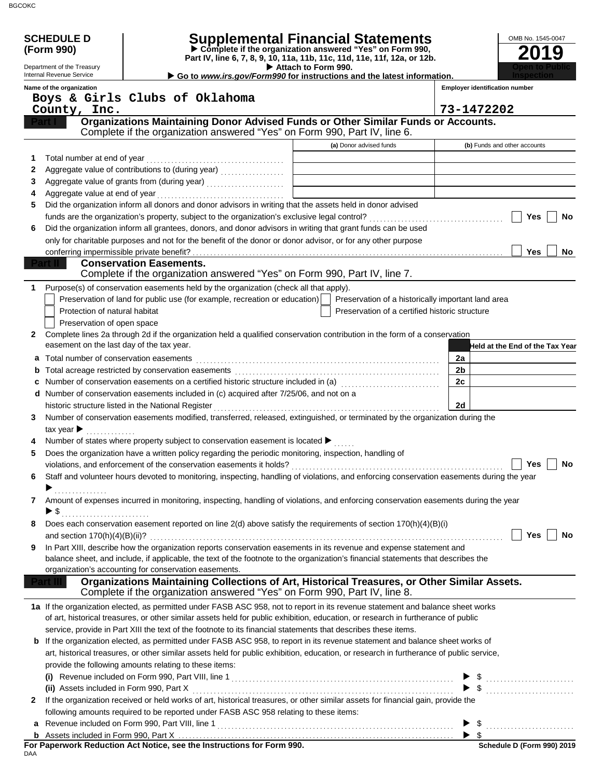|    | <b>SCHEDULE D</b>                                      |                                                                                                                                                                                                                                 | Supplemental Financial Statements<br>$\triangleright$ Complete if the organization answered "Yes" on Form 990, | OMB No. 1545-0047                     |
|----|--------------------------------------------------------|---------------------------------------------------------------------------------------------------------------------------------------------------------------------------------------------------------------------------------|----------------------------------------------------------------------------------------------------------------|---------------------------------------|
|    | (Form 990)                                             |                                                                                                                                                                                                                                 | Part IV, line 6, 7, 8, 9, 10, 11a, 11b, 11c, 11d, 11e, 11f, 12a, or 12b.                                       | 2019                                  |
|    | Department of the Treasury<br>Internal Revenue Service |                                                                                                                                                                                                                                 | Attach to Form 990.<br>Go to www.irs.gov/Form990 for instructions and the latest information.                  |                                       |
|    | Name of the organization                               |                                                                                                                                                                                                                                 |                                                                                                                | <b>Employer identification number</b> |
|    |                                                        | Boys & Girls Clubs of Oklahoma                                                                                                                                                                                                  |                                                                                                                |                                       |
|    | County, Inc.                                           |                                                                                                                                                                                                                                 |                                                                                                                | 73-1472202                            |
|    |                                                        | Organizations Maintaining Donor Advised Funds or Other Similar Funds or Accounts.<br>Complete if the organization answered "Yes" on Form 990, Part IV, line 6.                                                                  |                                                                                                                |                                       |
|    |                                                        |                                                                                                                                                                                                                                 | (a) Donor advised funds                                                                                        | (b) Funds and other accounts          |
|    |                                                        |                                                                                                                                                                                                                                 |                                                                                                                |                                       |
| 2  |                                                        | Aggregate value of contributions to (during year)<br>                                                                                                                                                                           |                                                                                                                |                                       |
| 3  |                                                        |                                                                                                                                                                                                                                 |                                                                                                                |                                       |
| 4  |                                                        |                                                                                                                                                                                                                                 |                                                                                                                |                                       |
| 5  |                                                        | Did the organization inform all donors and donor advisors in writing that the assets held in donor advised                                                                                                                      |                                                                                                                |                                       |
|    |                                                        |                                                                                                                                                                                                                                 |                                                                                                                | Yes<br>No                             |
| 6  |                                                        | Did the organization inform all grantees, donors, and donor advisors in writing that grant funds can be used                                                                                                                    |                                                                                                                |                                       |
|    |                                                        | only for charitable purposes and not for the benefit of the donor or donor advisor, or for any other purpose                                                                                                                    |                                                                                                                |                                       |
|    | conferring impermissible private benefit?              | <b>Conservation Easements.</b>                                                                                                                                                                                                  |                                                                                                                | Yes<br>No                             |
|    |                                                        | Complete if the organization answered "Yes" on Form 990, Part IV, line 7.                                                                                                                                                       |                                                                                                                |                                       |
| 1  |                                                        | Purpose(s) of conservation easements held by the organization (check all that apply).                                                                                                                                           |                                                                                                                |                                       |
|    |                                                        | Preservation of land for public use (for example, recreation or education)                                                                                                                                                      | Preservation of a historically important land area                                                             |                                       |
|    | Protection of natural habitat                          |                                                                                                                                                                                                                                 | Preservation of a certified historic structure                                                                 |                                       |
|    | Preservation of open space                             |                                                                                                                                                                                                                                 |                                                                                                                |                                       |
| 2. |                                                        | Complete lines 2a through 2d if the organization held a qualified conservation contribution in the form of a conservation                                                                                                       |                                                                                                                |                                       |
|    | easement on the last day of the tax year.              |                                                                                                                                                                                                                                 |                                                                                                                | Held at the End of the Tax Year       |
| а  | Total number of conservation easements                 |                                                                                                                                                                                                                                 |                                                                                                                | 2a                                    |
|    |                                                        |                                                                                                                                                                                                                                 |                                                                                                                | 2 <sub>b</sub>                        |
|    |                                                        | Number of conservation easements on a certified historic structure included in (a) [[[[[[[[[[[[[[[[[[[[[[[[[]]]]]]]                                                                                                             |                                                                                                                | 2c                                    |
|    |                                                        | d Number of conservation easements included in (c) acquired after 7/25/06, and not on a                                                                                                                                         |                                                                                                                | 2d                                    |
| 3  |                                                        | Number of conservation easements modified, transferred, released, extinguished, or terminated by the organization during the                                                                                                    |                                                                                                                |                                       |
|    | tax year $\blacktriangleright$<br>.                    |                                                                                                                                                                                                                                 |                                                                                                                |                                       |
|    |                                                        | Number of states where property subject to conservation easement is located ▶                                                                                                                                                   |                                                                                                                |                                       |
| 5  |                                                        | Does the organization have a written policy regarding the periodic monitoring, inspection, handling of                                                                                                                          |                                                                                                                |                                       |
|    |                                                        |                                                                                                                                                                                                                                 |                                                                                                                | $\Box$ Yes<br>No                      |
| 6  |                                                        | Staff and volunteer hours devoted to monitoring, inspecting, handling of violations, and enforcing conservation easements during the year                                                                                       |                                                                                                                |                                       |
|    | .                                                      |                                                                                                                                                                                                                                 |                                                                                                                |                                       |
| 7  |                                                        | Amount of expenses incurred in monitoring, inspecting, handling of violations, and enforcing conservation easements during the year                                                                                             |                                                                                                                |                                       |
|    | $\blacktriangleright$ \$                               |                                                                                                                                                                                                                                 |                                                                                                                |                                       |
| 8  |                                                        | Does each conservation easement reported on line 2(d) above satisfy the requirements of section 170(h)(4)(B)(i)                                                                                                                 |                                                                                                                | Yes<br>No                             |
| 9  |                                                        | In Part XIII, describe how the organization reports conservation easements in its revenue and expense statement and                                                                                                             |                                                                                                                |                                       |
|    |                                                        | balance sheet, and include, if applicable, the text of the footnote to the organization's financial statements that describes the                                                                                               |                                                                                                                |                                       |
|    |                                                        | organization's accounting for conservation easements.                                                                                                                                                                           |                                                                                                                |                                       |
|    |                                                        | <u>Oris accounting ion conservation easements.</u><br>Organizations Maintaining Collections of Art, Historical Treasures, or Other Similar Assets.<br>Complete if the organization answered "Yes" on Form 990, Part IV, line 8. |                                                                                                                |                                       |
|    |                                                        | 1a If the organization elected, as permitted under FASB ASC 958, not to report in its revenue statement and balance sheet works                                                                                                 |                                                                                                                |                                       |
|    |                                                        | of art, historical treasures, or other similar assets held for public exhibition, education, or research in furtherance of public                                                                                               |                                                                                                                |                                       |
|    |                                                        | service, provide in Part XIII the text of the footnote to its financial statements that describes these items.                                                                                                                  |                                                                                                                |                                       |
|    |                                                        | <b>b</b> If the organization elected, as permitted under FASB ASC 958, to report in its revenue statement and balance sheet works of                                                                                            |                                                                                                                |                                       |
|    |                                                        | art, historical treasures, or other similar assets held for public exhibition, education, or research in furtherance of public service,                                                                                         |                                                                                                                |                                       |
|    |                                                        | provide the following amounts relating to these items:                                                                                                                                                                          |                                                                                                                |                                       |
|    |                                                        |                                                                                                                                                                                                                                 |                                                                                                                |                                       |
|    |                                                        |                                                                                                                                                                                                                                 |                                                                                                                | $\frac{1}{2}$                         |
| 2  |                                                        | If the organization received or held works of art, historical treasures, or other similar assets for financial gain, provide the<br>following amounts required to be reported under FASB ASC 958 relating to these items:       |                                                                                                                |                                       |
|    |                                                        |                                                                                                                                                                                                                                 |                                                                                                                |                                       |
|    |                                                        |                                                                                                                                                                                                                                 |                                                                                                                |                                       |
|    |                                                        |                                                                                                                                                                                                                                 |                                                                                                                | Schedule D (Form 990) 2019            |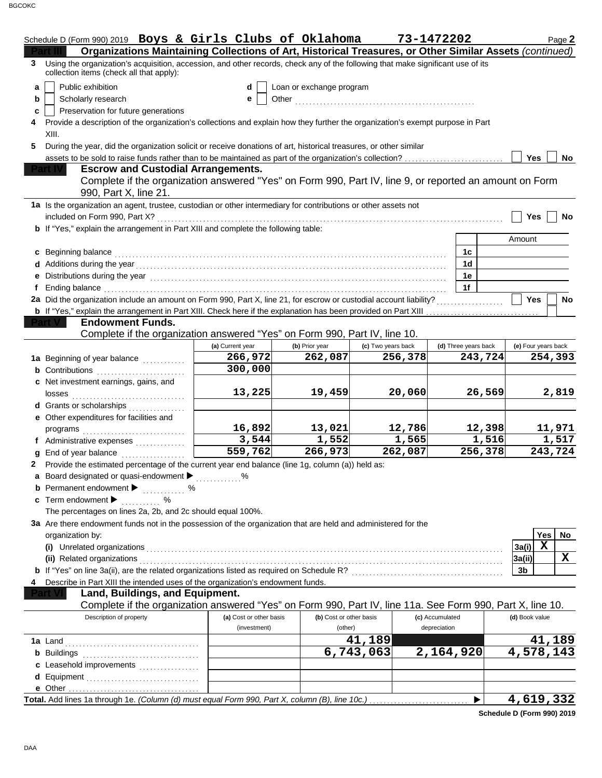|   | Schedule D (Form 990) 2019 Boys & Girls Clubs of Oklahoma                                                                                                                                                                           |                         |                         |                    | 73-1472202           | Page 2              |  |  |
|---|-------------------------------------------------------------------------------------------------------------------------------------------------------------------------------------------------------------------------------------|-------------------------|-------------------------|--------------------|----------------------|---------------------|--|--|
|   | Organizations Maintaining Collections of Art, Historical Treasures, or Other Similar Assets (continued)                                                                                                                             |                         |                         |                    |                      |                     |  |  |
| 3 | Using the organization's acquisition, accession, and other records, check any of the following that make significant use of its<br>collection items (check all that apply):                                                         |                         |                         |                    |                      |                     |  |  |
| a | Public exhibition<br>Loan or exchange program<br>d                                                                                                                                                                                  |                         |                         |                    |                      |                     |  |  |
| b | Scholarly research                                                                                                                                                                                                                  | e                       |                         |                    |                      |                     |  |  |
| c | Preservation for future generations                                                                                                                                                                                                 |                         |                         |                    |                      |                     |  |  |
|   | Provide a description of the organization's collections and explain how they further the organization's exempt purpose in Part                                                                                                      |                         |                         |                    |                      |                     |  |  |
|   | XIII.                                                                                                                                                                                                                               |                         |                         |                    |                      |                     |  |  |
| 5 | During the year, did the organization solicit or receive donations of art, historical treasures, or other similar                                                                                                                   |                         |                         |                    |                      |                     |  |  |
|   | assets to be sold to raise funds rather than to be maintained as part of the organization's collection?                                                                                                                             |                         |                         |                    |                      | Yes<br>No           |  |  |
|   | <b>Escrow and Custodial Arrangements.</b>                                                                                                                                                                                           |                         |                         |                    |                      |                     |  |  |
|   | Complete if the organization answered "Yes" on Form 990, Part IV, line 9, or reported an amount on Form                                                                                                                             |                         |                         |                    |                      |                     |  |  |
|   | 990, Part X, line 21.                                                                                                                                                                                                               |                         |                         |                    |                      |                     |  |  |
|   | 1a Is the organization an agent, trustee, custodian or other intermediary for contributions or other assets not                                                                                                                     |                         |                         |                    |                      |                     |  |  |
|   | included on Form 990, Part X?                                                                                                                                                                                                       |                         |                         |                    |                      | Yes<br>No           |  |  |
|   | <b>b</b> If "Yes," explain the arrangement in Part XIII and complete the following table:                                                                                                                                           |                         |                         |                    |                      |                     |  |  |
|   |                                                                                                                                                                                                                                     |                         |                         |                    |                      | Amount              |  |  |
|   | c Beginning balance                                                                                                                                                                                                                 |                         |                         |                    | 1c                   |                     |  |  |
|   |                                                                                                                                                                                                                                     |                         |                         |                    | 1 <sub>d</sub>       |                     |  |  |
|   |                                                                                                                                                                                                                                     |                         |                         |                    | 1e                   |                     |  |  |
|   | Ending balance                                                                                                                                                                                                                      |                         |                         |                    | 1f                   |                     |  |  |
|   | 2a Did the organization include an amount on Form 990, Part X, line 21, for escrow or custodial account liability?                                                                                                                  |                         |                         |                    |                      | <b>Yes</b><br>No    |  |  |
|   | b If "Yes," explain the arrangement in Part XIII. Check here if the explanation has been provided on Part XIII                                                                                                                      |                         |                         |                    |                      |                     |  |  |
|   | <b>Endowment Funds.</b>                                                                                                                                                                                                             |                         |                         |                    |                      |                     |  |  |
|   | Complete if the organization answered "Yes" on Form 990, Part IV, line 10.                                                                                                                                                          |                         |                         |                    |                      |                     |  |  |
|   |                                                                                                                                                                                                                                     | (a) Current year        | (b) Prior year          | (c) Two years back | (d) Three years back | (e) Four years back |  |  |
|   | 1a Beginning of year balance                                                                                                                                                                                                        | 266,972                 | 262,087                 | 256,378            | 243,724              | 254,393             |  |  |
|   | <b>b</b> Contributions <b>contributions</b>                                                                                                                                                                                         | 300,000                 |                         |                    |                      |                     |  |  |
|   | c Net investment earnings, gains, and                                                                                                                                                                                               |                         |                         |                    |                      |                     |  |  |
|   | losses                                                                                                                                                                                                                              | 13,225                  | 19,459                  | 20,060             | 26,569               | 2,819               |  |  |
|   | d Grants or scholarships                                                                                                                                                                                                            |                         |                         |                    |                      |                     |  |  |
|   | e Other expenditures for facilities and                                                                                                                                                                                             |                         |                         |                    |                      |                     |  |  |
|   |                                                                                                                                                                                                                                     | 16,892                  | 13,021                  | 12,786             | 12,398               | 11,971              |  |  |
|   |                                                                                                                                                                                                                                     | 3,544                   | 1,552                   | 1,565              | 1,516                | 1,517               |  |  |
|   | End of year balance                                                                                                                                                                                                                 | 559,762                 | 266,973                 | 262,087            | 256,378              | 243,724             |  |  |
|   | 2 Provide the estimated percentage of the current year end balance (line 1g, column (a)) held as:                                                                                                                                   |                         |                         |                    |                      |                     |  |  |
|   | a Board designated or quasi-endowment                                                                                                                                                                                               |                         |                         |                    |                      |                     |  |  |
|   | <b>b</b> Permanent endowment $\blacktriangleright$<br>. %                                                                                                                                                                           |                         |                         |                    |                      |                     |  |  |
|   | c Term endowment $\blacktriangleright$<br>℅                                                                                                                                                                                         |                         |                         |                    |                      |                     |  |  |
|   | The percentages on lines 2a, 2b, and 2c should equal 100%.                                                                                                                                                                          |                         |                         |                    |                      |                     |  |  |
|   | 3a Are there endowment funds not in the possession of the organization that are held and administered for the                                                                                                                       |                         |                         |                    |                      |                     |  |  |
|   | organization by:                                                                                                                                                                                                                    |                         |                         |                    |                      | Yes<br>No           |  |  |
|   | (i) Unrelated organizations <b>constructs</b> or a set of the construction of the construction of the construction of the construction of the construction of the construction of the construction of the construction of the const |                         |                         |                    |                      | X<br>3a(i)          |  |  |
|   | (ii) Related organizations                                                                                                                                                                                                          |                         |                         |                    |                      | X<br>3a(ii)         |  |  |
|   | b If "Yes" on line 3a(ii), are the related organizations listed as required on Schedule R? [[[[[[[[[[[[[[[[[[[                                                                                                                      |                         |                         |                    |                      | 3 <sub>b</sub>      |  |  |
|   | Describe in Part XIII the intended uses of the organization's endowment funds.                                                                                                                                                      |                         |                         |                    |                      |                     |  |  |
|   | Land, Buildings, and Equipment.                                                                                                                                                                                                     |                         |                         |                    |                      |                     |  |  |
|   | Complete if the organization answered "Yes" on Form 990, Part IV, line 11a. See Form 990, Part X, line 10.                                                                                                                          |                         |                         |                    |                      |                     |  |  |
|   | Description of property                                                                                                                                                                                                             | (a) Cost or other basis | (b) Cost or other basis |                    | (c) Accumulated      | (d) Book value      |  |  |
|   |                                                                                                                                                                                                                                     | (investment)            | (other)                 |                    | depreciation         |                     |  |  |
|   | <b>1a</b> Land                                                                                                                                                                                                                      |                         |                         | 41,189             |                      | 41,189              |  |  |
|   | <b>b</b> Buildings                                                                                                                                                                                                                  |                         |                         | 6,743,063          | 2,164,920            | 4,578,143           |  |  |
|   | c Leasehold improvements                                                                                                                                                                                                            |                         |                         |                    |                      |                     |  |  |
|   |                                                                                                                                                                                                                                     |                         |                         |                    |                      |                     |  |  |
|   |                                                                                                                                                                                                                                     |                         |                         |                    |                      |                     |  |  |
|   | Total. Add lines 1a through 1e. (Column (d) must equal Form 990, Part X, column (B), line 10c.)                                                                                                                                     |                         |                         |                    |                      | 4,619,332           |  |  |

**Schedule D (Form 990) 2019**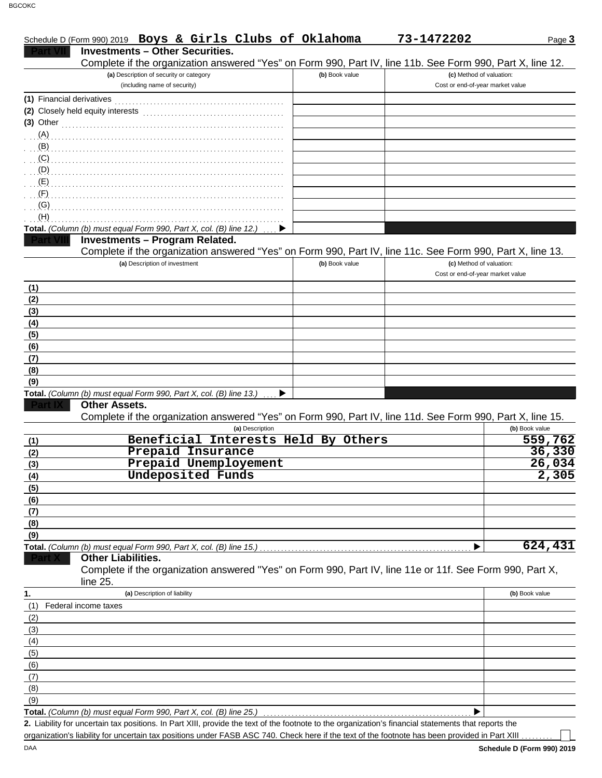|                           | Schedule D (Form 990) 2019 Boys & Girls Clubs of Oklahoma                                                                                            |                | 73-1472202                       | Page 3         |
|---------------------------|------------------------------------------------------------------------------------------------------------------------------------------------------|----------------|----------------------------------|----------------|
|                           | <b>Investments - Other Securities.</b>                                                                                                               |                |                                  |                |
|                           | Complete if the organization answered "Yes" on Form 990, Part IV, line 11b. See Form 990, Part X, line 12.                                           |                |                                  |                |
|                           | (a) Description of security or category                                                                                                              | (b) Book value | (c) Method of valuation:         |                |
|                           | (including name of security)                                                                                                                         |                | Cost or end-of-year market value |                |
| (1) Financial derivatives |                                                                                                                                                      |                |                                  |                |
|                           |                                                                                                                                                      |                |                                  |                |
|                           |                                                                                                                                                      |                |                                  |                |
| $(3)$ Other               |                                                                                                                                                      |                |                                  |                |
| (A)                       |                                                                                                                                                      |                |                                  |                |
| (B)                       |                                                                                                                                                      |                |                                  |                |
| (C)                       |                                                                                                                                                      |                |                                  |                |
| (D)                       |                                                                                                                                                      |                |                                  |                |
| (E)                       |                                                                                                                                                      |                |                                  |                |
| (F)                       |                                                                                                                                                      |                |                                  |                |
| (G)                       |                                                                                                                                                      |                |                                  |                |
| (H)                       |                                                                                                                                                      |                |                                  |                |
|                           | Total. (Column (b) must equal Form 990, Part X, col. (B) line 12.)                                                                                   |                |                                  |                |
|                           | <b>Investments - Program Related.</b>                                                                                                                |                |                                  |                |
|                           | Complete if the organization answered "Yes" on Form 990, Part IV, line 11c. See Form 990, Part X, line 13.                                           |                |                                  |                |
|                           | (a) Description of investment                                                                                                                        | (b) Book value | (c) Method of valuation:         |                |
|                           |                                                                                                                                                      |                | Cost or end-of-year market value |                |
| (1)                       |                                                                                                                                                      |                |                                  |                |
| (2)                       |                                                                                                                                                      |                |                                  |                |
|                           |                                                                                                                                                      |                |                                  |                |
| (3)                       |                                                                                                                                                      |                |                                  |                |
| (4)                       |                                                                                                                                                      |                |                                  |                |
| (5)                       |                                                                                                                                                      |                |                                  |                |
| (6)                       |                                                                                                                                                      |                |                                  |                |
| (7)                       |                                                                                                                                                      |                |                                  |                |
| (8)                       |                                                                                                                                                      |                |                                  |                |
| (9)                       |                                                                                                                                                      |                |                                  |                |
|                           | Total. (Column (b) must equal Form 990, Part X, col. (B) line 13.)                                                                                   |                |                                  |                |
|                           | <b>Other Assets.</b>                                                                                                                                 |                |                                  |                |
|                           | Complete if the organization answered "Yes" on Form 990, Part IV, line 11d. See Form 990, Part X, line 15.                                           |                |                                  |                |
|                           | (a) Description                                                                                                                                      |                |                                  | (b) Book value |
| (1)                       | Beneficial Interests Held By Others                                                                                                                  |                |                                  | 559,762        |
| (2)                       | Prepaid Insurance                                                                                                                                    |                |                                  | 36,330         |
| (3)                       | Prepaid Unemployement                                                                                                                                |                |                                  | 26,034         |
| (4)                       | <b>Undeposited Funds</b>                                                                                                                             |                |                                  | 2,305          |
| (5)                       |                                                                                                                                                      |                |                                  |                |
| (6)                       |                                                                                                                                                      |                |                                  |                |
| (7)                       |                                                                                                                                                      |                |                                  |                |
| (8)                       |                                                                                                                                                      |                |                                  |                |
| (9)                       |                                                                                                                                                      |                |                                  |                |
|                           | Total. (Column (b) must equal Form 990, Part X, col. (B) line 15.)                                                                                   |                |                                  | 624,431        |
|                           | <b>Other Liabilities.</b>                                                                                                                            |                |                                  |                |
|                           | Complete if the organization answered "Yes" on Form 990, Part IV, line 11e or 11f. See Form 990, Part X,                                             |                |                                  |                |
|                           | line 25.                                                                                                                                             |                |                                  |                |
| 1.                        | (a) Description of liability                                                                                                                         |                |                                  | (b) Book value |
|                           | Federal income taxes                                                                                                                                 |                |                                  |                |
| (1)                       |                                                                                                                                                      |                |                                  |                |
| (2)                       |                                                                                                                                                      |                |                                  |                |
| (3)                       |                                                                                                                                                      |                |                                  |                |
| (4)                       |                                                                                                                                                      |                |                                  |                |
| (5)                       |                                                                                                                                                      |                |                                  |                |
| (6)                       |                                                                                                                                                      |                |                                  |                |
| (7)                       |                                                                                                                                                      |                |                                  |                |
| (8)                       |                                                                                                                                                      |                |                                  |                |
| (9)                       |                                                                                                                                                      |                |                                  |                |
|                           | Total. (Column (b) must equal Form 990, Part X, col. (B) line 25.)                                                                                   |                |                                  |                |
|                           | 2. Liability for uncertain tax positions. In Part XIII, provide the text of the footnote to the organization's financial statements that reports the |                |                                  |                |

organization's liability for uncertain tax positions under FASB ASC 740. Check here if the text of the footnote has been provided in Part XIII . . . . . . . .

**Schedule D (Form 990) 2019**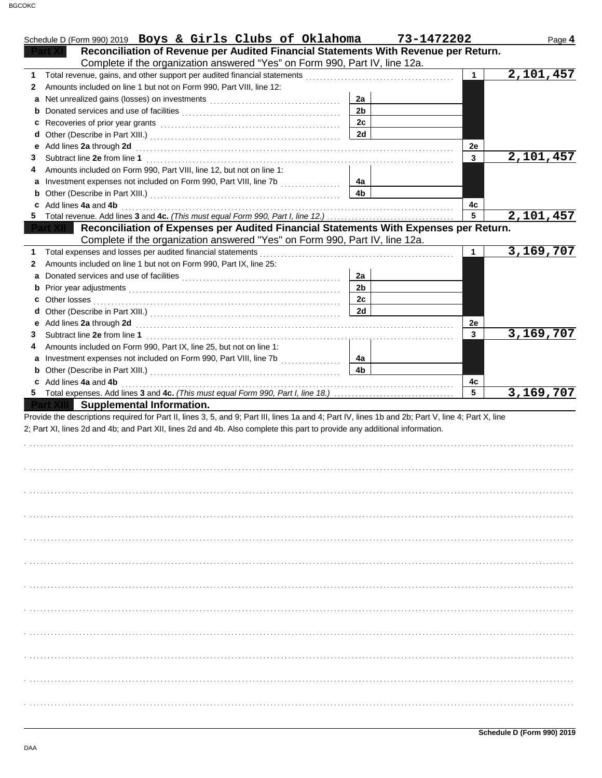|    | Schedule D (Form 990) 2019 Boys & Girls Clubs of Oklahoma                                                                                          |                      | 73-1472202 |              | Page 4                 |
|----|----------------------------------------------------------------------------------------------------------------------------------------------------|----------------------|------------|--------------|------------------------|
|    | Reconciliation of Revenue per Audited Financial Statements With Revenue per Return.                                                                |                      |            |              |                        |
|    | Complete if the organization answered "Yes" on Form 990, Part IV, line 12a.                                                                        |                      |            |              |                        |
| 1  |                                                                                                                                                    |                      |            | $\mathbf{1}$ | 2,101,457              |
| 2  | Amounts included on line 1 but not on Form 990, Part VIII, line 12:                                                                                |                      |            |              |                        |
| a  |                                                                                                                                                    | 2a                   |            |              |                        |
|    |                                                                                                                                                    | 2 <sub>b</sub>       |            |              |                        |
|    |                                                                                                                                                    | 2c                   |            |              |                        |
| d  |                                                                                                                                                    | <b>2d</b>            |            |              |                        |
|    | e Add lines 2a through 2d                                                                                                                          |                      |            | 2e           |                        |
| 3  |                                                                                                                                                    |                      |            | 3            | 2,101,457              |
|    | Amounts included on Form 990, Part VIII, line 12, but not on line 1:                                                                               |                      |            |              |                        |
|    |                                                                                                                                                    | 4а                   |            |              |                        |
|    |                                                                                                                                                    | 4 <sub>b</sub>       |            |              |                        |
|    | Add lines 4a and 4b                                                                                                                                |                      |            | 4с           |                        |
| 5. |                                                                                                                                                    |                      |            | 5            | 2,101,457              |
|    | Reconciliation of Expenses per Audited Financial Statements With Expenses per Return.                                                              |                      |            |              |                        |
|    | Complete if the organization answered "Yes" on Form 990, Part IV, line 12a.                                                                        |                      |            |              |                        |
|    | Total expenses and losses per audited financial statements                                                                                         |                      |            | 1            | 3,169,707              |
| 2  | Amounts included on line 1 but not on Form 990, Part IX, line 25:                                                                                  |                      |            |              |                        |
| a  |                                                                                                                                                    | 2a                   |            |              |                        |
|    |                                                                                                                                                    | 2 <sub>b</sub>       |            |              |                        |
|    |                                                                                                                                                    | 2c                   |            |              |                        |
|    |                                                                                                                                                    | 2d                   |            |              |                        |
|    |                                                                                                                                                    |                      |            | 2e           |                        |
| 3  | Subtract line 2e from line 1                                                                                                                       |                      |            | 3            | $\overline{3,169,707}$ |
|    | Amounts included on Form 990, Part IX, line 25, but not on line 1:                                                                                 |                      |            |              |                        |
|    |                                                                                                                                                    | 4a<br>4 <sub>b</sub> |            |              |                        |
|    |                                                                                                                                                    |                      |            |              |                        |
|    | c Add lines 4a and 4b                                                                                                                              |                      |            | 4с<br>5      | 3,169,707              |
|    | Supplemental Information.                                                                                                                          |                      |            |              |                        |
|    | Provide the descriptions required for Part II, lines 3, 5, and 9; Part III, lines 1a and 4; Part IV, lines 1b and 2b; Part V, line 4; Part X, line |                      |            |              |                        |
|    | 2; Part XI, lines 2d and 4b; and Part XII, lines 2d and 4b. Also complete this part to provide any additional information.                         |                      |            |              |                        |
|    |                                                                                                                                                    |                      |            |              |                        |
|    |                                                                                                                                                    |                      |            |              |                        |
|    |                                                                                                                                                    |                      |            |              |                        |
|    |                                                                                                                                                    |                      |            |              |                        |
|    |                                                                                                                                                    |                      |            |              |                        |
|    |                                                                                                                                                    |                      |            |              |                        |
|    |                                                                                                                                                    |                      |            |              |                        |
|    |                                                                                                                                                    |                      |            |              |                        |
|    |                                                                                                                                                    |                      |            |              |                        |
|    |                                                                                                                                                    |                      |            |              |                        |
|    |                                                                                                                                                    |                      |            |              |                        |
|    |                                                                                                                                                    |                      |            |              |                        |
|    |                                                                                                                                                    |                      |            |              |                        |
|    |                                                                                                                                                    |                      |            |              |                        |
|    |                                                                                                                                                    |                      |            |              |                        |
|    |                                                                                                                                                    |                      |            |              |                        |
|    |                                                                                                                                                    |                      |            |              |                        |
|    |                                                                                                                                                    |                      |            |              |                        |
|    |                                                                                                                                                    |                      |            |              |                        |
|    |                                                                                                                                                    |                      |            |              |                        |
|    |                                                                                                                                                    |                      |            |              |                        |
|    |                                                                                                                                                    |                      |            |              |                        |
|    |                                                                                                                                                    |                      |            |              |                        |
|    |                                                                                                                                                    |                      |            |              |                        |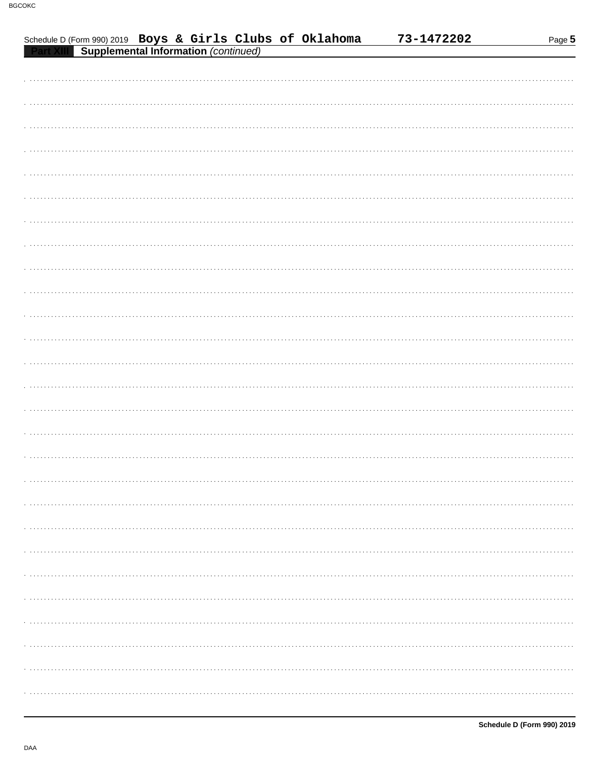| Schedule D (Form 990) 2019 Boys & Girls Clubs of Oklahoma |                                             |  |  | 73-1472202 | Page 5 |
|-----------------------------------------------------------|---------------------------------------------|--|--|------------|--------|
|                                                           | <b>Supplemental Information (continued)</b> |  |  |            |        |
|                                                           |                                             |  |  |            |        |
|                                                           |                                             |  |  |            |        |
|                                                           |                                             |  |  |            |        |
|                                                           |                                             |  |  |            |        |
|                                                           |                                             |  |  |            |        |
|                                                           |                                             |  |  |            |        |
|                                                           |                                             |  |  |            |        |
|                                                           |                                             |  |  |            |        |
|                                                           |                                             |  |  |            |        |
|                                                           |                                             |  |  |            |        |
|                                                           |                                             |  |  |            |        |
|                                                           |                                             |  |  |            |        |
|                                                           |                                             |  |  |            |        |
|                                                           |                                             |  |  |            |        |
|                                                           |                                             |  |  |            |        |
|                                                           |                                             |  |  |            |        |
|                                                           |                                             |  |  |            |        |
|                                                           |                                             |  |  |            |        |
|                                                           |                                             |  |  |            |        |
|                                                           |                                             |  |  |            |        |
|                                                           |                                             |  |  |            |        |
|                                                           |                                             |  |  |            |        |
|                                                           |                                             |  |  |            |        |
|                                                           |                                             |  |  |            |        |
|                                                           |                                             |  |  |            |        |
|                                                           |                                             |  |  |            |        |
|                                                           |                                             |  |  |            |        |
|                                                           |                                             |  |  |            |        |
|                                                           |                                             |  |  |            |        |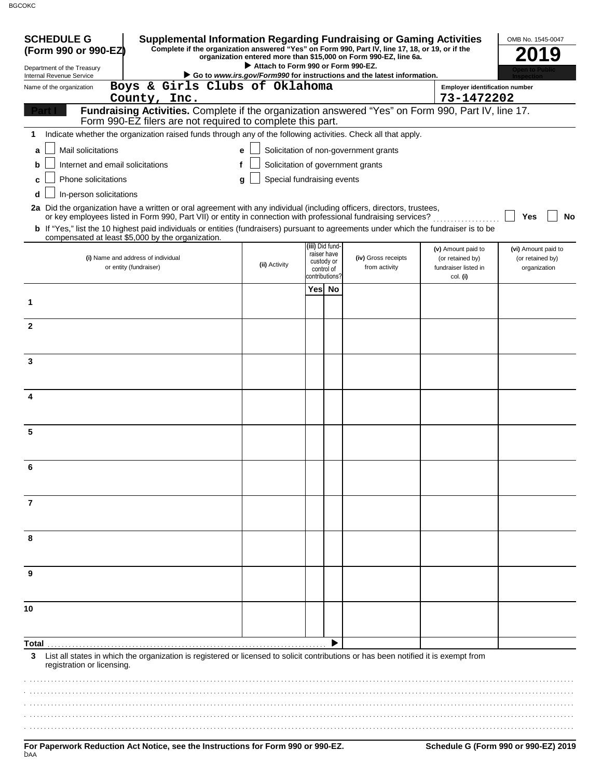BGCOKC

| <b>SCHEDULE G</b>                                                                                                                            |                                                                                                                                                                     |   |                                    |                              | Supplemental Information Regarding Fundraising or Gaming Activities                                                                                                 |                                                     | OMB No. 1545-0047                |
|----------------------------------------------------------------------------------------------------------------------------------------------|---------------------------------------------------------------------------------------------------------------------------------------------------------------------|---|------------------------------------|------------------------------|---------------------------------------------------------------------------------------------------------------------------------------------------------------------|-----------------------------------------------------|----------------------------------|
| (Form 990 or 990-EZ)                                                                                                                         |                                                                                                                                                                     |   |                                    |                              | Complete if the organization answered "Yes" on Form 990, Part IV, line 17, 18, or 19, or if the<br>organization entered more than \$15,000 on Form 990-EZ, line 6a. |                                                     | 2019                             |
| Department of the Treasury                                                                                                                   |                                                                                                                                                                     |   | Attach to Form 990 or Form 990-EZ. |                              | Go to www.irs.gov/Form990 for instructions and the latest information.                                                                                              |                                                     |                                  |
| Internal Revenue Service<br>Name of the organization                                                                                         | Boys & Girls Clubs of Oklahoma<br>County, Inc.                                                                                                                      |   |                                    |                              |                                                                                                                                                                     | <b>Employer identification number</b><br>73-1472202 |                                  |
|                                                                                                                                              | Fundraising Activities. Complete if the organization answered "Yes" on Form 990, Part IV, line 17.                                                                  |   |                                    |                              |                                                                                                                                                                     |                                                     |                                  |
|                                                                                                                                              | Form 990-EZ filers are not required to complete this part.                                                                                                          |   |                                    |                              |                                                                                                                                                                     |                                                     |                                  |
| 1                                                                                                                                            | Indicate whether the organization raised funds through any of the following activities. Check all that apply.                                                       |   |                                    |                              |                                                                                                                                                                     |                                                     |                                  |
| Mail solicitations<br>a                                                                                                                      |                                                                                                                                                                     | e |                                    |                              | Solicitation of non-government grants                                                                                                                               |                                                     |                                  |
| Internet and email solicitations<br>b                                                                                                        |                                                                                                                                                                     |   |                                    |                              | Solicitation of government grants                                                                                                                                   |                                                     |                                  |
| Phone solicitations<br>c                                                                                                                     |                                                                                                                                                                     | a | Special fundraising events         |                              |                                                                                                                                                                     |                                                     |                                  |
| In-person solicitations<br>d                                                                                                                 |                                                                                                                                                                     |   |                                    |                              |                                                                                                                                                                     |                                                     |                                  |
| 2a Did the organization have a written or oral agreement with any individual (including officers, directors, trustees,                       |                                                                                                                                                                     |   |                                    |                              |                                                                                                                                                                     |                                                     |                                  |
| <b>b</b> If "Yes," list the 10 highest paid individuals or entities (fundraisers) pursuant to agreements under which the fundraiser is to be | or key employees listed in Form 990, Part VII) or entity in connection with professional fundraising services?<br>compensated at least \$5,000 by the organization. |   |                                    |                              |                                                                                                                                                                     |                                                     | No<br>Yes                        |
|                                                                                                                                              |                                                                                                                                                                     |   |                                    | (iii) Did fund-              |                                                                                                                                                                     | (v) Amount paid to                                  | (vi) Amount paid to              |
|                                                                                                                                              | (i) Name and address of individual<br>or entity (fundraiser)                                                                                                        |   | (ii) Activity                      | raiser have<br>custody or    | (iv) Gross receipts<br>from activity                                                                                                                                | (or retained by)<br>fundraiser listed in            | (or retained by)<br>organization |
|                                                                                                                                              |                                                                                                                                                                     |   |                                    | control of<br>contributions? |                                                                                                                                                                     | col. (i)                                            |                                  |
|                                                                                                                                              |                                                                                                                                                                     |   |                                    | Yes No                       |                                                                                                                                                                     |                                                     |                                  |
| 1                                                                                                                                            |                                                                                                                                                                     |   |                                    |                              |                                                                                                                                                                     |                                                     |                                  |
|                                                                                                                                              |                                                                                                                                                                     |   |                                    |                              |                                                                                                                                                                     |                                                     |                                  |
| $\overline{2}$                                                                                                                               |                                                                                                                                                                     |   |                                    |                              |                                                                                                                                                                     |                                                     |                                  |
|                                                                                                                                              |                                                                                                                                                                     |   |                                    |                              |                                                                                                                                                                     |                                                     |                                  |
| 3                                                                                                                                            |                                                                                                                                                                     |   |                                    |                              |                                                                                                                                                                     |                                                     |                                  |
|                                                                                                                                              |                                                                                                                                                                     |   |                                    |                              |                                                                                                                                                                     |                                                     |                                  |
| 4                                                                                                                                            |                                                                                                                                                                     |   |                                    |                              |                                                                                                                                                                     |                                                     |                                  |
|                                                                                                                                              |                                                                                                                                                                     |   |                                    |                              |                                                                                                                                                                     |                                                     |                                  |
|                                                                                                                                              |                                                                                                                                                                     |   |                                    |                              |                                                                                                                                                                     |                                                     |                                  |
| 5                                                                                                                                            |                                                                                                                                                                     |   |                                    |                              |                                                                                                                                                                     |                                                     |                                  |
|                                                                                                                                              |                                                                                                                                                                     |   |                                    |                              |                                                                                                                                                                     |                                                     |                                  |
| 6                                                                                                                                            |                                                                                                                                                                     |   |                                    |                              |                                                                                                                                                                     |                                                     |                                  |
|                                                                                                                                              |                                                                                                                                                                     |   |                                    |                              |                                                                                                                                                                     |                                                     |                                  |
|                                                                                                                                              |                                                                                                                                                                     |   |                                    |                              |                                                                                                                                                                     |                                                     |                                  |
| 7                                                                                                                                            |                                                                                                                                                                     |   |                                    |                              |                                                                                                                                                                     |                                                     |                                  |
|                                                                                                                                              |                                                                                                                                                                     |   |                                    |                              |                                                                                                                                                                     |                                                     |                                  |
| 8                                                                                                                                            |                                                                                                                                                                     |   |                                    |                              |                                                                                                                                                                     |                                                     |                                  |
|                                                                                                                                              |                                                                                                                                                                     |   |                                    |                              |                                                                                                                                                                     |                                                     |                                  |
|                                                                                                                                              |                                                                                                                                                                     |   |                                    |                              |                                                                                                                                                                     |                                                     |                                  |
| 9                                                                                                                                            |                                                                                                                                                                     |   |                                    |                              |                                                                                                                                                                     |                                                     |                                  |
|                                                                                                                                              |                                                                                                                                                                     |   |                                    |                              |                                                                                                                                                                     |                                                     |                                  |
| 10                                                                                                                                           |                                                                                                                                                                     |   |                                    |                              |                                                                                                                                                                     |                                                     |                                  |
|                                                                                                                                              |                                                                                                                                                                     |   |                                    |                              |                                                                                                                                                                     |                                                     |                                  |
|                                                                                                                                              |                                                                                                                                                                     |   |                                    |                              |                                                                                                                                                                     |                                                     |                                  |
| Total<br>3                                                                                                                                   | List all states in which the organization is registered or licensed to solicit contributions or has been notified it is exempt from                                 |   |                                    |                              |                                                                                                                                                                     |                                                     |                                  |
| registration or licensing.                                                                                                                   |                                                                                                                                                                     |   |                                    |                              |                                                                                                                                                                     |                                                     |                                  |
|                                                                                                                                              |                                                                                                                                                                     |   |                                    |                              |                                                                                                                                                                     |                                                     |                                  |
|                                                                                                                                              |                                                                                                                                                                     |   |                                    |                              |                                                                                                                                                                     |                                                     |                                  |
|                                                                                                                                              |                                                                                                                                                                     |   |                                    |                              |                                                                                                                                                                     |                                                     |                                  |
|                                                                                                                                              |                                                                                                                                                                     |   |                                    |                              |                                                                                                                                                                     |                                                     |                                  |
|                                                                                                                                              |                                                                                                                                                                     |   |                                    |                              |                                                                                                                                                                     |                                                     |                                  |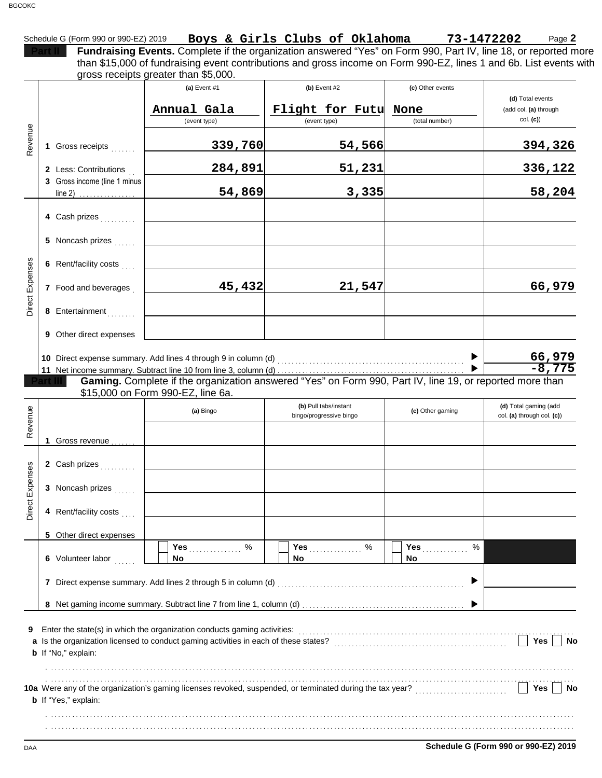|                                |                                                       |                                      | Fundraising Events. Complete if the organization answered "Yes" on Form 990, Part IV, line 18, or reported more<br>than \$15,000 of fundraising event contributions and gross income on Form 990-EZ, lines 1 and 6b. List events with |                               |                                                     |
|--------------------------------|-------------------------------------------------------|--------------------------------------|---------------------------------------------------------------------------------------------------------------------------------------------------------------------------------------------------------------------------------------|-------------------------------|-----------------------------------------------------|
|                                |                                                       | gross receipts greater than \$5,000. |                                                                                                                                                                                                                                       |                               |                                                     |
|                                |                                                       | (a) Event #1                         | (b) Event $#2$                                                                                                                                                                                                                        | (c) Other events              | (d) Total events                                    |
|                                |                                                       | Annual Gala                          | Flight for Futu                                                                                                                                                                                                                       | None                          | (add col. (a) through                               |
|                                |                                                       | (event type)                         | (event type)                                                                                                                                                                                                                          | (total number)                | col. (c)                                            |
| Revenue                        | 1 Gross receipts                                      | 339,760                              | 54,566                                                                                                                                                                                                                                |                               | 394,326                                             |
|                                | 2 Less: Contributions<br>3 Gross income (line 1 minus | 284,891                              | 51,231                                                                                                                                                                                                                                |                               | 336,122                                             |
|                                | $line 2)$                                             | 54,869                               | 3,335                                                                                                                                                                                                                                 |                               | 58,204                                              |
|                                | 4 Cash prizes                                         |                                      |                                                                                                                                                                                                                                       |                               |                                                     |
|                                | 5 Noncash prizes                                      |                                      |                                                                                                                                                                                                                                       |                               |                                                     |
|                                | 6 Rent/facility costs                                 |                                      |                                                                                                                                                                                                                                       |                               |                                                     |
| <b>Direct Expenses</b>         | 7 Food and beverages                                  | 45,432                               | 21,547                                                                                                                                                                                                                                |                               | 66,979                                              |
|                                | 8 Entertainment                                       |                                      |                                                                                                                                                                                                                                       |                               |                                                     |
|                                | <b>9</b> Other direct expenses                        |                                      |                                                                                                                                                                                                                                       |                               |                                                     |
|                                |                                                       |                                      |                                                                                                                                                                                                                                       |                               | 66,979                                              |
|                                |                                                       |                                      |                                                                                                                                                                                                                                       |                               | $-8,775$                                            |
|                                |                                                       | \$15,000 on Form 990-EZ, line 6a.    | Gaming. Complete if the organization answered "Yes" on Form 990, Part IV, line 19, or reported more than                                                                                                                              |                               |                                                     |
|                                |                                                       | (a) Bingo                            | (b) Pull tabs/instant<br>bingo/progressive bingo                                                                                                                                                                                      | (c) Other gaming              | (d) Total gaming (add<br>col. (a) through col. (c)) |
|                                | 1 Gross revenue                                       |                                      |                                                                                                                                                                                                                                       |                               |                                                     |
|                                | 2 Cash prizes                                         |                                      |                                                                                                                                                                                                                                       |                               |                                                     |
|                                | 3 Noncash prizes                                      |                                      |                                                                                                                                                                                                                                       |                               |                                                     |
|                                | 4 Rent/facility costs                                 |                                      |                                                                                                                                                                                                                                       |                               |                                                     |
|                                | 5 Other direct expenses                               |                                      |                                                                                                                                                                                                                                       |                               |                                                     |
|                                | 6 Volunteer labor                                     | Yes 9%<br>No.                        | Yes 9%<br>No.                                                                                                                                                                                                                         | %<br>Yes <b>Market</b><br>No. |                                                     |
|                                |                                                       |                                      |                                                                                                                                                                                                                                       |                               |                                                     |
| Revenue<br>w<br>Direct Expense |                                                       |                                      |                                                                                                                                                                                                                                       |                               |                                                     |
|                                | <b>b</b> If "No," explain:                            |                                      | Enter the state(s) in which the organization conducts gaming activities:<br>[[COLORGIVITER: LITERSTATION DETERMINITIES]                                                                                                               |                               | Yes<br><b>No</b>                                    |
| 9                              |                                                       |                                      |                                                                                                                                                                                                                                       |                               |                                                     |
|                                | <b>b</b> If "Yes," explain:                           |                                      | 10a Were any of the organization's gaming licenses revoked, suspended, or terminated during the tax year?<br>10a Were any of the organization's gaming licenses revoked, suspended, or terminated during the tax year?                |                               | Yes<br><b>No</b>                                    |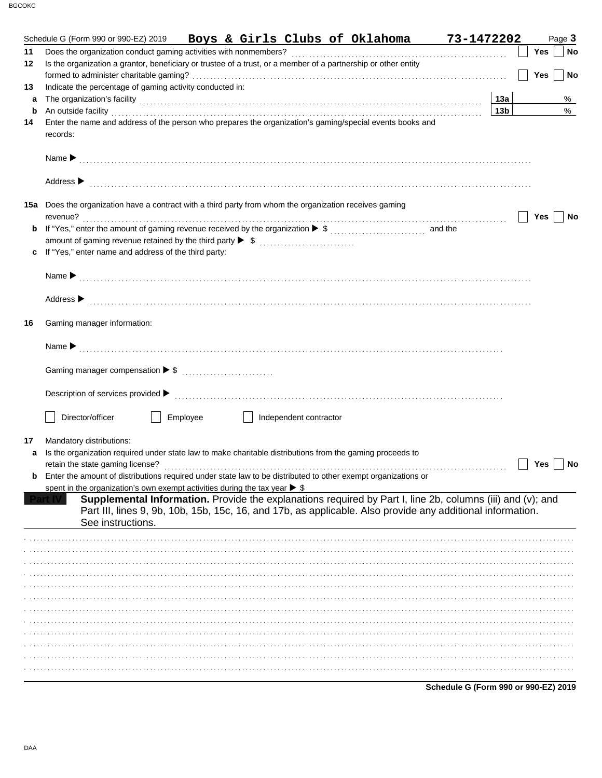|    | Boys & Girls Clubs of Oklahoma 73-1472202<br>Schedule G (Form 990 or 990-EZ) 2019                                                                                                                                                    |                 |            | Page 3 |           |
|----|--------------------------------------------------------------------------------------------------------------------------------------------------------------------------------------------------------------------------------------|-----------------|------------|--------|-----------|
| 11 |                                                                                                                                                                                                                                      |                 | Yes        |        | <b>No</b> |
| 12 | Is the organization a grantor, beneficiary or trustee of a trust, or a member of a partnership or other entity                                                                                                                       |                 |            |        |           |
|    |                                                                                                                                                                                                                                      |                 | <b>Yes</b> |        | No        |
| 13 | Indicate the percentage of gaming activity conducted in:                                                                                                                                                                             |                 |            |        |           |
| a  |                                                                                                                                                                                                                                      | 13a             |            |        | %         |
| b  | An outside facility <b>contract and the contract of the contract of the contract of the contract of the contract of the contract of the contract of the contract of the contract of the contract of the contract of the contract</b> | 13 <sub>b</sub> |            |        | %         |
| 14 | Enter the name and address of the person who prepares the organization's gaming/special events books and                                                                                                                             |                 |            |        |           |
|    | records:                                                                                                                                                                                                                             |                 |            |        |           |
|    |                                                                                                                                                                                                                                      |                 |            |        |           |
|    |                                                                                                                                                                                                                                      |                 |            |        |           |
|    |                                                                                                                                                                                                                                      |                 |            |        |           |
|    | Address $\blacktriangleright$                                                                                                                                                                                                        |                 |            |        |           |
|    |                                                                                                                                                                                                                                      |                 |            |        |           |
|    | 15a Does the organization have a contract with a third party from whom the organization receives gaming                                                                                                                              |                 |            |        |           |
|    | revenue?                                                                                                                                                                                                                             |                 | Yes        |        | No        |
| b  |                                                                                                                                                                                                                                      |                 |            |        |           |
|    |                                                                                                                                                                                                                                      |                 |            |        |           |
| c  | If "Yes," enter name and address of the third party:                                                                                                                                                                                 |                 |            |        |           |
|    |                                                                                                                                                                                                                                      |                 |            |        |           |
|    |                                                                                                                                                                                                                                      |                 |            |        |           |
|    |                                                                                                                                                                                                                                      |                 |            |        |           |
|    | Address > the continuum contract of the contract of the contract of the contract of the contract of the contract of the contract of the contract of the contract of the contract of the contract of the contract of the contra       |                 |            |        |           |
| 16 | Gaming manager information:                                                                                                                                                                                                          |                 |            |        |           |
|    |                                                                                                                                                                                                                                      |                 |            |        |           |
|    |                                                                                                                                                                                                                                      |                 |            |        |           |
|    |                                                                                                                                                                                                                                      |                 |            |        |           |
|    |                                                                                                                                                                                                                                      |                 |            |        |           |
|    |                                                                                                                                                                                                                                      |                 |            |        |           |
|    |                                                                                                                                                                                                                                      |                 |            |        |           |
|    |                                                                                                                                                                                                                                      |                 |            |        |           |
|    | Director/officer<br>Employee<br>Independent contractor                                                                                                                                                                               |                 |            |        |           |
|    |                                                                                                                                                                                                                                      |                 |            |        |           |
| 17 | Mandatory distributions:                                                                                                                                                                                                             |                 |            |        |           |
| a  | Is the organization required under state law to make charitable distributions from the gaming proceeds to                                                                                                                            |                 |            |        |           |
|    |                                                                                                                                                                                                                                      |                 | Yes        |        | No        |
| b  | Enter the amount of distributions required under state law to be distributed to other exempt organizations or                                                                                                                        |                 |            |        |           |
|    | spent in the organization's own exempt activities during the tax year $\triangleright$ \$                                                                                                                                            |                 |            |        |           |
|    | Supplemental Information. Provide the explanations required by Part I, line 2b, columns (iii) and (v); and                                                                                                                           |                 |            |        |           |
|    | Part III, lines 9, 9b, 10b, 15b, 15c, 16, and 17b, as applicable. Also provide any additional information.<br>See instructions.                                                                                                      |                 |            |        |           |
|    |                                                                                                                                                                                                                                      |                 |            |        |           |
|    |                                                                                                                                                                                                                                      |                 |            |        |           |
|    |                                                                                                                                                                                                                                      |                 |            |        |           |
|    |                                                                                                                                                                                                                                      |                 |            |        |           |
|    |                                                                                                                                                                                                                                      |                 |            |        |           |
|    |                                                                                                                                                                                                                                      |                 |            |        |           |
|    |                                                                                                                                                                                                                                      |                 |            |        |           |
|    |                                                                                                                                                                                                                                      |                 |            |        |           |
|    |                                                                                                                                                                                                                                      |                 |            |        |           |
|    |                                                                                                                                                                                                                                      |                 |            |        |           |
|    |                                                                                                                                                                                                                                      |                 |            |        |           |
|    |                                                                                                                                                                                                                                      |                 |            |        |           |
|    |                                                                                                                                                                                                                                      |                 |            |        |           |
|    | Schedule G (Form 990 or 990-EZ) 2019                                                                                                                                                                                                 |                 |            |        |           |

DAA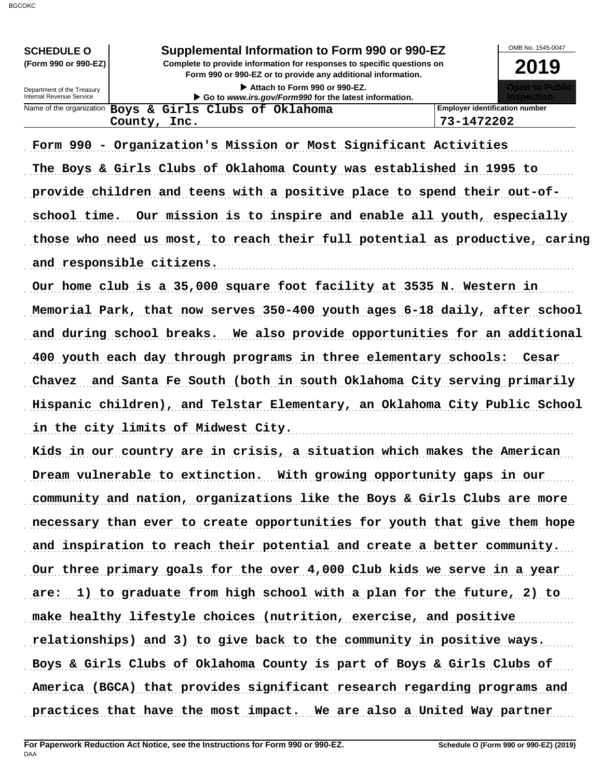**Form 990 or 990-EZ or to provide any additional information.** Name of the organization **Boys & Girls Clubs of Oklahoma Employer identification number** Department of the Treasury<br>Internal Revenue Service OMB No. 1545-0047 **(Form 990 or 990-EZ) Complete to provide information for responses to specific questions on SCHEDULE O Supplemental Information to Form 990 or 990-EZ 2019 Attach to Form 990 or 990-EZ. Go to** *www.irs.gov/Form990* **for the latest information.**

Form 990 - Organization's Mission or Most Significant Activities The Boys & Girls Clubs of Oklahoma County was established in 1995 to provide children and teens with a positive place to spend their out-ofschool time. Our mission is to inspire and enable all youth, especially those who need us most, to reach their full potential as productive, caring and responsible citizens.

**County, Inc. 73-1472202**

Our home club is a 35,000 square foot facility at 3535 N. Western in Memorial Park, that now serves 350-400 youth ages 6-18 daily, after school and during school breaks. We also provide opportunities for an additional 400 youth each day through programs in three elementary schools: Cesar Chavez and Santa Fe South (both in south Oklahoma City serving primarily Hispanic children), and Telstar Elementary, an Oklahoma City Public School in the city limits of Midwest City. The contract of the city of Midwest City.

Kids in our country are in crisis, a situation which makes the American Dream vulnerable to extinction. With growing opportunity gaps in our community and nation, organizations like the Boys & Girls Clubs are more necessary than ever to create opportunities for youth that give them hope and inspiration to reach their potential and create a better community. Our three primary goals for the over 4,000 Club kids we serve in a year are: 1) to graduate from high school with a plan for the future, 2) to make healthy lifestyle choices (nutrition, exercise, and positive relationships) and 3) to give back to the community in positive ways. Boys & Girls Clubs of Oklahoma County is part of Boys & Girls Clubs of America (BGCA) that provides significant research regarding programs and practices that have the most impact. We are also a United Way partner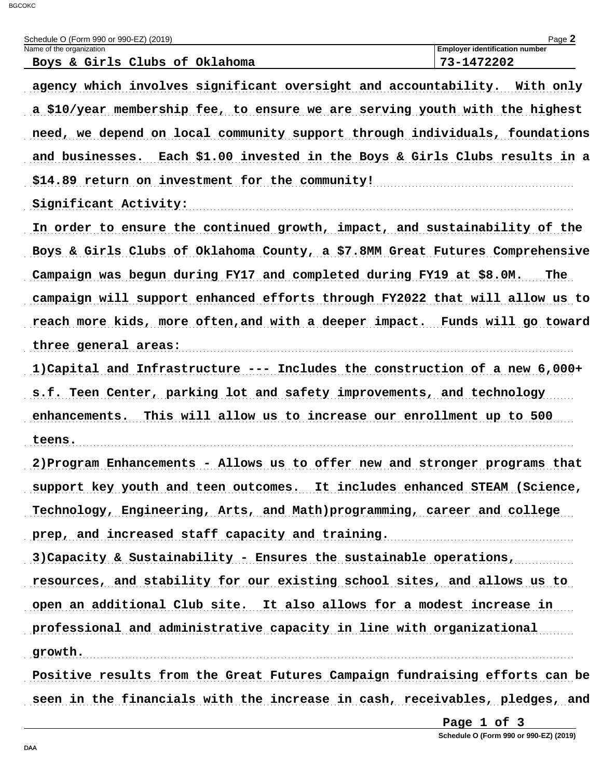| Schedule O (Form 990 or 990-EZ) (2019)<br>Name of the organization           | Page 2<br><b>Employer identification number</b> |
|------------------------------------------------------------------------------|-------------------------------------------------|
| Boys & Girls Clubs of Oklahoma                                               | 73-1472202                                      |
| agency which involves significant oversight and accountability. With only    |                                                 |
| a \$10/year membership fee, to ensure we are serving youth with the highest  |                                                 |
| need, we depend on local community support through individuals, foundations  |                                                 |
| and businesses. Each \$1.00 invested in the Boys & Girls Clubs results in a  |                                                 |
| \$14.89 return on investment for the community!                              |                                                 |
| Significant Activity:                                                        |                                                 |
| In order to ensure the continued growth, impact, and sustainability of the   |                                                 |
| Boys & Girls Clubs of Oklahoma County, a \$7.8MM Great Futures Comprehensive |                                                 |
| Campaign was begun during FY17 and completed during FY19 at \$8.0M.          | The                                             |
| campaign will support enhanced efforts through FY2022 that will allow us to  |                                                 |
| reach more kids, more often, and with a deeper impact. Funds will go toward  |                                                 |
| three general areas:                                                         |                                                 |
| 1) Capital and Infrastructure --- Includes the construction of a new 6,000+  |                                                 |
| s.f. Teen Center, parking lot and safety improvements, and technology        |                                                 |
| This will allow us to increase our enrollment up to 500<br>enhancements.     |                                                 |
| teens.                                                                       |                                                 |
| 2) Program Enhancements - Allows us to offer new and stronger programs that  |                                                 |
| support key youth and teen outcomes. It includes enhanced STEAM (Science,    |                                                 |
| Technology, Engineering, Arts, and Math)programming, career and college      |                                                 |
| prep, and increased staff capacity and training.                             |                                                 |
| 3) Capacity & Sustainability - Ensures the sustainable operations,           |                                                 |
| resources, and stability for our existing school sites, and allows us to     |                                                 |
| open an additional Club site. It also allows for a modest increase in        |                                                 |
| professional and administrative capacity in line with organizational         |                                                 |
| growth.                                                                      |                                                 |
| Positive results from the Great Futures Campaign fundraising efforts can be  |                                                 |
| seen in the financials with the increase in cash, receivables, pledges, and  |                                                 |

Page 1 of 3

Schedule O (Form 990 or 990-EZ) (2019)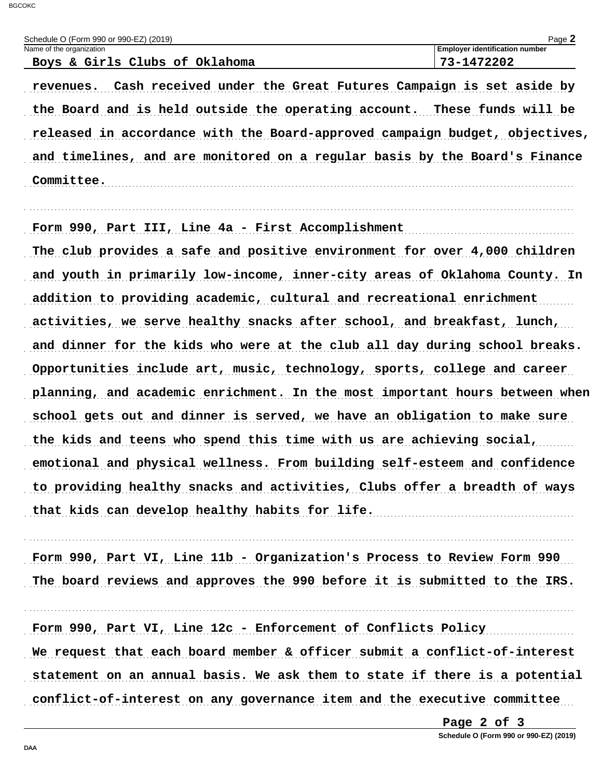| Schedule O (Form 990 or 990-EZ) (2019) | $P$ age $\blacktriangle$              |
|----------------------------------------|---------------------------------------|
| Name of the organization               | <b>Employer identification number</b> |
| Boys & Girls Clubs of Oklahoma         | 73-1472202                            |

revenues. Cash received under the Great Futures Campaign is set aside by the Board and is held outside the operating account. These funds will be released in accordance with the Board-approved campaign budget, objectives, and timelines, and are monitored on a regular basis by the Board's Finance Committee.

Form 990, Part III, Line 4a - First Accomplishment

The club provides a safe and positive environment for over 4,000 children and youth in primarily low-income, inner-city areas of Oklahoma County. In addition to providing academic, cultural and recreational enrichment activities, we serve healthy snacks after school, and breakfast, lunch, and dinner for the kids who were at the club all day during school breaks. Opportunities include art, music, technology, sports, college and career planning, and academic enrichment. In the most important hours between when school gets out and dinner is served, we have an obligation to make sure the kids and teens who spend this time with us are achieving social, emotional and physical wellness. From building self-esteem and confidence to providing healthy snacks and activities, Clubs offer a breadth of ways that kids can develop healthy habits for life.

Form 990, Part VI, Line 11b - Organization's Process to Review Form 990 The board reviews and approves the 990 before it is submitted to the IRS.

Form 990, Part VI, Line 12c - Enforcement of Conflicts Policy We request that each board member & officer submit a conflict-of-interest statement on an annual basis. We ask them to state if there is a potential conflict-of-interest on any governance item and the executive committee

Page 2 of 3